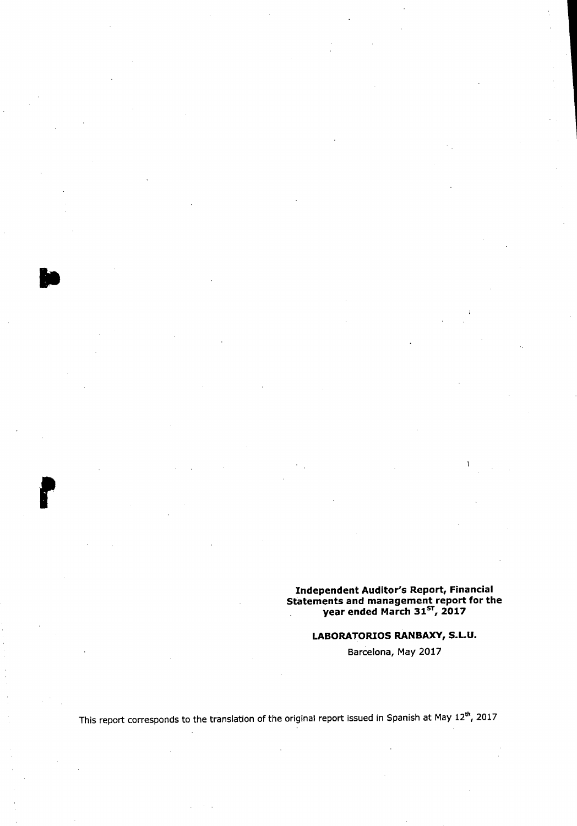# Independent Auditor's Report, Financial<br>Statements and management report for the<br>year ended March 31<sup>ST</sup>, 2017

#### LABORATORIOS RANBAXY, S.L.U.

Barcelona, May 2017

This report corresponds to the translation of the original report issued in Spanish at May 12<sup>th</sup>, 2017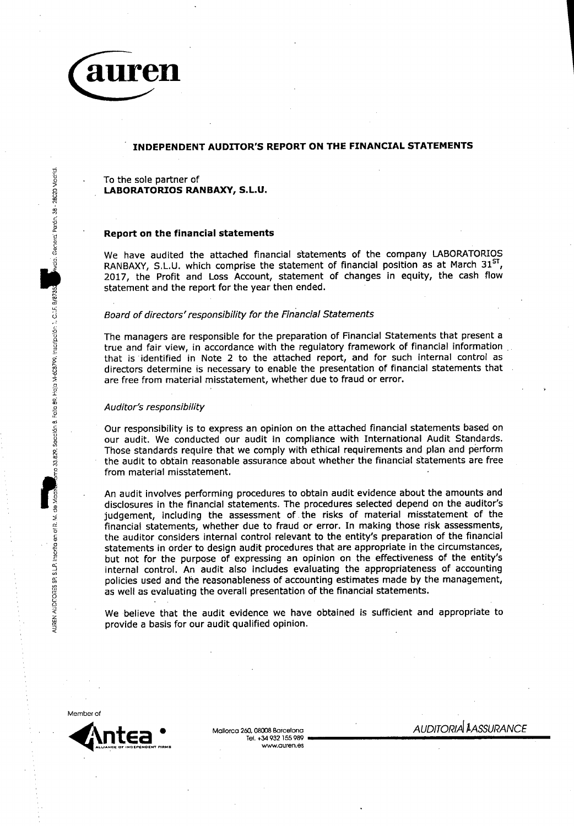

da. Genera: Perón, 38 - 28020 Madrid.

no 33.829, Secolón 8, Follo 89, Hoja M-608799, Inscripción 1, C.I.F. 8/8735

de Mac

AUREN AUDITORES SP, S.L.P. Insertia en el R. M.

#### INDEPENDENT AUDITOR'S REPORT ON THE FINANCIAL STATEMENTS

To the sole partner of LABORATORIOS RANBAXY, S.L.U.

#### Report on the financial statements

We have audited the attached financial statements of the company LABORATORIOS RANBAXY, S.L.U. which comprise the statement of financial position as at March 31<sup>ST</sup> 2017, the Profit and Loss Account, statement of changes in equity, the cash flow statement and the report for the year then ended.

#### Board of directors' responsibility for the Financial Statements

The managers are responsible for the preparation of Financial Statements that present a true and fair view, in accordance with the regulatory framework of financial information that is identified in Note 2 to the attached report, and for such internal control as directors determine is necessary to enable the presentation of financial statements that are free from material misstatement, whether due to fraud or error.

#### Auditor's responsibility

Our responsibility is to express an opinion on the attached financial statements based on our audit. We conducted our audit in compliance with International Audit Standards. Those standards require that we comply with ethical requirements and plan and perform the audit to obtain reasonable assurance about whether the financial statements are free from material misstatement.

An audit involves performing procedures to obtain audit evidence about the amounts and disclosures in the financial statements. The procedures selected depend on the auditor's judgement, including the assessment of the risks of material misstatement of the financial statements, whether due to fraud or error. In making those risk assessments, the auditor considers internal control relevant to the entity's preparation of the financial statements in order to design audit procedures that are appropriate in the circumstances, but not for the purpose of expressing an opinion on the effectiveness of the entity's internal control. An audit also includes evaluating the appropriateness of accounting policies used and the reasonableness of accounting estimates made by the management, as well as evaluating the overall presentation of the financial statements.

We believe that the audit evidence we have obtained is sufficient and appropriate to provide a basis for our audit qualified opinion.



Mallorca 260, 08008 Barcelona Tel. +34 932 155 989 www.guren.es **AUDITORIA LASSURANCE**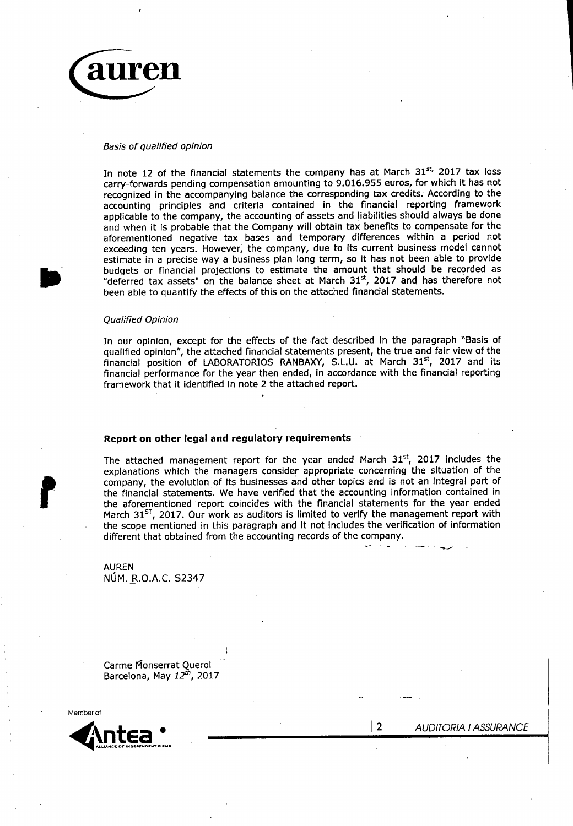

#### Basis of qualified opinion

In note 12 of the financial statements the company has at March 31<sup>st,</sup> 2017 tax loss carry-forwards pending compensation amounting to 9.016.955 euros, for which it has not recognized in the accompanying balance the corresponding tax credits. According to the accounting principles and criteria contained in the financial reporting framework applicable to the company, the accounting of assets and liabilities should always be done and when it is probable that the Company will obtain tax benefits to compensate for the aforementioned negative tax bases and temporary differences within a period not exceeding ten years. However, the company, due to its current business model cannot estimate in a precise way a business plan long term, so it has not been able to provide budgets or financial projections to estimate the amount that should be recorded as "deferred tax assets" on the balance sheet at March 31<sup>st</sup>, 2017 and has therefore not been able to quantify the effects of this on the attached financial statements.

#### Qualified Opinion

In our opinion, except for the effects of the fact described in the paragraph "Basis of qualified opinion", the attached financial statements present, the true and fair view of the financial position of LABORATORIOS RANBAXY, S.L.U. at March 31st, 2017 and its financial performance for the year then ended, in accordance with the financial reporting framework that it identified in note 2 the attached report.

#### Report on other legal and regulatory requirements

The attached management report for the year ended March 31<sup>st</sup>, 2017 includes the explanations which the managers consider appropriate concerning the situation of the company, the evolution of its businesses and other topics and is not an integral part of the financial statements. We have verified that the accounting information contained in the aforementioned report coincides with the financial statements for the year ended March 31<sup>ST</sup>, 2017. Our work as auditors is limited to verify the management report with the scope mentioned in this paragraph and it not includes the verification of information different that obtained from the accounting records of the company.

**AUREN** NUM. R.O.A.C. S2347

Carme Monserrat Querol Barcelona, May 12th, 2017



**AUDITORIA I ASSURANCE** 

| 2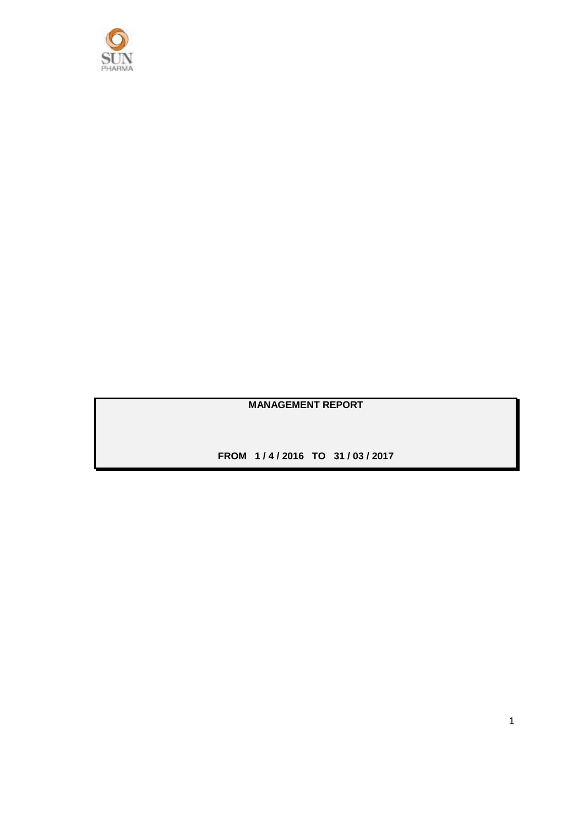

**MANAGEMENT REPORT**

**FROM 1 / 4 / 2016 TO 31 / 03 / 2017**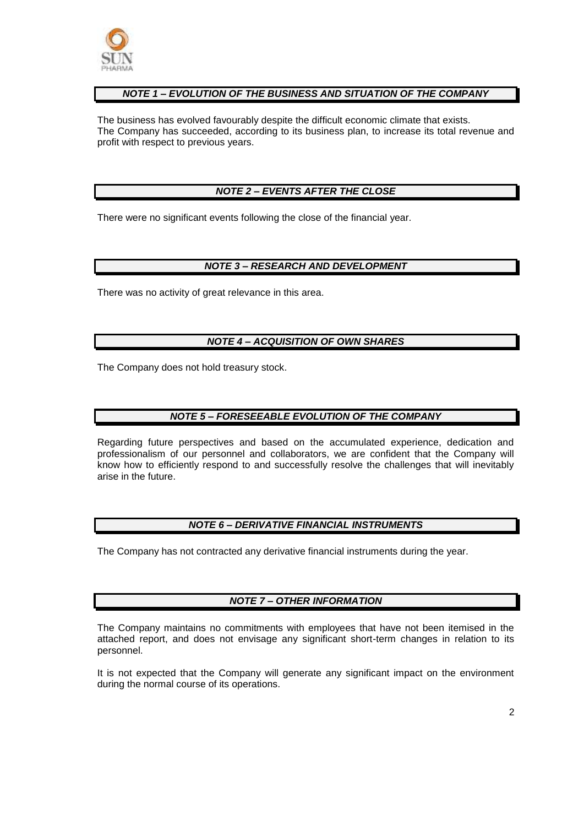

#### *NOTE 1 – EVOLUTION OF THE BUSINESS AND SITUATION OF THE COMPANY*

The business has evolved favourably despite the difficult economic climate that exists. The Company has succeeded, according to its business plan, to increase its total revenue and profit with respect to previous years.

#### *NOTE 2 – EVENTS AFTER THE CLOSE*

There were no significant events following the close of the financial year.

#### *NOTE 3 – RESEARCH AND DEVELOPMENT*

There was no activity of great relevance in this area.

#### *NOTE 4 – ACQUISITION OF OWN SHARES*

The Company does not hold treasury stock.

#### *NOTE 5 – FORESEEABLE EVOLUTION OF THE COMPANY*

Regarding future perspectives and based on the accumulated experience, dedication and professionalism of our personnel and collaborators, we are confident that the Company will know how to efficiently respond to and successfully resolve the challenges that will inevitably arise in the future.

#### *NOTE 6 – DERIVATIVE FINANCIAL INSTRUMENTS*

The Company has not contracted any derivative financial instruments during the year.

#### *NOTE 7 – OTHER INFORMATION*

The Company maintains no commitments with employees that have not been itemised in the attached report, and does not envisage any significant short-term changes in relation to its personnel.

It is not expected that the Company will generate any significant impact on the environment during the normal course of its operations.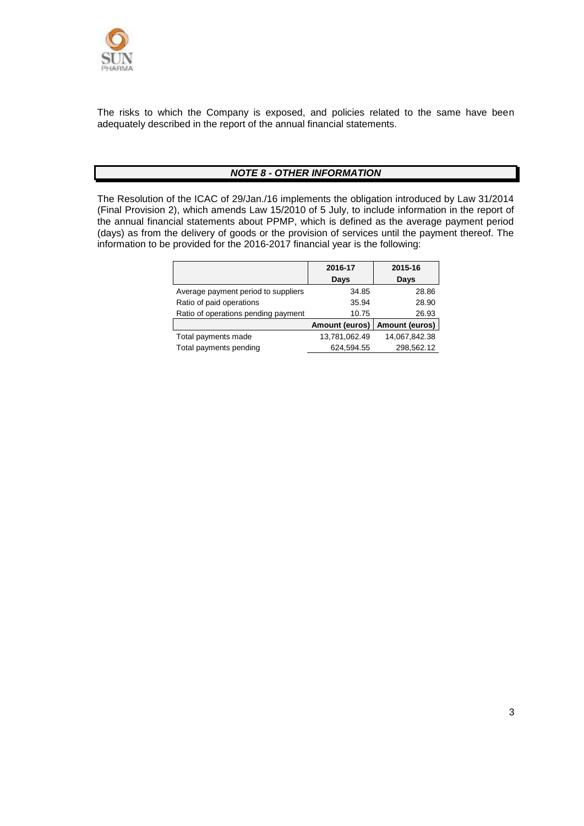

The risks to which the Company is exposed, and policies related to the same have been adequately described in the report of the annual financial statements.

#### *NOTE 8 - OTHER INFORMATION*

The Resolution of the ICAC of 29/Jan./16 implements the obligation introduced by Law 31/2014 (Final Provision 2), which amends Law 15/2010 of 5 July, to include information in the report of the annual financial statements about PPMP, which is defined as the average payment period (days) as from the delivery of goods or the provision of services until the payment thereof. The information to be provided for the 2016-2017 financial year is the following:

|                                     | 2016-17               | 2015-16               |
|-------------------------------------|-----------------------|-----------------------|
|                                     | Days                  | Days                  |
| Average payment period to suppliers | 34.85                 | 28.86                 |
| Ratio of paid operations            | 35.94                 | 28.90                 |
| Ratio of operations pending payment | 10.75                 | 26.93                 |
|                                     | <b>Amount (euros)</b> | <b>Amount (euros)</b> |
| Total payments made                 | 13,781,062.49         | 14,067,842.38         |
| Total payments pending              | 624,594.55            | 298,562.12            |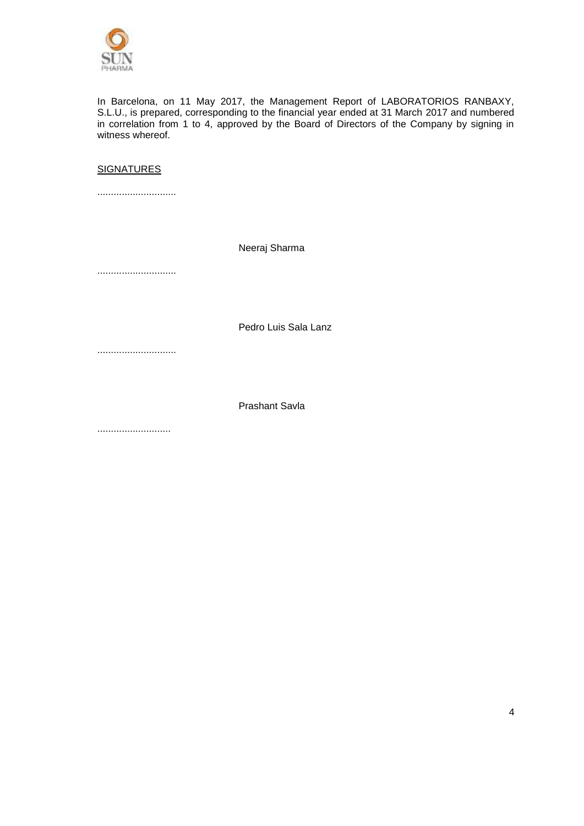

In Barcelona, on 11 May 2017, the Management Report of LABORATORIOS RANBAXY, S.L.U., is prepared, corresponding to the financial year ended at 31 March 2017 and numbered in correlation from 1 to 4, approved by the Board of Directors of the Company by signing in witness whereof.

#### **SIGNATURES**

.............................

Neeraj Sharma

.............................

Pedro Luis Sala Lanz

.............................

Prashant Savla

...........................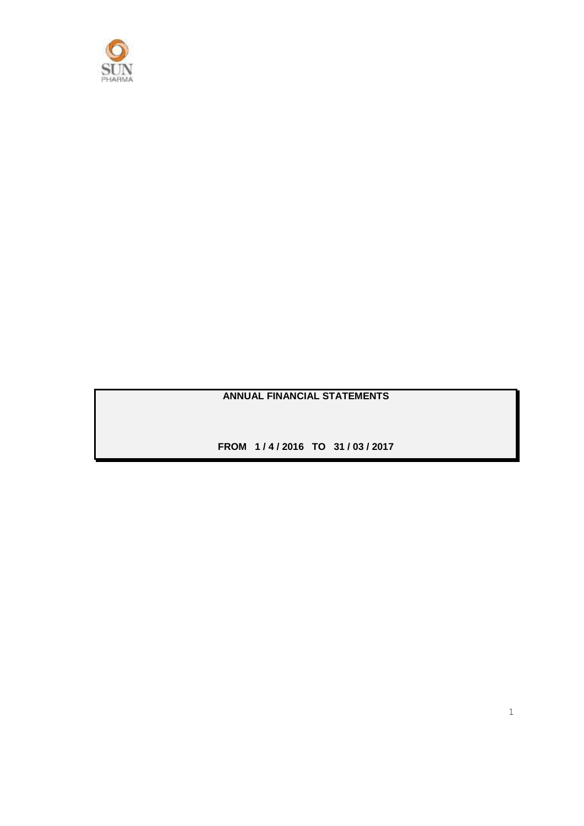

**ANNUAL FINANCIAL STATEMENTS**

**FROM 1 / 4 / 2016 TO 31 / 03 / 2017**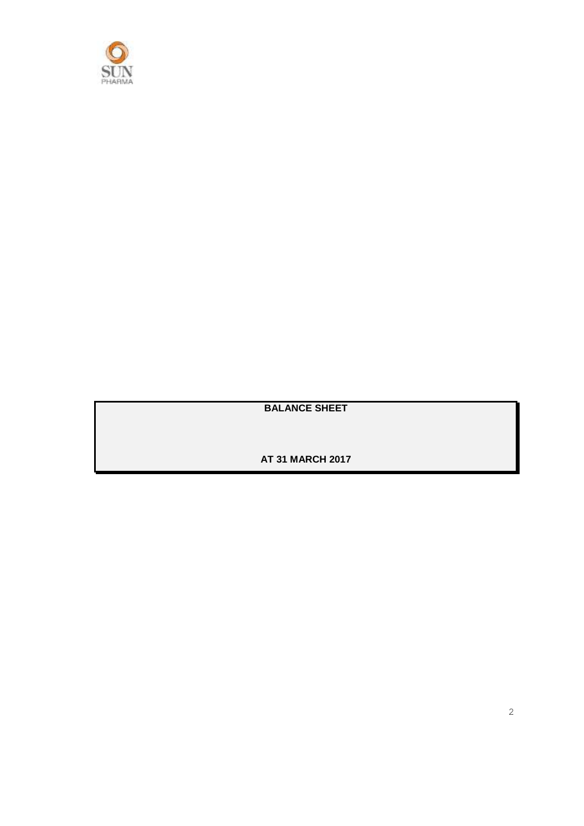

**BALANCE SHEET**

**AT 31 MARCH 2017**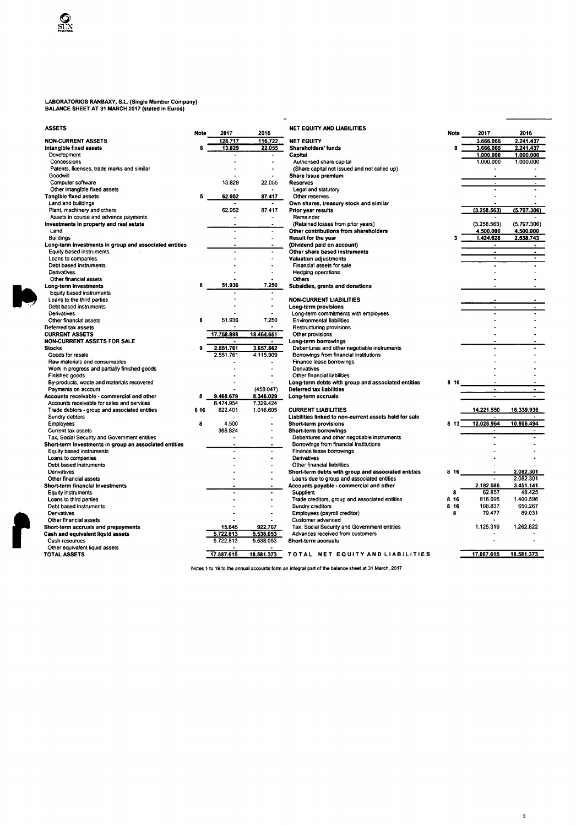## LABORATORIOS RANBAXY, S.L. (Single Member Company)<br>BALANCE SHEET AT 31 MARCH 2017 (often a in Eccasor)

 $\sum_{n=1}^{\infty}$ 

 $\blacktriangleright$ 

| 3ALANCE SHEET AT 31 MARCH 2017 (stated in Euros) |  |  |
|--------------------------------------------------|--|--|
|                                                  |  |  |

| <b>ASSETS</b>                                          | <b>Note</b> | 2017                   | 2016                     | <b>NET EQUITY AND LIABILITIES</b>                       | <b>Note</b> | 2017                | 2016           |
|--------------------------------------------------------|-------------|------------------------|--------------------------|---------------------------------------------------------|-------------|---------------------|----------------|
| <b>NON-CURRENT ASSETS</b>                              |             | 128.717                | 116.722                  | <b>NET EQUITY</b>                                       |             | 3.666.065           | 2.241.437      |
| Intangible fixed assets                                | 6           | 13.829                 | 22.055                   | Shareholders' funds                                     |             | 3.666.065           | 2.241.437      |
| Development                                            |             |                        |                          | Capital                                                 |             | 1.000.000           | 1.000.000      |
| Concessions                                            |             |                        |                          | Authorised share capital                                |             | 1.000.000           | 1.000.000      |
| Patents, licenses, trade marks and similar             |             |                        |                          | (Share capital not issued and not called up)            |             |                     |                |
| Goodwill                                               |             |                        |                          | Share issue premium                                     |             |                     |                |
| Computer software                                      |             | 13.829                 | 22.055                   | <b>Reserves</b>                                         |             | $\blacksquare$      |                |
| Other intangible fixed assets                          |             |                        |                          | Legal and statutory                                     |             |                     |                |
| <b>Tangible fixed assets</b>                           | 5           | 62.952                 | 87.417                   | Other reserves                                          |             |                     |                |
| Land and buildings                                     |             |                        |                          | Own shares, treasury stock and similar                  |             |                     |                |
| Plant, machinery and others                            |             | 62.952                 | 87.417                   | Prior year results                                      |             | (3.258.563)         | (5.797.306)    |
| Assets in course and advance payments                  |             |                        |                          | Remainder                                               |             |                     |                |
| Investments in property and real estate                |             |                        |                          | (Retained losses from prior years)                      |             | (3.258.563)         | (5.797.306)    |
| Land                                                   |             | ÷,                     | $\overline{\phantom{a}}$ | Other contributions from shareholders                   |             | 4.500.000           | 4.500.000      |
| <b>Buildings</b>                                       |             | $\overline{a}$         | ÷                        | Result for the year                                     |             | 1.424.628           | 2.538.743      |
| Long-term investments in group and associated entities |             |                        |                          | (Dividend paid on account)                              |             | $\hat{\phantom{a}}$ |                |
| Equity based instruments                               |             | $\overline{a}$         | $\ddot{\phantom{1}}$     | Other share based instruments                           |             | $\blacksquare$      | $\blacksquare$ |
| Loans to companies                                     |             |                        |                          | <b>Valuation adjustments</b>                            |             | $\bullet$           | $\blacksquare$ |
| Debt based instruments                                 |             |                        |                          | Financial assets for sale                               |             |                     |                |
| Derivatives                                            |             |                        |                          | Hedging operations                                      |             |                     |                |
| Other financial assets                                 |             |                        |                          | Others                                                  |             |                     |                |
| Long-term investments                                  | 8           | 51.936                 | 7.250                    | Subsidies, grants and donations                         |             |                     |                |
| Equity based instruments                               |             |                        |                          |                                                         |             |                     |                |
| Loans to the third parties                             |             |                        | ä,                       | <b>NON-CURRENT LIABILITIES</b>                          |             |                     |                |
| Debt based instruments                                 |             |                        | $\overline{a}$           | Long-term provisions                                    |             | $\overline{a}$      |                |
| Derivatives                                            |             |                        |                          | Long-term commitments with employees                    |             |                     |                |
| Other financial assets                                 | 8           | 51.936                 | 7.250                    | <b>Environmental liabilities</b>                        |             |                     |                |
| Deferred tax assets                                    |             |                        | $\overline{a}$           | Restructuring provisions                                |             |                     |                |
| <b>CURRENT ASSETS</b>                                  |             | 17.758.898             | 18.464.651               | Other provisions                                        |             |                     |                |
| NON-CURRENT ASSETS FOR SALE                            |             | $\blacksquare$         | ٠                        | Long-term borrowings                                    |             |                     |                |
| <b>Stocks</b>                                          | ۹           | 2.551.761              | 3.657.862                | Debentures and other negotiable instruments             |             |                     |                |
| Goods for resale                                       |             | 2.551.761              | 4.115.909                | Borrowings from financial institutions                  |             |                     |                |
| Raw materials and consumables                          |             |                        |                          | Finance lease borrowings                                |             |                     |                |
| Work in progress and partially finished goods          |             |                        |                          | Derivatives                                             |             |                     |                |
| Finished goods                                         |             |                        |                          | Other financial liabilities                             |             |                     |                |
| By-products, waste and materials recovered             |             |                        |                          | Long-term debts with group and associated entities      | 816         |                     |                |
| Payments on account                                    |             |                        | (458.047)                | Deferred tax liabilities                                |             |                     | $\blacksquare$ |
| Accounts receivable - commercial and other             | 8           | 9.468.679              | 8.346.029                | Long-term accruals                                      |             | $\sim$              | $\mathbf{r}$   |
| Accounts receivable for sales and services             |             | 8.474.954              | 7.329.424                |                                                         |             |                     |                |
| Trade debtors - group and associated entities          | 8 1 6       | 622.401                | 1.016.605                | <b>CURRENT LIABILITIES</b>                              |             | 14.221.550          | 16.339.936     |
| Sundry debtors                                         |             |                        |                          | Liabilities linked to non-current assets held for sale  |             |                     |                |
| Employees                                              | 8           | 4.500                  |                          | Short-term provisions                                   | 813         | 12.028.964          | 10.806.494     |
| Current tax assets                                     |             | 366.824                |                          | Short-term borrowings                                   |             | $\blacksquare$      | $\bullet$      |
| Tax, Social Security and Government entities           |             |                        |                          | Debentures and other negotiable instruments             |             |                     |                |
| Short-term investments in group an associated entities |             |                        |                          | Borrowings from financial institutions                  |             |                     |                |
| Equity based instruments                               |             |                        |                          | Finance lease borrowings                                |             |                     |                |
| Loans to companies                                     |             |                        |                          | Derivatives                                             |             |                     |                |
| Debt based instruments                                 |             |                        |                          | Other financial liabilities                             |             |                     |                |
| <b>Derivatives</b>                                     |             |                        |                          | Short-term debts with group and associated entities     | 816         |                     | 2.082.301      |
| Other financial assets                                 |             |                        |                          | Loans due to group and associated entities              |             |                     | 2.082.301      |
| Short-term financial investments                       |             |                        |                          | Accounts payable - commercial and other                 |             | 2.192.586           | 3.451.141      |
| Equity instruments                                     |             |                        |                          | <b>Suppliers</b>                                        | 8           | 62.857              | 48.425         |
| Loans to third parties                                 |             |                        |                          | Trade creditors, group and associated entities          | 8 16        | 816.096             | 1.400.596      |
| Debt based instruments                                 |             |                        |                          | Sundry creditors                                        | 8 16        | 108.837             | 650.267        |
| Derivatives                                            |             |                        |                          | Employees (payroll creditor)                            | 8           | 79.477              | 89.031         |
| Other financial assets                                 |             |                        |                          | Customer advanced                                       |             | 1.125.319           | 1.262.822      |
| Short-term accruals and prepayments                    |             | 15.645                 | 922.707                  | Tax, Social Security and Government entities            |             |                     |                |
| Cash and equivalent liquid assets                      |             | 5 722.813<br>5.722.813 | 5.538.053<br>5.538.053   | Advances received from customers<br>Short-term accruals |             |                     |                |
| Cash resources<br>Other equivalent liquid assets       |             |                        |                          |                                                         |             |                     |                |
| <b>TOTAL ASSETS</b>                                    |             | 17.887.615             | 18.581.373               | TOTAL NET EQUITY AND LIABILITIES                        |             | 17.887.615          | 18.581.373     |
|                                                        |             |                        |                          |                                                         |             |                     |                |

Notes 1 to 19 to the annual accounts form an integral part of the balance sheet at 31 March, 2017

 $\mathbf{3}$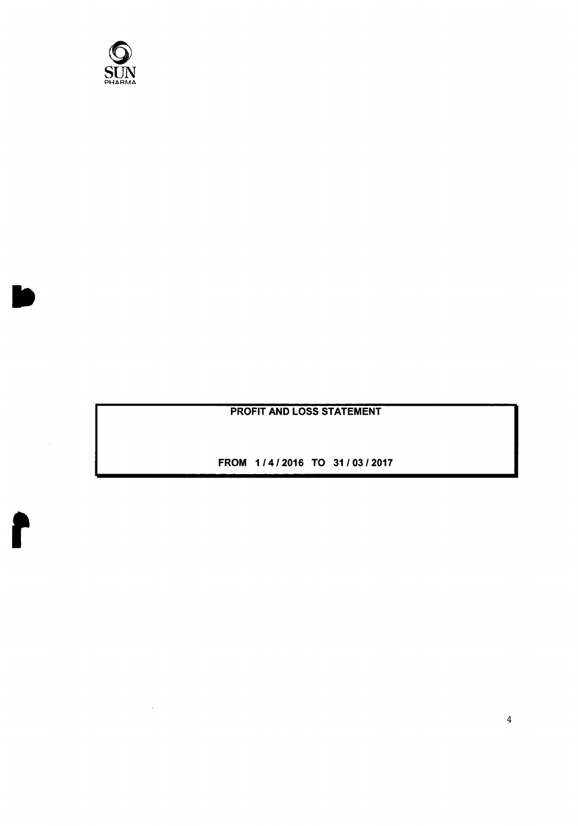

 $\sim$ 

ł

**PROFIT AND LOSS STATEMENT** 

FROM 1/4/2016 TO 31/03/2017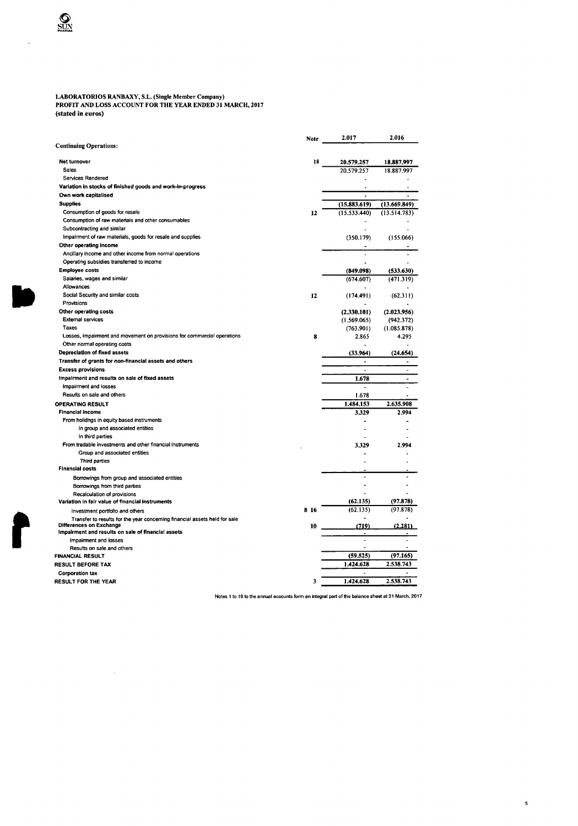## LABORATORIOS RANBAXY, S.L. (Single Member Company)<br>PROFIT AND LOSS ACCOUNT FOR THE YEAR ENDED 31 MARCH, 2017 (stated in euros)

 $\sim 10$ 

|                                                                            | Note  | 2.017          | 2.016          |
|----------------------------------------------------------------------------|-------|----------------|----------------|
| <b>Continuing Operations:</b>                                              |       |                |                |
| Net turnover                                                               | 18    | 20.579.257     | 18.887.997     |
| Sales                                                                      |       | 20.579.257     | 18.887.997     |
| <b>Services Rendered</b>                                                   |       |                |                |
| Variation in stocks of finished goods and work-in-progress                 |       |                |                |
| Own work capitalised                                                       |       | $\overline{a}$ |                |
| <b>Supplies</b>                                                            |       | (15.883.619)   | (13.669.849)   |
| Consumption of goods for resale                                            | 12    | (15.533.440)   | (13.514.783)   |
| Consumption of raw materials and other consumables                         |       |                |                |
| Subcontracting and similar                                                 |       |                |                |
| Impairment of raw materials, goods for resale and supplies                 |       | (350.179)      | (155.066)      |
| Other operating income                                                     |       |                |                |
| Ancillary income and other income from normal operations                   |       | ÷,             |                |
| Operating subsidies transferred to income                                  |       |                |                |
| <b>Employee costs</b>                                                      |       | (849.098)      | (533.630)      |
| Salaries, wages and similar                                                |       | (674.607)      | (471.319)      |
| Allowances                                                                 |       |                |                |
| Social Security and similar costs                                          | 12    | (174.491)      | (62.311)       |
| Provisions                                                                 |       |                |                |
| Other operating costs                                                      |       | (2.330.101)    | (2.023.956)    |
| <b>External services</b>                                                   |       | (1.569.065)    | (942.372)      |
| Taxes                                                                      |       | (763.901)      | (1.085.878)    |
| Losses, impairment and movement on provisions for commercial operations    | 8     | 2.865          | 4.295          |
| Other normal operating costs                                               |       |                |                |
| Depreciation of fixed assets                                               |       | (33.964)       | (24.654)       |
| Transfer of grants for non-financial assets and others                     |       | Ĭ.             |                |
| <b>Excess provisions</b>                                                   |       | Ĭ.             | $\blacksquare$ |
| Impairment and results on sale of fixed assets                             |       | 1.678          | $\overline{a}$ |
| Impairment and losses                                                      |       |                |                |
| Results on sale and others                                                 |       | 1.678          |                |
| <b>OPERATING RESULT</b>                                                    |       | 1.484.153      | 2.635.908      |
| <b>Financial income</b>                                                    |       | 3.329          | 2.994          |
| From holidngs in equity based instruments                                  |       |                |                |
| In group and associated entities                                           |       |                |                |
| In third parties                                                           |       |                |                |
| From tradable investments and other financial instruments                  |       | 3.329          | 2.994          |
| Group and associated entities                                              |       |                |                |
| Third parties                                                              |       |                |                |
| <b>Financial costs</b>                                                     |       |                |                |
| Borrowings from group and associated entities                              |       | ä,             |                |
| Borrowings from third parties                                              |       |                |                |
| Recalculation of provisions                                                |       |                |                |
| Variation in fair value of financial instruments                           |       | (62.135)       | (97.878)       |
| Investment portfolio and others                                            | 8 1 6 | (62.135)       | (97.878)       |
| Transfer to results for the year concerning financial assets held for sale |       |                |                |
| Differences on Exchange                                                    | 10    | (719)          | (2.281)        |
| Impairment and results on sale of financial assets                         |       |                |                |
| Impairment and losses<br>Results on sale and others                        |       | ÷.             |                |
| <b>FINANCIAL RESULT</b>                                                    |       | (59.525)       | (97.165)       |
| <b>RESULT BEFORE TAX</b>                                                   |       | 1.424.628      | 2.538.743      |
|                                                                            |       |                |                |
| <b>Corporation tax</b>                                                     | 3     | 1.424.628      | 2.538.743      |
| <b>RESULT FOR THE YEAR</b>                                                 |       |                |                |

Notes 1 to 19 to the annual accounts form an integral part of the balance sheet at 31 March, 2017

 $\sf s$ 

**SUN** 

 $\ddot{\phantom{0}}$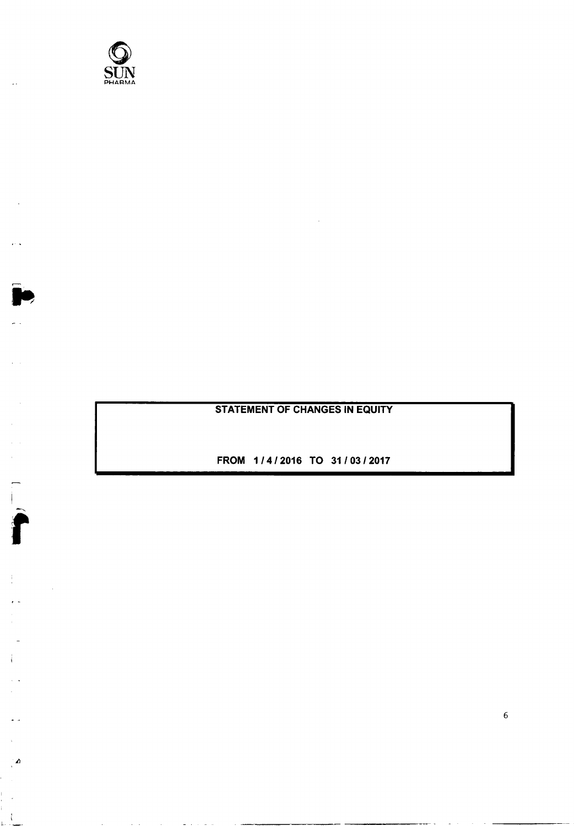

 $\ddot{\phantom{a}}$ 

 $\bullet$ 

 $\frac{1}{2}$ 

 $\mathcal{A}$ 

## **STATEMENT OF CHANGES IN EQUITY**

FROM 1/4/2016 TO 31/03/2017

 $\sqrt{6}$ 

 $\mathbf{w} = \mathbf{w} \cdot \mathbf{w}$  .  $\mathbf{w} = \mathbf{w} \cdot \mathbf{w}$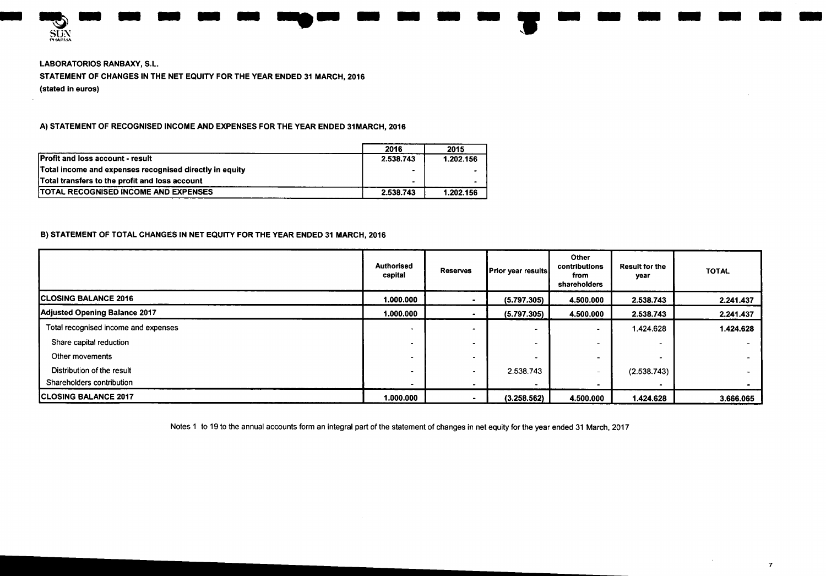

**LABORATORIOS RANBAXY, S.L.** STATEMENT OF CHANGES IN THE NET EQUITY FOR THE YEAR ENDED 31 MARCH, 2016 (stated in euros)

A) STATEMENT OF RECOGNISED INCOME AND EXPENSES FOR THE YEAR ENDED 31MARCH, 2016

|                                                         | 2016           | 2015      |
|---------------------------------------------------------|----------------|-----------|
| <b>Profit and loss account - result</b>                 | 2.538.743      | 1.202.156 |
| Total income and expenses recognised directly in equity | $\blacksquare$ |           |
| Total transfers to the profit and loss account          |                |           |
| <b>TOTAL RECOGNISED INCOME AND EXPENSES</b>             | 2.538.743      | 1.202.156 |

#### B) STATEMENT OF TOTAL CHANGES IN NET EQUITY FOR THE YEAR ENDED 31 MARCH, 2016

|                                      | <b>Authorised</b><br>capital | <b>Reserves</b> | <b>Prior year results</b> | Other<br>contributions<br>from<br>shareholders | <b>Result for the</b><br>year | <b>TOTAL</b> |
|--------------------------------------|------------------------------|-----------------|---------------------------|------------------------------------------------|-------------------------------|--------------|
| <b>ICLOSING BALANCE 2016</b>         | 1.000.000                    |                 | (5.797.305)               | 4.500.000                                      | 2.538.743                     | 2.241.437    |
| Adjusted Opening Balance 2017        | 1.000.000                    |                 | (5.797.305)               | 4.500.000                                      | 2.538.743                     | 2.241.437    |
| Total recognised income and expenses | $\overline{\phantom{a}}$     |                 |                           |                                                | 1.424.628                     | 1.424.628    |
| Share capital reduction              |                              |                 |                           |                                                | -                             |              |
| Other movements                      |                              |                 |                           |                                                |                               |              |
| Distribution of the result           |                              |                 | 2.538.743                 |                                                | (2.538.743)                   |              |
| Shareholders contribution            |                              |                 |                           |                                                |                               |              |
| <b>ICLOSING BALANCE 2017</b>         | 1.000.000                    |                 | (3.258.562)               | 4.500.000                                      | 1.424.628                     | 3.666.065    |

Notes 1 to 19 to the annual accounts form an integral part of the statement of changes in net equity for the year ended 31 March, 2017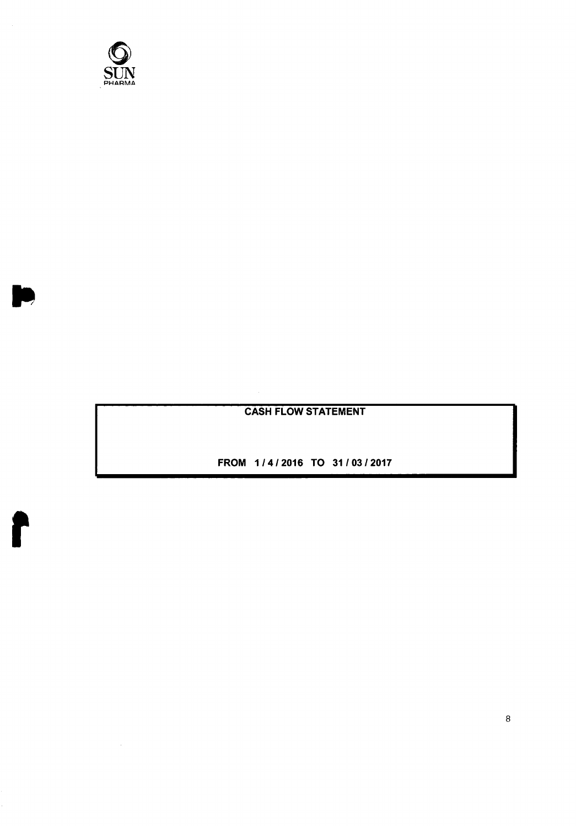

 $\sim 10^7$ 

r

## **CASH FLOW STATEMENT**

FROM 1/4/2016 TO 31/03/2017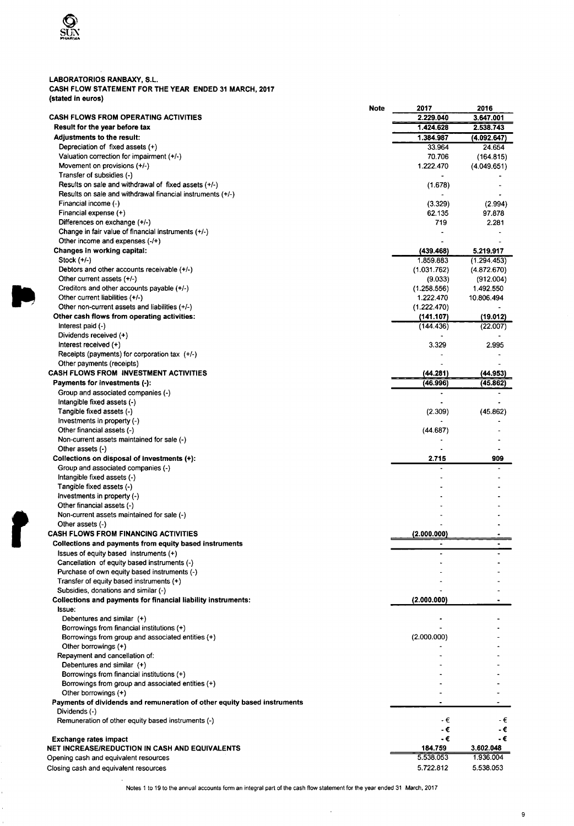

k)

## LABORATORIOS RANBAXY, S.L.<br>CASH FLOW STATEMENT FOR THE YEAR ENDED 31 MARCH, 2017 (stated in euros)

|                                                                          | Note | 2017        | 2016        |
|--------------------------------------------------------------------------|------|-------------|-------------|
| <b>CASH FLOWS FROM OPERATING ACTIVITIES</b>                              |      | 2.229.040   | 3.647.001   |
| Result for the year before tax                                           |      | 1.424.628   | 2.538.743   |
| <b>Adjustments to the result:</b>                                        |      | 1.384.987   | (4.092.647) |
| Depreciation of fixed assets (+)                                         |      | 33.964      | 24.654      |
| Valuation correction for impairment (+/-)                                |      | 70.706      | (164.815)   |
| Movement on provisions (+/-)<br>Transfer of subsidies (-)                |      | 1.222.470   | (4.049.651) |
| Results on sale and withdrawal of fixed assets (+/-)                     |      |             |             |
| Results on sale and withdrawal financial instruments (+/-)               |      | (1.678)     |             |
| Financial income (-)                                                     |      | (3.329)     | (2.994)     |
| Financial expense (+)                                                    |      | 62.135      | 97.878      |
| Differences on exchange (+/-)                                            |      | 719         | 2.281       |
| Change in fair value of financial instruments (+/-)                      |      |             |             |
| Other income and expenses $(-/+)$                                        |      |             |             |
| Changes in working capital:                                              |      | (439.468)   | 5.219.917   |
| Stock (+/-)                                                              |      | 1.859.883   | (1.294.453) |
| Debtors and other accounts receivable (+/-)                              |      | (1.031.762) | (4.872.670) |
| Other current assets (+/-)                                               |      | (9.033)     | (912.004)   |
| Creditors and other accounts payable (+/-)                               |      | (1.258.556) | 1.492.550   |
| Other current liabilities (+/-)                                          |      | 1.222.470   | 10.806.494  |
| Other non-current assets and liabilities (+/-)                           |      | (1.222.470) |             |
| Other cash flows from operating activities:                              |      | (141.107)   | (19.012)    |
| Interest paid (-)                                                        |      | (144.436)   | (22.007)    |
| Dividends received (+)                                                   |      |             |             |
| Interest received (+)                                                    |      | 3.329       | 2.995       |
| Receipts (payments) for corporation tax $(+/-)$                          |      |             |             |
| Other payments (receipts)                                                |      |             |             |
| <b>CASH FLOWS FROM INVESTMENT ACTIVITIES</b>                             |      | (44.281)    | (44.953)    |
| Payments for investments (-):                                            |      | (46.996)    | (45.862)    |
| Group and associated companies (-)                                       |      |             |             |
| Intangible fixed assets (-)                                              |      |             |             |
| Tangible fixed assets (-)                                                |      | (2.309)     | (45.862)    |
| Investments in property (-)<br>Other financial assets (-)                |      | (44.687)    |             |
| Non-current assets maintained for sale (-)                               |      |             |             |
| Other assets $(-)$                                                       |      |             |             |
| Collections on disposal of investments (+):                              |      | 2.715       | 909         |
| Group and associated companies (-)                                       |      |             |             |
| Intangible fixed assets (-)                                              |      |             |             |
| Tangible fixed assets (-)                                                |      |             |             |
| Investments in property (-)                                              |      |             |             |
| Other financial assets (-)                                               |      |             |             |
| Non-current assets maintained for sale (-)                               |      |             |             |
| Other assets (-)                                                         |      |             |             |
| <b>CASH FLOWS FROM FINANCING ACTIVITIES</b>                              |      | (2.000.000) |             |
| Collections and payments from equity based instruments                   |      |             |             |
| Issues of equity based instruments (+)                                   |      |             |             |
| Cancellation of equity based instruments (-)                             |      |             |             |
| Purchase of own equity based instruments (-)                             |      |             |             |
| Transfer of equity based instruments (+)                                 |      |             |             |
| Subsidies, donations and similar (-)                                     |      |             |             |
| Collections and payments for financial liability instruments:            |      | (2.000.000) |             |
| Issue:                                                                   |      |             |             |
| Debentures and similar (+)                                               |      |             |             |
| Borrowings from financial institutions (+)                               |      |             |             |
| Borrowings from group and associated entities (+)                        |      | (2.000.000) |             |
| Other borrowings (+)<br>Repayment and cancellation of:                   |      |             |             |
| Debentures and similar (+)                                               |      |             |             |
| Borrowings from financial institutions (+)                               |      |             |             |
| Borrowings from group and associated entities (+)                        |      |             |             |
| Other borrowings $(+)$                                                   |      |             |             |
| Payments of dividends and remuneration of other equity based instruments |      |             |             |
| Dividends (-)                                                            |      |             |             |
| Remuneration of other equity based instruments (-)                       |      | - €         | - €         |
|                                                                          |      | - €         | - €         |
| <b>Exchange rates impact</b>                                             |      | - €         | -€          |
| NET INCREASE/REDUCTION IN CASH AND EQUIVALENTS                           |      | 184.759     | 3.602.048   |
| Opening cash and equivalent resources                                    |      | 5.538.053   | 1.936.004   |
| Closing cash and equivalent resources                                    |      | 5.722.812   | 5.538.053   |

Notes 1 to 19 to the annual accounts form an integral part of the cash flow statement for the year ended 31 March, 2017

 $\sim$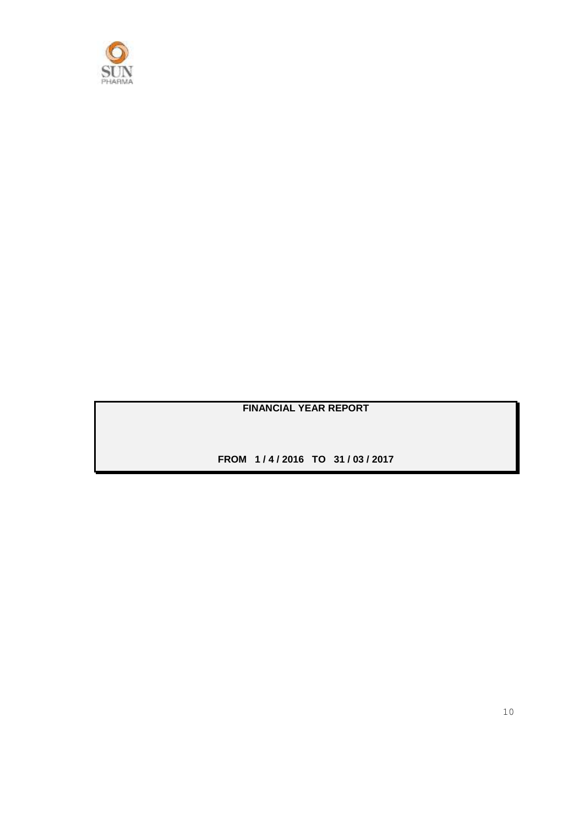

## **FINANCIAL YEAR REPORT**

**FROM 1 / 4 / 2016 TO 31 / 03 / 2017**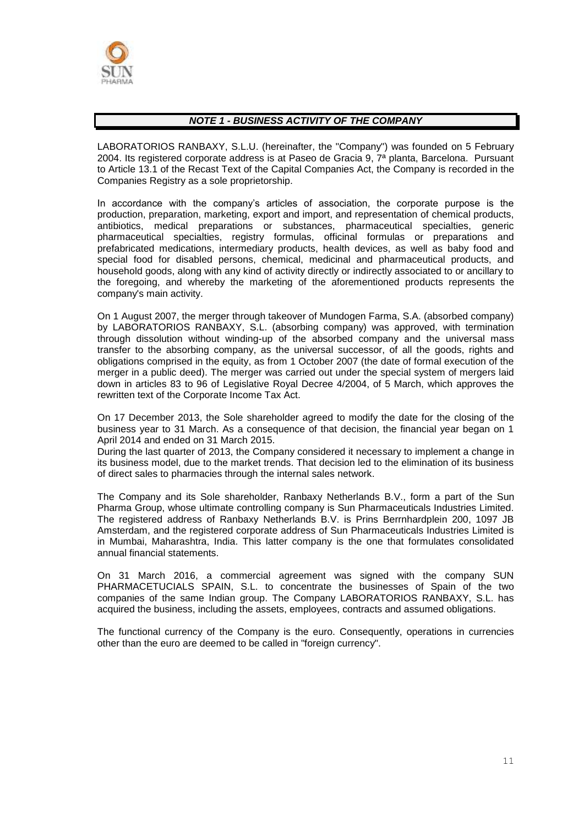

#### *NOTE 1 - BUSINESS ACTIVITY OF THE COMPANY*

LABORATORIOS RANBAXY, S.L.U. (hereinafter, the "Company") was founded on 5 February 2004. Its registered corporate address is at Paseo de Gracia 9, 7ª planta, Barcelona. Pursuant to Article 13.1 of the Recast Text of the Capital Companies Act, the Company is recorded in the Companies Registry as a sole proprietorship.

In accordance with the company's articles of association, the corporate purpose is the production, preparation, marketing, export and import, and representation of chemical products, antibiotics, medical preparations or substances, pharmaceutical specialties, generic pharmaceutical specialties, registry formulas, officinal formulas or preparations and prefabricated medications, intermediary products, health devices, as well as baby food and special food for disabled persons, chemical, medicinal and pharmaceutical products, and household goods, along with any kind of activity directly or indirectly associated to or ancillary to the foregoing, and whereby the marketing of the aforementioned products represents the company's main activity.

On 1 August 2007, the merger through takeover of Mundogen Farma, S.A. (absorbed company) by LABORATORIOS RANBAXY, S.L. (absorbing company) was approved, with termination through dissolution without winding-up of the absorbed company and the universal mass transfer to the absorbing company, as the universal successor, of all the goods, rights and obligations comprised in the equity, as from 1 October 2007 (the date of formal execution of the merger in a public deed). The merger was carried out under the special system of mergers laid down in articles 83 to 96 of Legislative Royal Decree 4/2004, of 5 March, which approves the rewritten text of the Corporate Income Tax Act.

On 17 December 2013, the Sole shareholder agreed to modify the date for the closing of the business year to 31 March. As a consequence of that decision, the financial year began on 1 April 2014 and ended on 31 March 2015.

During the last quarter of 2013, the Company considered it necessary to implement a change in its business model, due to the market trends. That decision led to the elimination of its business of direct sales to pharmacies through the internal sales network.

The Company and its Sole shareholder, Ranbaxy Netherlands B.V., form a part of the Sun Pharma Group, whose ultimate controlling company is Sun Pharmaceuticals Industries Limited. The registered address of Ranbaxy Netherlands B.V. is Prins Berrnhardplein 200, 1097 JB Amsterdam, and the registered corporate address of Sun Pharmaceuticals Industries Limited is in Mumbai, Maharashtra, India. This latter company is the one that formulates consolidated annual financial statements.

On 31 March 2016, a commercial agreement was signed with the company SUN PHARMACETUCIALS SPAIN, S.L. to concentrate the businesses of Spain of the two companies of the same Indian group. The Company LABORATORIOS RANBAXY, S.L. has acquired the business, including the assets, employees, contracts and assumed obligations.

The functional currency of the Company is the euro. Consequently, operations in currencies other than the euro are deemed to be called in "foreign currency".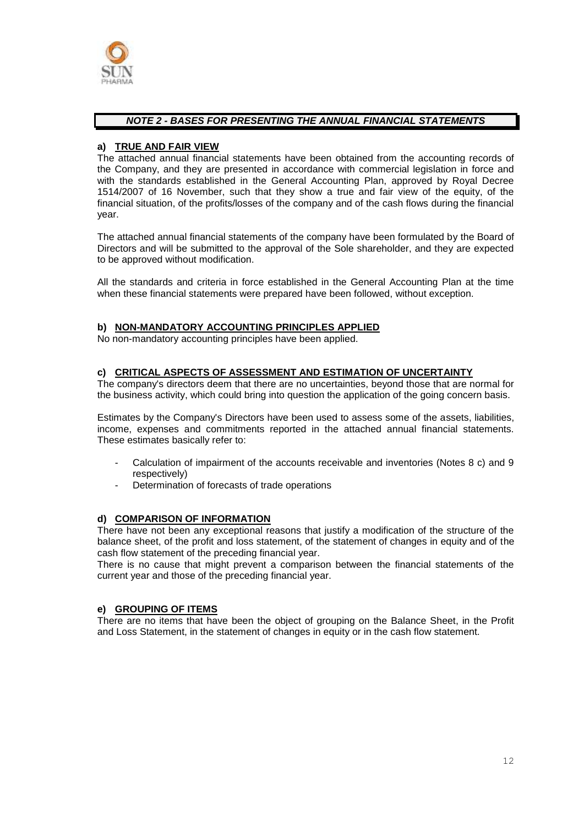

#### *NOTE 2 - BASES FOR PRESENTING THE ANNUAL FINANCIAL STATEMENTS*

#### **a) TRUE AND FAIR VIEW**

The attached annual financial statements have been obtained from the accounting records of the Company, and they are presented in accordance with commercial legislation in force and with the standards established in the General Accounting Plan, approved by Royal Decree 1514/2007 of 16 November, such that they show a true and fair view of the equity, of the financial situation, of the profits/losses of the company and of the cash flows during the financial year.

The attached annual financial statements of the company have been formulated by the Board of Directors and will be submitted to the approval of the Sole shareholder, and they are expected to be approved without modification.

All the standards and criteria in force established in the General Accounting Plan at the time when these financial statements were prepared have been followed, without exception.

#### **b) NON-MANDATORY ACCOUNTING PRINCIPLES APPLIED**

No non-mandatory accounting principles have been applied.

#### **c) CRITICAL ASPECTS OF ASSESSMENT AND ESTIMATION OF UNCERTAINTY**

The company's directors deem that there are no uncertainties, beyond those that are normal for the business activity, which could bring into question the application of the going concern basis.

Estimates by the Company's Directors have been used to assess some of the assets, liabilities, income, expenses and commitments reported in the attached annual financial statements. These estimates basically refer to:

- Calculation of impairment of the accounts receivable and inventories (Notes 8 c) and 9 respectively)
- Determination of forecasts of trade operations

#### **d) COMPARISON OF INFORMATION**

There have not been any exceptional reasons that justify a modification of the structure of the balance sheet, of the profit and loss statement, of the statement of changes in equity and of the cash flow statement of the preceding financial year.

There is no cause that might prevent a comparison between the financial statements of the current year and those of the preceding financial year.

#### **e) GROUPING OF ITEMS**

There are no items that have been the object of grouping on the Balance Sheet, in the Profit and Loss Statement, in the statement of changes in equity or in the cash flow statement.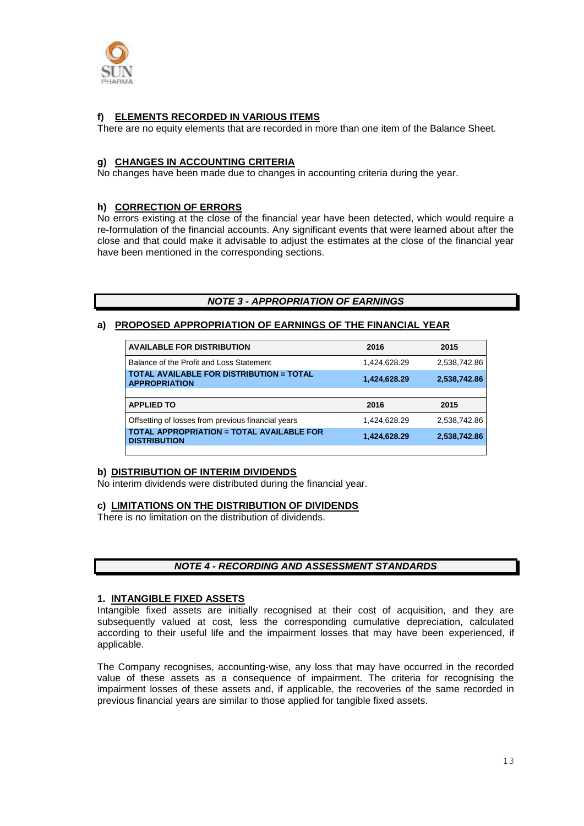

#### **f) ELEMENTS RECORDED IN VARIOUS ITEMS**

There are no equity elements that are recorded in more than one item of the Balance Sheet.

#### **g) CHANGES IN ACCOUNTING CRITERIA**

No changes have been made due to changes in accounting criteria during the year.

#### **h) CORRECTION OF ERRORS**

No errors existing at the close of the financial year have been detected, which would require a re-formulation of the financial accounts. Any significant events that were learned about after the close and that could make it advisable to adjust the estimates at the close of the financial year have been mentioned in the corresponding sections.

#### *NOTE 3 - APPROPRIATION OF EARNINGS*

#### **a) PROPOSED APPROPRIATION OF EARNINGS OF THE FINANCIAL YEAR**

| <b>AVAILABLE FOR DISTRIBUTION</b>                                       | 2016         | 2015         |
|-------------------------------------------------------------------------|--------------|--------------|
| Balance of the Profit and Loss Statement                                | 1,424,628.29 | 2,538,742.86 |
| TOTAL AVAILABLE FOR DISTRIBUTION = TOTAL<br><b>APPROPRIATION</b>        | 1,424,628.29 | 2,538,742.86 |
|                                                                         |              |              |
| <b>APPLIED TO</b>                                                       | 2016         | 2015         |
| Offsetting of losses from previous financial years                      | 1.424.628.29 | 2,538,742.86 |
| <b>TOTAL APPROPRIATION = TOTAL AVAILABLE FOR</b><br><b>DISTRIBUTION</b> | 1,424,628.29 | 2,538,742.86 |

#### **b) DISTRIBUTION OF INTERIM DIVIDENDS**

No interim dividends were distributed during the financial year.

#### **c) LIMITATIONS ON THE DISTRIBUTION OF DIVIDENDS**

There is no limitation on the distribution of dividends.

#### *NOTE 4 - RECORDING AND ASSESSMENT STANDARDS*

#### **1. INTANGIBLE FIXED ASSETS**

Intangible fixed assets are initially recognised at their cost of acquisition, and they are subsequently valued at cost, less the corresponding cumulative depreciation, calculated according to their useful life and the impairment losses that may have been experienced, if applicable.

The Company recognises, accounting-wise, any loss that may have occurred in the recorded value of these assets as a consequence of impairment. The criteria for recognising the impairment losses of these assets and, if applicable, the recoveries of the same recorded in previous financial years are similar to those applied for tangible fixed assets.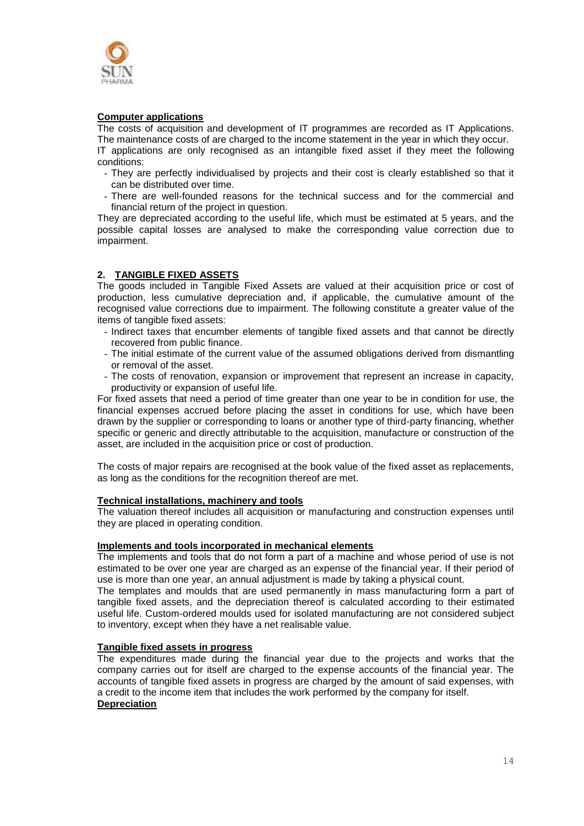

#### **Computer applications**

The costs of acquisition and development of IT programmes are recorded as IT Applications. The maintenance costs of are charged to the income statement in the year in which they occur.

IT applications are only recognised as an intangible fixed asset if they meet the following conditions:

- They are perfectly individualised by projects and their cost is clearly established so that it can be distributed over time.
- There are well-founded reasons for the technical success and for the commercial and financial return of the project in question.

They are depreciated according to the useful life, which must be estimated at 5 years, and the possible capital losses are analysed to make the corresponding value correction due to impairment.

#### **2. TANGIBLE FIXED ASSETS**

The goods included in Tangible Fixed Assets are valued at their acquisition price or cost of production, less cumulative depreciation and, if applicable, the cumulative amount of the recognised value corrections due to impairment. The following constitute a greater value of the items of tangible fixed assets:

- Indirect taxes that encumber elements of tangible fixed assets and that cannot be directly recovered from public finance.
- The initial estimate of the current value of the assumed obligations derived from dismantling or removal of the asset.
- The costs of renovation, expansion or improvement that represent an increase in capacity, productivity or expansion of useful life.

For fixed assets that need a period of time greater than one year to be in condition for use, the financial expenses accrued before placing the asset in conditions for use, which have been drawn by the supplier or corresponding to loans or another type of third-party financing, whether specific or generic and directly attributable to the acquisition, manufacture or construction of the asset, are included in the acquisition price or cost of production.

The costs of major repairs are recognised at the book value of the fixed asset as replacements, as long as the conditions for the recognition thereof are met.

#### **Technical installations, machinery and tools**

The valuation thereof includes all acquisition or manufacturing and construction expenses until they are placed in operating condition.

#### **Implements and tools incorporated in mechanical elements**

The implements and tools that do not form a part of a machine and whose period of use is not estimated to be over one year are charged as an expense of the financial year. If their period of use is more than one year, an annual adjustment is made by taking a physical count.

The templates and moulds that are used permanently in mass manufacturing form a part of tangible fixed assets, and the depreciation thereof is calculated according to their estimated useful life. Custom-ordered moulds used for isolated manufacturing are not considered subject to inventory, except when they have a net realisable value.

#### **Tangible fixed assets in progress**

The expenditures made during the financial year due to the projects and works that the company carries out for itself are charged to the expense accounts of the financial year. The accounts of tangible fixed assets in progress are charged by the amount of said expenses, with a credit to the income item that includes the work performed by the company for itself. **Depreciation**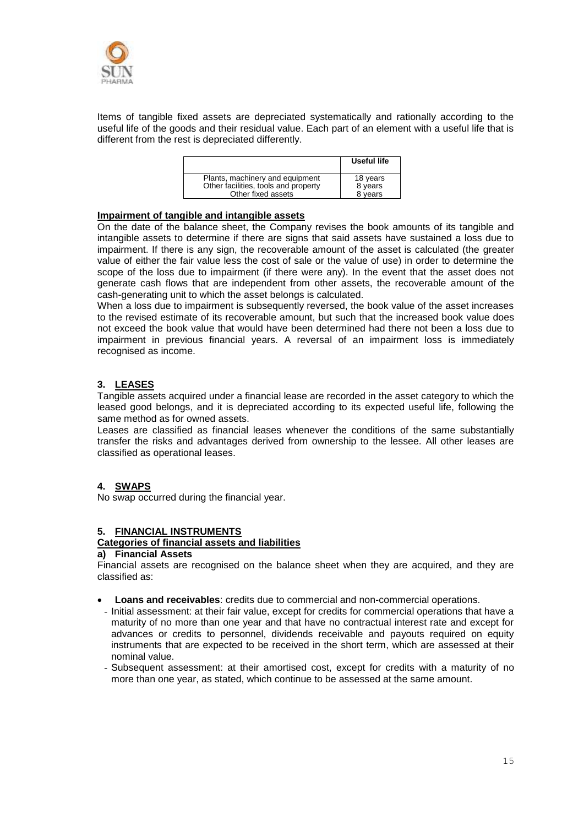

Items of tangible fixed assets are depreciated systematically and rationally according to the useful life of the goods and their residual value. Each part of an element with a useful life that is different from the rest is depreciated differently.

|                                                                         | Useful life         |
|-------------------------------------------------------------------------|---------------------|
| Plants, machinery and equipment<br>Other facilities, tools and property | 18 years<br>8 years |
| Other fixed assets                                                      | 8 years             |

#### **Impairment of tangible and intangible assets**

On the date of the balance sheet, the Company revises the book amounts of its tangible and intangible assets to determine if there are signs that said assets have sustained a loss due to impairment. If there is any sign, the recoverable amount of the asset is calculated (the greater value of either the fair value less the cost of sale or the value of use) in order to determine the scope of the loss due to impairment (if there were any). In the event that the asset does not generate cash flows that are independent from other assets, the recoverable amount of the cash-generating unit to which the asset belongs is calculated.

When a loss due to impairment is subsequently reversed, the book value of the asset increases to the revised estimate of its recoverable amount, but such that the increased book value does not exceed the book value that would have been determined had there not been a loss due to impairment in previous financial years. A reversal of an impairment loss is immediately recognised as income.

#### **3. LEASES**

Tangible assets acquired under a financial lease are recorded in the asset category to which the leased good belongs, and it is depreciated according to its expected useful life, following the same method as for owned assets.

Leases are classified as financial leases whenever the conditions of the same substantially transfer the risks and advantages derived from ownership to the lessee. All other leases are classified as operational leases.

#### **4. SWAPS**

No swap occurred during the financial year.

#### **5. FINANCIAL INSTRUMENTS**

#### **Categories of financial assets and liabilities**

#### **a) Financial Assets**

Financial assets are recognised on the balance sheet when they are acquired, and they are classified as:

- **Loans and receivables**: credits due to commercial and non-commercial operations.
- Initial assessment: at their fair value, except for credits for commercial operations that have a maturity of no more than one year and that have no contractual interest rate and except for advances or credits to personnel, dividends receivable and payouts required on equity instruments that are expected to be received in the short term, which are assessed at their nominal value.
- Subsequent assessment: at their amortised cost, except for credits with a maturity of no more than one year, as stated, which continue to be assessed at the same amount.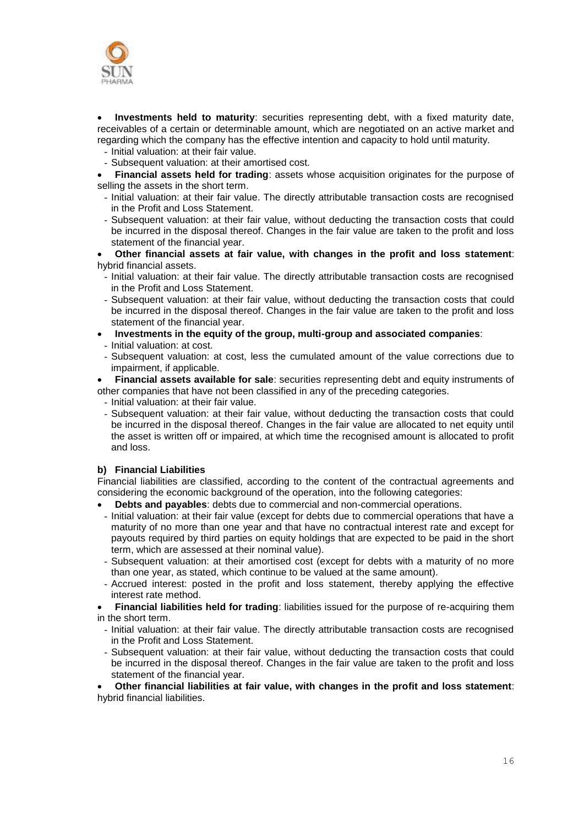

 **Investments held to maturity**: securities representing debt, with a fixed maturity date, receivables of a certain or determinable amount, which are negotiated on an active market and regarding which the company has the effective intention and capacity to hold until maturity.

- Initial valuation: at their fair value.
- Subsequent valuation: at their amortised cost.
- **Financial assets held for trading**: assets whose acquisition originates for the purpose of selling the assets in the short term.
	- Initial valuation: at their fair value. The directly attributable transaction costs are recognised in the Profit and Loss Statement.
- Subsequent valuation: at their fair value, without deducting the transaction costs that could be incurred in the disposal thereof. Changes in the fair value are taken to the profit and loss statement of the financial year.

 **Other financial assets at fair value, with changes in the profit and loss statement**: hybrid financial assets.

- Initial valuation: at their fair value. The directly attributable transaction costs are recognised in the Profit and Loss Statement.
- Subsequent valuation: at their fair value, without deducting the transaction costs that could be incurred in the disposal thereof. Changes in the fair value are taken to the profit and loss statement of the financial year.
- **Investments in the equity of the group, multi-group and associated companies**:
- Initial valuation: at cost.
- Subsequent valuation: at cost, less the cumulated amount of the value corrections due to impairment, if applicable.

 **Financial assets available for sale**: securities representing debt and equity instruments of other companies that have not been classified in any of the preceding categories.

- Initial valuation: at their fair value.
- Subsequent valuation: at their fair value, without deducting the transaction costs that could be incurred in the disposal thereof. Changes in the fair value are allocated to net equity until the asset is written off or impaired, at which time the recognised amount is allocated to profit and loss.

#### **b) Financial Liabilities**

Financial liabilities are classified, according to the content of the contractual agreements and considering the economic background of the operation, into the following categories:

- **Debts and payables**: debts due to commercial and non-commercial operations.
- Initial valuation: at their fair value (except for debts due to commercial operations that have a maturity of no more than one year and that have no contractual interest rate and except for payouts required by third parties on equity holdings that are expected to be paid in the short term, which are assessed at their nominal value).
- Subsequent valuation: at their amortised cost (except for debts with a maturity of no more than one year, as stated, which continue to be valued at the same amount).
- Accrued interest: posted in the profit and loss statement, thereby applying the effective interest rate method.

 **Financial liabilities held for trading**: liabilities issued for the purpose of re-acquiring them in the short term.

- Initial valuation: at their fair value. The directly attributable transaction costs are recognised in the Profit and Loss Statement.
- Subsequent valuation: at their fair value, without deducting the transaction costs that could be incurred in the disposal thereof. Changes in the fair value are taken to the profit and loss statement of the financial year.

 **Other financial liabilities at fair value, with changes in the profit and loss statement**: hybrid financial liabilities.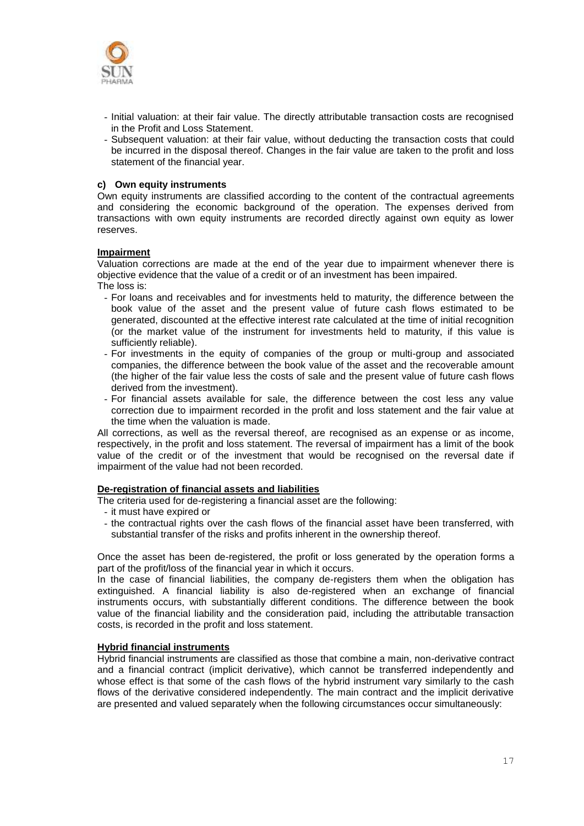

- Initial valuation: at their fair value. The directly attributable transaction costs are recognised in the Profit and Loss Statement.
- Subsequent valuation: at their fair value, without deducting the transaction costs that could be incurred in the disposal thereof. Changes in the fair value are taken to the profit and loss statement of the financial year.

#### **c) Own equity instruments**

Own equity instruments are classified according to the content of the contractual agreements and considering the economic background of the operation. The expenses derived from transactions with own equity instruments are recorded directly against own equity as lower reserves.

#### **Impairment**

Valuation corrections are made at the end of the year due to impairment whenever there is objective evidence that the value of a credit or of an investment has been impaired.

The loss is:

- For loans and receivables and for investments held to maturity, the difference between the book value of the asset and the present value of future cash flows estimated to be generated, discounted at the effective interest rate calculated at the time of initial recognition (or the market value of the instrument for investments held to maturity, if this value is sufficiently reliable).
- For investments in the equity of companies of the group or multi-group and associated companies, the difference between the book value of the asset and the recoverable amount (the higher of the fair value less the costs of sale and the present value of future cash flows derived from the investment).
- For financial assets available for sale, the difference between the cost less any value correction due to impairment recorded in the profit and loss statement and the fair value at the time when the valuation is made.

All corrections, as well as the reversal thereof, are recognised as an expense or as income, respectively, in the profit and loss statement. The reversal of impairment has a limit of the book value of the credit or of the investment that would be recognised on the reversal date if impairment of the value had not been recorded.

#### **De-registration of financial assets and liabilities**

The criteria used for de-registering a financial asset are the following:

- it must have expired or
- the contractual rights over the cash flows of the financial asset have been transferred, with substantial transfer of the risks and profits inherent in the ownership thereof.

Once the asset has been de-registered, the profit or loss generated by the operation forms a part of the profit/loss of the financial year in which it occurs.

In the case of financial liabilities, the company de-registers them when the obligation has extinguished. A financial liability is also de-registered when an exchange of financial instruments occurs, with substantially different conditions. The difference between the book value of the financial liability and the consideration paid, including the attributable transaction costs, is recorded in the profit and loss statement.

#### **Hybrid financial instruments**

Hybrid financial instruments are classified as those that combine a main, non-derivative contract and a financial contract (implicit derivative), which cannot be transferred independently and whose effect is that some of the cash flows of the hybrid instrument vary similarly to the cash flows of the derivative considered independently. The main contract and the implicit derivative are presented and valued separately when the following circumstances occur simultaneously: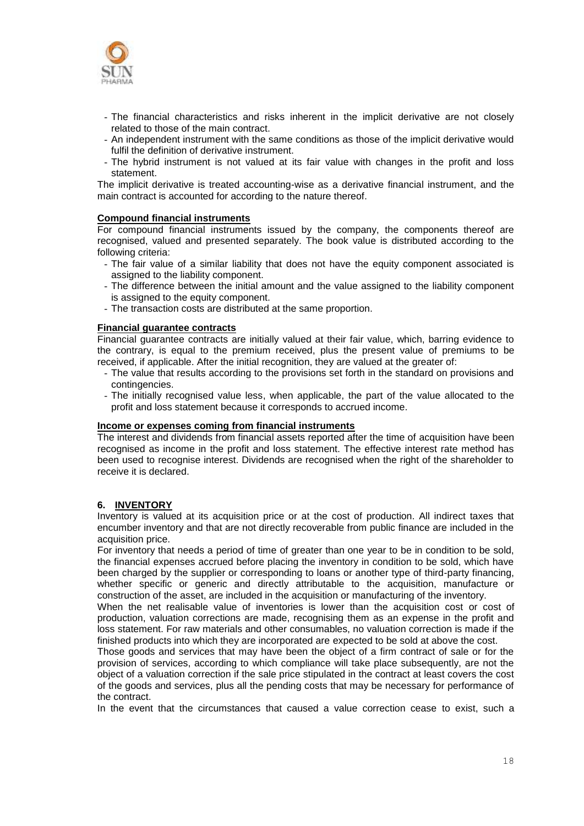

- The financial characteristics and risks inherent in the implicit derivative are not closely related to those of the main contract.
- An independent instrument with the same conditions as those of the implicit derivative would fulfil the definition of derivative instrument.
- The hybrid instrument is not valued at its fair value with changes in the profit and loss statement.

The implicit derivative is treated accounting-wise as a derivative financial instrument, and the main contract is accounted for according to the nature thereof.

#### **Compound financial instruments**

For compound financial instruments issued by the company, the components thereof are recognised, valued and presented separately. The book value is distributed according to the following criteria:

- The fair value of a similar liability that does not have the equity component associated is assigned to the liability component.
- The difference between the initial amount and the value assigned to the liability component is assigned to the equity component.
- The transaction costs are distributed at the same proportion.

#### **Financial guarantee contracts**

Financial guarantee contracts are initially valued at their fair value, which, barring evidence to the contrary, is equal to the premium received, plus the present value of premiums to be received, if applicable. After the initial recognition, they are valued at the greater of:

- The value that results according to the provisions set forth in the standard on provisions and contingencies.
- The initially recognised value less, when applicable, the part of the value allocated to the profit and loss statement because it corresponds to accrued income.

#### **Income or expenses coming from financial instruments**

The interest and dividends from financial assets reported after the time of acquisition have been recognised as income in the profit and loss statement. The effective interest rate method has been used to recognise interest. Dividends are recognised when the right of the shareholder to receive it is declared.

#### **6. INVENTORY**

Inventory is valued at its acquisition price or at the cost of production. All indirect taxes that encumber inventory and that are not directly recoverable from public finance are included in the acquisition price.

For inventory that needs a period of time of greater than one year to be in condition to be sold, the financial expenses accrued before placing the inventory in condition to be sold, which have been charged by the supplier or corresponding to loans or another type of third-party financing, whether specific or generic and directly attributable to the acquisition, manufacture or construction of the asset, are included in the acquisition or manufacturing of the inventory.

When the net realisable value of inventories is lower than the acquisition cost or cost of production, valuation corrections are made, recognising them as an expense in the profit and loss statement. For raw materials and other consumables, no valuation correction is made if the finished products into which they are incorporated are expected to be sold at above the cost.

Those goods and services that may have been the object of a firm contract of sale or for the provision of services, according to which compliance will take place subsequently, are not the object of a valuation correction if the sale price stipulated in the contract at least covers the cost of the goods and services, plus all the pending costs that may be necessary for performance of the contract.

In the event that the circumstances that caused a value correction cease to exist, such a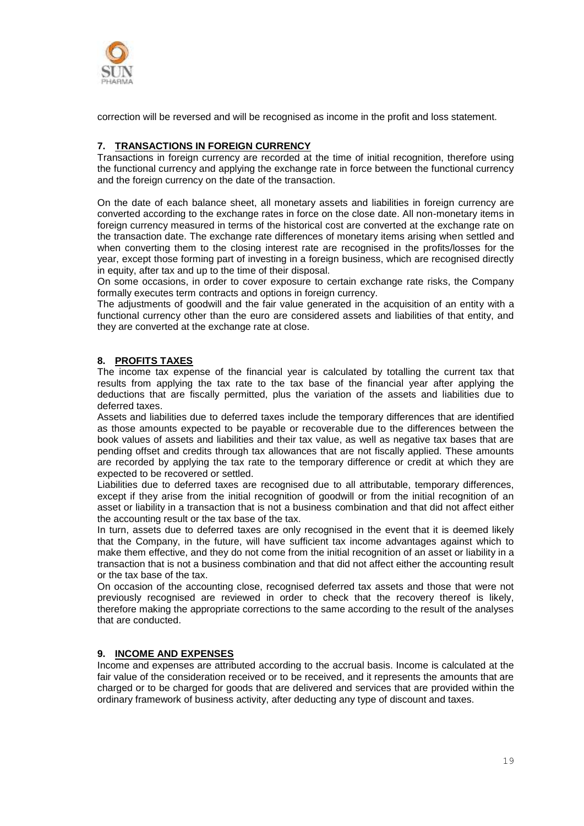

correction will be reversed and will be recognised as income in the profit and loss statement.

#### **7. TRANSACTIONS IN FOREIGN CURRENCY**

Transactions in foreign currency are recorded at the time of initial recognition, therefore using the functional currency and applying the exchange rate in force between the functional currency and the foreign currency on the date of the transaction.

On the date of each balance sheet, all monetary assets and liabilities in foreign currency are converted according to the exchange rates in force on the close date. All non-monetary items in foreign currency measured in terms of the historical cost are converted at the exchange rate on the transaction date. The exchange rate differences of monetary items arising when settled and when converting them to the closing interest rate are recognised in the profits/losses for the year, except those forming part of investing in a foreign business, which are recognised directly in equity, after tax and up to the time of their disposal.

On some occasions, in order to cover exposure to certain exchange rate risks, the Company formally executes term contracts and options in foreign currency.

The adjustments of goodwill and the fair value generated in the acquisition of an entity with a functional currency other than the euro are considered assets and liabilities of that entity, and they are converted at the exchange rate at close.

#### **8. PROFITS TAXES**

The income tax expense of the financial year is calculated by totalling the current tax that results from applying the tax rate to the tax base of the financial year after applying the deductions that are fiscally permitted, plus the variation of the assets and liabilities due to deferred taxes.

Assets and liabilities due to deferred taxes include the temporary differences that are identified as those amounts expected to be payable or recoverable due to the differences between the book values of assets and liabilities and their tax value, as well as negative tax bases that are pending offset and credits through tax allowances that are not fiscally applied. These amounts are recorded by applying the tax rate to the temporary difference or credit at which they are expected to be recovered or settled.

Liabilities due to deferred taxes are recognised due to all attributable, temporary differences, except if they arise from the initial recognition of goodwill or from the initial recognition of an asset or liability in a transaction that is not a business combination and that did not affect either the accounting result or the tax base of the tax.

In turn, assets due to deferred taxes are only recognised in the event that it is deemed likely that the Company, in the future, will have sufficient tax income advantages against which to make them effective, and they do not come from the initial recognition of an asset or liability in a transaction that is not a business combination and that did not affect either the accounting result or the tax base of the tax.

On occasion of the accounting close, recognised deferred tax assets and those that were not previously recognised are reviewed in order to check that the recovery thereof is likely, therefore making the appropriate corrections to the same according to the result of the analyses that are conducted.

#### **9. INCOME AND EXPENSES**

Income and expenses are attributed according to the accrual basis. Income is calculated at the fair value of the consideration received or to be received, and it represents the amounts that are charged or to be charged for goods that are delivered and services that are provided within the ordinary framework of business activity, after deducting any type of discount and taxes.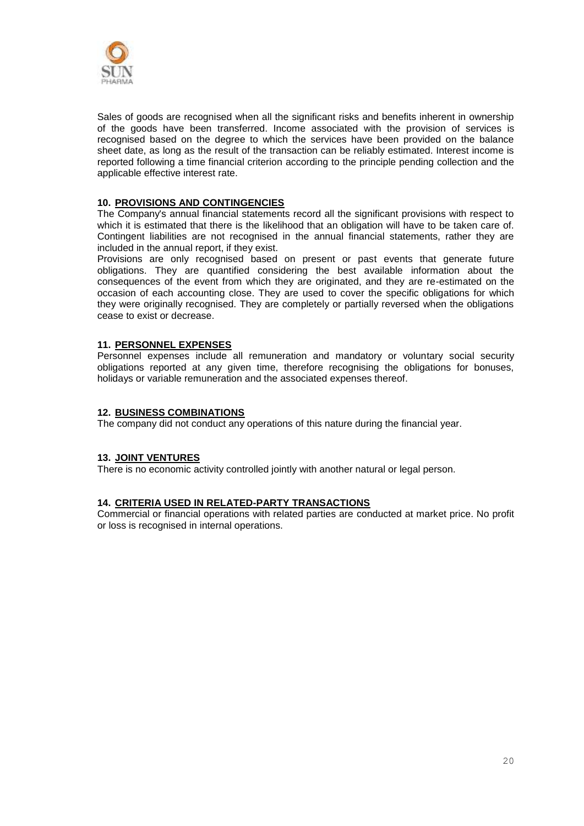

Sales of goods are recognised when all the significant risks and benefits inherent in ownership of the goods have been transferred. Income associated with the provision of services is recognised based on the degree to which the services have been provided on the balance sheet date, as long as the result of the transaction can be reliably estimated. Interest income is reported following a time financial criterion according to the principle pending collection and the applicable effective interest rate.

#### **10. PROVISIONS AND CONTINGENCIES**

The Company's annual financial statements record all the significant provisions with respect to which it is estimated that there is the likelihood that an obligation will have to be taken care of. Contingent liabilities are not recognised in the annual financial statements, rather they are included in the annual report, if they exist.

Provisions are only recognised based on present or past events that generate future obligations. They are quantified considering the best available information about the consequences of the event from which they are originated, and they are re-estimated on the occasion of each accounting close. They are used to cover the specific obligations for which they were originally recognised. They are completely or partially reversed when the obligations cease to exist or decrease.

#### **11. PERSONNEL EXPENSES**

Personnel expenses include all remuneration and mandatory or voluntary social security obligations reported at any given time, therefore recognising the obligations for bonuses, holidays or variable remuneration and the associated expenses thereof.

#### **12. BUSINESS COMBINATIONS**

The company did not conduct any operations of this nature during the financial year.

#### **13. JOINT VENTURES**

There is no economic activity controlled jointly with another natural or legal person.

#### **14. CRITERIA USED IN RELATED-PARTY TRANSACTIONS**

Commercial or financial operations with related parties are conducted at market price. No profit or loss is recognised in internal operations.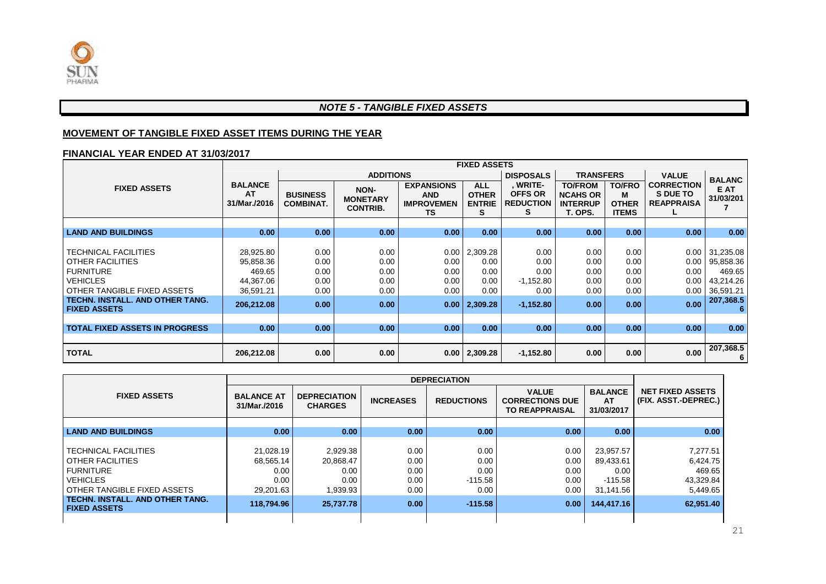

#### *NOTE 5 - TANGIBLE FIXED ASSETS*

#### **MOVEMENT OF TANGIBLE FIXED ASSET ITEMS DURING THE YEAR**

#### **FINANCIAL YEAR ENDED AT 31/03/2017**

|                                                                                                                                                                                               |                                                                          | <b>FIXED ASSETS</b>                                                               |                                              |                                                                   |                                                      |                                                            |                                                                 |                                                    |                                                    |                                                                              |
|-----------------------------------------------------------------------------------------------------------------------------------------------------------------------------------------------|--------------------------------------------------------------------------|-----------------------------------------------------------------------------------|----------------------------------------------|-------------------------------------------------------------------|------------------------------------------------------|------------------------------------------------------------|-----------------------------------------------------------------|----------------------------------------------------|----------------------------------------------------|------------------------------------------------------------------------------|
|                                                                                                                                                                                               | <b>ADDITIONS</b>                                                         |                                                                                   |                                              |                                                                   |                                                      | <b>DISPOSALS</b><br><b>TRANSFERS</b>                       |                                                                 |                                                    | <b>VALUE</b>                                       | <b>BALANC</b>                                                                |
| <b>FIXED ASSETS</b>                                                                                                                                                                           | <b>BALANCE</b><br><b>AT</b><br>31/Mar./2016                              | NON-<br><b>BUSINESS</b><br><b>MONETARY</b><br><b>COMBINAT.</b><br><b>CONTRIB.</b> |                                              | <b>EXPANSIONS</b><br><b>AND</b><br><b>IMPROVEMEN</b><br><b>TS</b> |                                                      | , WRITE-<br><b>OFFS OR</b><br><b>REDUCTION</b><br>s        | <b>TO/FROM</b><br><b>NCAHS OR</b><br><b>INTERRUP</b><br>T. OPS. | <b>TO/FRO</b><br>М<br><b>OTHER</b><br><b>ITEMS</b> | <b>CORRECTION</b><br>S DUE TO<br><b>REAPPRAISA</b> | E AT<br>31/03/201                                                            |
|                                                                                                                                                                                               |                                                                          |                                                                                   |                                              |                                                                   |                                                      |                                                            |                                                                 |                                                    |                                                    |                                                                              |
| <b>LAND AND BUILDINGS</b>                                                                                                                                                                     | 0.00                                                                     | 0.00                                                                              | 0.00                                         | 0.00                                                              | 0.00                                                 | 0.00                                                       | 0.00                                                            | 0.00                                               | 0.00                                               | 0.00                                                                         |
| <b>TECHNICAL FACILITIES</b><br><b>OTHER FACILITIES</b><br><b>FURNITURE</b><br><b>VEHICLES</b><br><b>OTHER TANGIBLE FIXED ASSETS</b><br>TECHN. INSTALL. AND OTHER TANG.<br><b>FIXED ASSETS</b> | 28,925.80<br>95,858.36<br>469.65<br>44,367.06<br>36,591.21<br>206,212.08 | 0.00<br>0.00<br>0.00<br>0.00<br>0.00<br>0.00                                      | 0.00<br>0.00<br>0.00<br>0.00<br>0.00<br>0.00 | 0.00<br>0.00<br>0.00<br>0.00<br>0.00<br>0.00                      | 2,309.28<br>0.00<br>0.00<br>0.00<br>0.00<br>2,309.28 | 0.00<br>0.00<br>0.00<br>$-1,152.80$<br>0.00<br>$-1,152.80$ | 0.00<br>0.00<br>0.00<br>0.00<br>0.00<br>0.00                    | 0.00<br>0.00<br>0.00<br>0.00<br>0.00<br>0.00       | $0.00\,$<br>0.00<br>0.00<br>0.00<br>0.00<br>0.00   | 31,235.08<br>95,858.36<br>469.65<br>43,214.26<br>36,591.21<br>207,368.5<br>6 |
| <b>TOTAL FIXED ASSETS IN PROGRESS</b>                                                                                                                                                         | 0.00                                                                     | 0.00                                                                              | 0.00                                         | 0.00 <sub>1</sub>                                                 | 0.00                                                 | 0.00                                                       | 0.00                                                            | 0.00                                               | 0.00                                               | 0.00                                                                         |
| <b>TOTAL</b>                                                                                                                                                                                  | 206,212.08                                                               | 0.00                                                                              | 0.00                                         | 0.00                                                              | 2,309.28                                             | $-1,152.80$                                                | 0.00                                                            | 0.00                                               | 0.00                                               | 207,368.5<br>6                                                               |

| <b>FIXED ASSETS</b>                                           | <b>BALANCE AT</b><br>31/Mar./2016 | <b>DEPRECIATION</b><br><b>CHARGES</b> | <b>INCREASES</b>  | <b>REDUCTIONS</b> | <b>VALUE</b><br><b>CORRECTIONS DUE</b><br><b>TO REAPPRAISAL</b> | <b>BALANCE</b><br><b>AT</b><br>31/03/2017 | <b>NET FIXED ASSETS</b><br>(FIX. ASST.-DEPREC.) |
|---------------------------------------------------------------|-----------------------------------|---------------------------------------|-------------------|-------------------|-----------------------------------------------------------------|-------------------------------------------|-------------------------------------------------|
|                                                               |                                   |                                       |                   |                   |                                                                 |                                           |                                                 |
| <b>LAND AND BUILDINGS</b>                                     | 0.00                              | 0.00                                  | 0.00 <sub>1</sub> | 0.00              | 0.00                                                            | 0.00                                      | 0.00                                            |
|                                                               |                                   |                                       |                   |                   |                                                                 |                                           |                                                 |
| <b>TECHNICAL FACILITIES</b>                                   | 21,028.19                         | 2,929.38                              | 0.00              | 0.00              | 0.00                                                            | 23,957.57                                 | 7,277.51                                        |
| OTHER FACILITIES                                              | 68.565.14                         | 20,868.47                             | 0.00              | 0.00              | 0.00                                                            | 89,433.61                                 | 6,424.75                                        |
| <b>FURNITURE</b>                                              | 0.00                              | 0.00                                  | 0.00              | 0.00              | 0.00                                                            | 0.00                                      | 469.65                                          |
| <b>VEHICLES</b>                                               | 0.00                              | 0.00                                  | 0.00              | $-115.58$         | 0.00                                                            | $-115.58$                                 | 43,329.84                                       |
| OTHER TANGIBLE FIXED ASSETS                                   | 29,201.63                         | 1,939.93                              | 0.00              | 0.00              | 0.00                                                            | 31,141.56                                 | 5,449.65                                        |
| <b>TECHN. INSTALL, AND OTHER TANG.</b><br><b>FIXED ASSETS</b> | 118,794.96                        | 25.737.78                             | 0.00 <sub>1</sub> | $-115.58$         | 0.00                                                            | 144,417.16                                | 62,951.40                                       |
|                                                               |                                   |                                       |                   |                   |                                                                 |                                           |                                                 |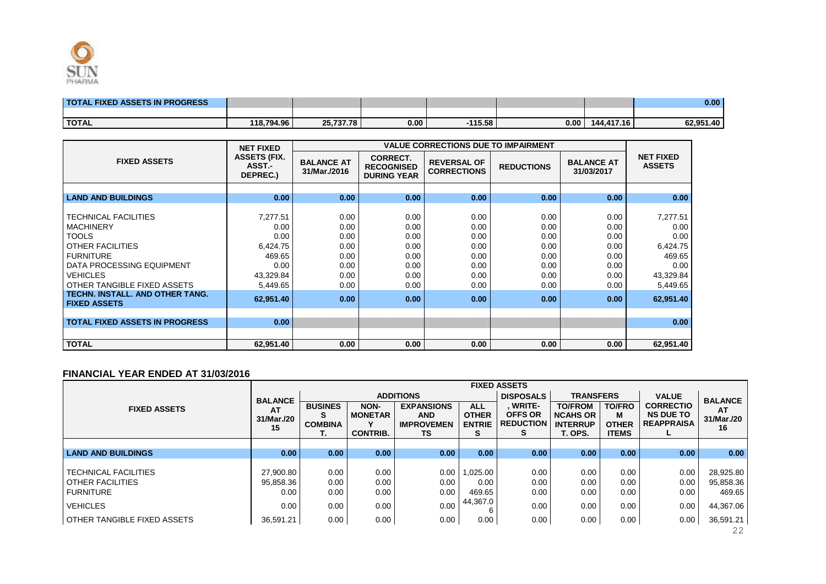

|              | <br><br><br>.<br>~~~~~~~~~~<br>,,,,,,,,,,,,,,,,,,,,,,,<br>~~~~~~~~~~<br>~~~~~~~~~~~~<br>,,,,,,,,,,,,,,,,,,,,,,,,<br><br>~~~~~~~~~~~<br>,,,,,,,,,,,,,,,,,,,,,,,,<br><br>~~~~~~~~~~~<br><br><br><br><br><br><br><br> | ,,,,,,,,,,,,,,,,,,,,,,,,<br>.<br><br><br>~~~~~~~~~~<br><br><br><br>.<br><br>,,,,,,,,,,,,,,,,,,,,,,,,,,,,,,<br>~~~~~~~~~~~<br>~~~~~~~~~~~~~~~~<br>,,,,,,,,,,,,,,,,,,,,,,,,,,,,,,,<br>.<br><br><br><br><br><br><br>~~~~~~~~~~~~ | <br><br><br><br><br>~~~~~~~~~~~~~~~<br><br><br><br><br><br><br><br><br> | ,,,,,,,,,,,,,,,,,,,,,,,,,<br>.<br>~~~~~~~~~~~~~~~~~<br><br>,,,,,,,,,,,,,,,,,,,,,,,,,,,,,,<br><br>,,,,,,,,,,,,,,,,,,,,,<br><br>.<br><br><br>,,,,,,,,,,,,,,,,,,,,,,,,,,,,,<br><br>~~~~~~~~~~~~<br>~~~~~~~~~~~~~~~<br><br><br><br><br><br><br><br>,,,,,,,,,,,,,,,,,,,,,,,,,<br> | <br>~~~~~~~~~~~~~~~~~~~~~~~~~~~~~<br><br>~~~~~~~~~~~~~~~~~~~~~~~~~~~<br>.<br><br>~~~~~~~~~~~~~~~~~~~~~~~~~~~~<br>~~~~~~<br>~~~~~~~~~~~~~~~~~~~~~~~~~~~<br><br><br>~~~~~~~~~~~~~~~~~~~~~~~~~~~<br> | <br>~~~~~~~~~~~~~~~~~~~~~<br><br><br><br><br><br><br><br><br> | 0.00 |
|--------------|--------------------------------------------------------------------------------------------------------------------------------------------------------------------------------------------------------------------|-------------------------------------------------------------------------------------------------------------------------------------------------------------------------------------------------------------------------------|-------------------------------------------------------------------------|------------------------------------------------------------------------------------------------------------------------------------------------------------------------------------------------------------------------------------------------------------------------------|---------------------------------------------------------------------------------------------------------------------------------------------------------------------------------------------------|---------------------------------------------------------------|------|
|              |                                                                                                                                                                                                                    |                                                                                                                                                                                                                               |                                                                         |                                                                                                                                                                                                                                                                              |                                                                                                                                                                                                   |                                                               |      |
| <b>TOTAL</b> | ΩC                                                                                                                                                                                                                 | 70                                                                                                                                                                                                                            | 0.00                                                                    | AF EO                                                                                                                                                                                                                                                                        | 0.00                                                                                                                                                                                              | <u>л</u>                                                      | 40   |

| <b>FIXED ASSETS</b>                                                                                                                                                                           | <b>ASSETS (FIX.</b><br>ASST -<br>DEPREC.)                                       | <b>BALANCE AT</b><br>31/Mar./2016                            | <b>CORRECT.</b><br><b>RECOGNISED</b><br><b>DURING YEAR</b>   | <b>REVERSAL OF</b><br><b>CORRECTIONS</b>                     | <b>REDUCTIONS</b>                                            | <b>BALANCE AT</b><br>31/03/2017                              | <b>NET FIXED</b><br><b>ASSETS</b>                                               |
|-----------------------------------------------------------------------------------------------------------------------------------------------------------------------------------------------|---------------------------------------------------------------------------------|--------------------------------------------------------------|--------------------------------------------------------------|--------------------------------------------------------------|--------------------------------------------------------------|--------------------------------------------------------------|---------------------------------------------------------------------------------|
|                                                                                                                                                                                               |                                                                                 |                                                              |                                                              |                                                              |                                                              |                                                              |                                                                                 |
| <b>LAND AND BUILDINGS</b>                                                                                                                                                                     | 0.00                                                                            | 0.00                                                         | 0.00                                                         | 0.00                                                         | 0.00                                                         | 0.00                                                         | 0.00                                                                            |
| <b>TECHNICAL FACILITIES</b><br><b>MACHINERY</b><br><b>TOOLS</b><br><b>OTHER FACILITIES</b><br><b>FURNITURE</b><br>DATA PROCESSING EQUIPMENT<br><b>VEHICLES</b><br>OTHER TANGIBLE FIXED ASSETS | 7,277.51<br>0.00<br>0.00<br>6,424.75<br>469.65<br>0.00<br>43,329.84<br>5,449.65 | 0.00<br>0.00<br>0.00<br>0.00<br>0.00<br>0.00<br>0.00<br>0.00 | 0.00<br>0.00<br>0.00<br>0.00<br>0.00<br>0.00<br>0.00<br>0.00 | 0.00<br>0.00<br>0.00<br>0.00<br>0.00<br>0.00<br>0.00<br>0.00 | 0.00<br>0.00<br>0.00<br>0.00<br>0.00<br>0.00<br>0.00<br>0.00 | 0.00<br>0.00<br>0.00<br>0.00<br>0.00<br>0.00<br>0.00<br>0.00 | 7,277.51<br>0.00<br>0.00<br>6,424.75<br>469.65<br>0.00<br>43,329.84<br>5,449.65 |
| TECHN. INSTALL. AND OTHER TANG.<br><b>FIXED ASSETS</b>                                                                                                                                        | 62,951.40                                                                       | 0.00 <sub>1</sub>                                            | 0.00                                                         | 0.00                                                         | 0.00                                                         | 0.00                                                         | 62,951.40                                                                       |
| <b>TOTAL FIXED ASSETS IN PROGRESS</b>                                                                                                                                                         | 0.00                                                                            |                                                              |                                                              |                                                              |                                                              |                                                              | 0.00                                                                            |
| <b>TOTAL</b>                                                                                                                                                                                  | 62,951.40                                                                       | 0.00 <sub>1</sub>                                            | 0.00                                                         | 0.00                                                         | 0.00                                                         | 0.00                                                         | 62,951.40                                                                       |

#### **FINANCIAL YEAR ENDED AT 31/03/2016**

|                                                                            |                                |                                             |                                           |                                                            |                                                  | <b>FIXED ASSETS</b>                                      |                                                                 |                                                    |                                                           |                                  |
|----------------------------------------------------------------------------|--------------------------------|---------------------------------------------|-------------------------------------------|------------------------------------------------------------|--------------------------------------------------|----------------------------------------------------------|-----------------------------------------------------------------|----------------------------------------------------|-----------------------------------------------------------|----------------------------------|
|                                                                            | <b>BALANCE</b>                 |                                             |                                           | <b>ADDITIONS</b>                                           |                                                  | <b>DISPOSALS</b>                                         | <b>TRANSFERS</b>                                                |                                                    | <b>VALUE</b>                                              | <b>BALANCE</b>                   |
| <b>FIXED ASSETS</b>                                                        | AT<br>31/Mar./20<br>15         | <b>BUSINES</b><br>S<br><b>COMBINA</b><br>т. | NON-<br><b>MONETAR</b><br><b>CONTRIB.</b> | <b>EXPANSIONS</b><br><b>AND</b><br><b>IMPROVEMEN</b><br>TS | <b>ALL</b><br><b>OTHER</b><br><b>ENTRIE</b><br>s | <b>WRITE-</b><br><b>OFFS OR</b><br><b>REDUCTION</b><br>s | <b>TO/FROM</b><br><b>NCAHS OR</b><br><b>INTERRUP</b><br>T. OPS. | <b>TO/FRO</b><br>м<br><b>OTHER</b><br><b>ITEMS</b> | <b>CORRECTIO</b><br><b>NS DUE TO</b><br><b>REAPPRAISA</b> | AT<br>31/Mar./20<br>16           |
|                                                                            |                                |                                             |                                           |                                                            |                                                  |                                                          |                                                                 |                                                    |                                                           |                                  |
| <b>LAND AND BUILDINGS</b>                                                  | 0.00                           | 0.00 <sub>1</sub>                           | 0.00 <sub>1</sub>                         | 0.00                                                       | 0.00                                             | 0.00 <sub>1</sub>                                        | 0.00                                                            | 0.00                                               | 0.00                                                      | 0.00                             |
| <b>TECHNICAL FACILITIES</b><br><b>OTHER FACILITIES</b><br><b>FURNITURE</b> | 27.900.80<br>95.858.36<br>0.00 | 0.00<br>0.00<br>0.00                        | 0.00<br>0.00<br>0.00                      | 0.00<br>0.00<br>0.00                                       | 1,025.00<br>0.00<br>469.65<br>44,367.0           | 0.00<br>0.00<br>0.00                                     | 0.00<br>0.00<br>0.00                                            | 0.00<br>0.00<br>0.00                               | 0.00<br>0.00<br>0.00                                      | 28,925.80<br>95,858.36<br>469.65 |
| <b>VEHICLES</b>                                                            | 0.00                           | 0.00                                        | 0.00                                      | 0.00                                                       |                                                  | 0.00                                                     | 0.00                                                            | 0.00                                               | 0.00                                                      | 44,367.06                        |
| OTHER TANGIBLE FIXED ASSETS                                                | 36,591.21                      | 0.00                                        | 0.00                                      | 0.00                                                       | 0.00                                             | 0.00                                                     | 0.00                                                            | 0.00                                               | 0.00                                                      | 36,591.21<br>22                  |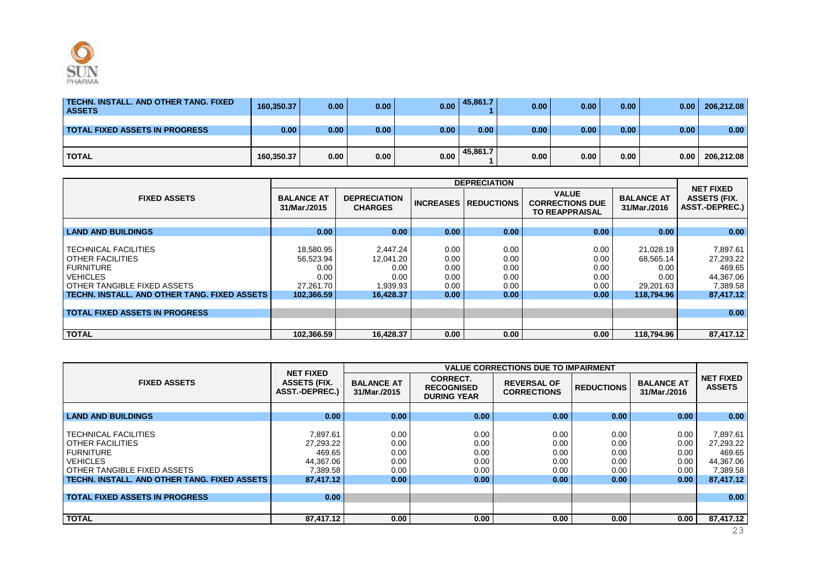

| TECHN. INSTALL. AND OTHER TANG. FIXED<br><b>ASSETS</b> | 160.350.37        | 0.00 | 0.00 <sub>1</sub> | 0.00 <sub>1</sub> | 45,861.7 | 0.00 | 0.00              | 0.00 <sub>1</sub> | 0.00 <sub>1</sub> | 206,212.08 |
|--------------------------------------------------------|-------------------|------|-------------------|-------------------|----------|------|-------------------|-------------------|-------------------|------------|
| TOTAL FIXED ASSETS IN PROGRESS_                        | 0.00 <sub>1</sub> | 0.00 | 0.00 <sub>1</sub> | 0.00              | 0.00     | 0.00 | 0.00 <sub>1</sub> | 0.00 <sub>1</sub> | 0.00 <sub>1</sub> | 0.00       |
|                                                        |                   |      |                   |                   |          |      |                   |                   |                   |            |
| <b>TOTAL</b>                                           | 160,350.37        | 0.00 | 0.00              | 0.00              | 45,861.7 | 0.00 | 0.00              | 0.00              | 0.00              | 206,212.08 |

|                                                                                                                                                                                       |                                                                   |                                                                |                                              | <b>DEPRECIATION</b>                                       |                                                                 |                                                                   |                                                                       |
|---------------------------------------------------------------------------------------------------------------------------------------------------------------------------------------|-------------------------------------------------------------------|----------------------------------------------------------------|----------------------------------------------|-----------------------------------------------------------|-----------------------------------------------------------------|-------------------------------------------------------------------|-----------------------------------------------------------------------|
| <b>FIXED ASSETS</b>                                                                                                                                                                   | <b>BALANCE AT</b><br>31/Mar./2015                                 | <b>DEPRECIATION</b><br><b>CHARGES</b>                          | <b>INCREASES</b>                             | <b>REDUCTIONS</b>                                         | <b>VALUE</b><br><b>CORRECTIONS DUE</b><br><b>TO REAPPRAISAL</b> | <b>BALANCE AT</b><br>31/Mar./2016                                 | <b>NET FIXED</b><br><b>ASSETS (FIX.</b><br><b>ASST.-DEPREC.)</b>      |
|                                                                                                                                                                                       |                                                                   |                                                                |                                              |                                                           |                                                                 |                                                                   |                                                                       |
| <b>LAND AND BUILDINGS</b>                                                                                                                                                             | 0.00                                                              | 0.00                                                           | 0.00                                         | 0.00 <sub>1</sub>                                         | 0.00                                                            | 0.00                                                              | 0.00                                                                  |
| <b>TECHNICAL FACILITIES</b><br><b>OTHER FACILITIES</b><br><b>I FURNITURE</b><br><b>VEHICLES</b><br><b>OTHER TANGIBLE FIXED ASSETS</b><br>TECHN. INSTALL. AND OTHER TANG. FIXED ASSETS | 18,580.95<br>56,523.94<br>0.00<br>0.00<br>27.261.70<br>102.366.59 | 2.447.24<br>12,041.20<br>0.00<br>0.00<br>1,939.93<br>16.428.37 | 0.00<br>0.00<br>0.00<br>0.00<br>0.00<br>0.00 | 0.00<br>0.00<br>0.00<br>0.00<br>0.00<br>0.00 <sub>1</sub> | 0.00<br>0.00<br>0.00<br>0.00<br>0.00<br>0.00                    | 21,028.19<br>68,565.14<br>0.00<br>0.00<br>29,201.63<br>118.794.96 | 7,897.61<br>27,293.22<br>469.65<br>44,367.06<br>7,389.58<br>87,417.12 |
|                                                                                                                                                                                       |                                                                   |                                                                |                                              |                                                           |                                                                 |                                                                   |                                                                       |
| <b>TOTAL FIXED ASSETS IN PROGRESS</b>                                                                                                                                                 |                                                                   |                                                                |                                              |                                                           |                                                                 |                                                                   | 0.00                                                                  |
|                                                                                                                                                                                       |                                                                   |                                                                |                                              |                                                           |                                                                 |                                                                   |                                                                       |
| I TOTAL                                                                                                                                                                               | 102,366.59                                                        | 16,428.37                                                      | 0.00                                         | 0.00                                                      | 0.00                                                            | 118,794.96                                                        | 87,417.12                                                             |

|                                              |                                                                  |                                   |                                                            | <b>VALUE CORRECTIONS DUE TO IMPAIRMENT</b> |                   |                                   |                                   |
|----------------------------------------------|------------------------------------------------------------------|-----------------------------------|------------------------------------------------------------|--------------------------------------------|-------------------|-----------------------------------|-----------------------------------|
| <b>FIXED ASSETS</b>                          | <b>NET FIXED</b><br><b>ASSETS (FIX.</b><br><b>ASST.-DEPREC.)</b> | <b>BALANCE AT</b><br>31/Mar./2015 | <b>CORRECT.</b><br><b>RECOGNISED</b><br><b>DURING YEAR</b> | <b>REVERSAL OF</b><br><b>CORRECTIONS</b>   | <b>REDUCTIONS</b> | <b>BALANCE AT</b><br>31/Mar./2016 | <b>NET FIXED</b><br><b>ASSETS</b> |
|                                              |                                                                  |                                   |                                                            |                                            |                   |                                   |                                   |
| <b>LAND AND BUILDINGS</b>                    | 0.00                                                             | 0.00                              | 0.00                                                       | 0.00                                       | 0.00              | 0.00                              | 0.00                              |
|                                              |                                                                  |                                   |                                                            |                                            |                   |                                   |                                   |
| I TECHNICAL FACILITIES                       | 7.897.61                                                         | 0.00                              | 0.00                                                       | 0.00                                       | 0.00              | 0.00                              | 7.897.61                          |
| I OTHER FACILITIES                           | 27.293.22                                                        | 0.00                              | 0.00                                                       | 0.00                                       | 0.00              | 0.00                              | 27,293.22                         |
| <b>FURNITURE</b>                             | 469.65                                                           | 0.00                              | 0.00                                                       | 0.00                                       | 0.00              | 0.00                              | 469.65                            |
| <b>VEHICLES</b>                              | 44.367.06                                                        | 0.00                              | 0.00                                                       | 0.00                                       | 0.00              | 0.00                              | 44,367.06                         |
| I OTHER TANGIBLE FIXED ASSETS                | 7,389.58                                                         | 0.00                              | 0.00                                                       | 0.00                                       | 0.00              | 0.00                              | 7,389.58                          |
| TECHN. INSTALL. AND OTHER TANG. FIXED ASSETS | 87,417.12                                                        | 0.00                              | 0.00                                                       | 0.00                                       | 0.00              | 0.00                              | 87,417.12                         |
|                                              |                                                                  |                                   |                                                            |                                            |                   |                                   |                                   |
| <b>TOTAL FIXED ASSETS IN PROGRESS</b>        | 0.00                                                             |                                   |                                                            |                                            |                   |                                   | 0.00                              |
|                                              |                                                                  |                                   |                                                            |                                            |                   |                                   |                                   |
| <b>TOTAL</b>                                 | 87.417.12                                                        | 0.00                              | 0.00                                                       | 0.00                                       | 0.00              | 0.00                              | 87.417.12                         |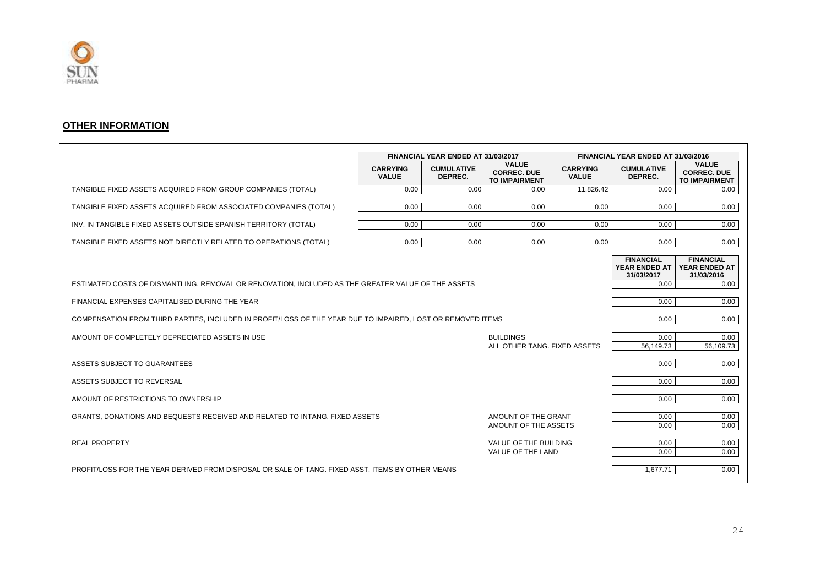

#### **OTHER INFORMATION**

|                                                                                                             |                                 | FINANCIAL YEAR ENDED AT 31/03/2017 |                                                            |                                 | FINANCIAL YEAR ENDED AT 31/03/2016              |                                                            |
|-------------------------------------------------------------------------------------------------------------|---------------------------------|------------------------------------|------------------------------------------------------------|---------------------------------|-------------------------------------------------|------------------------------------------------------------|
|                                                                                                             | <b>CARRYING</b><br><b>VALUE</b> | <b>CUMULATIVE</b><br>DEPREC.       | <b>VALUE</b><br><b>CORREC. DUE</b><br><b>TO IMPAIRMENT</b> | <b>CARRYING</b><br><b>VALUE</b> | <b>CUMULATIVE</b><br>DEPREC.                    | <b>VALUE</b><br><b>CORREC. DUE</b><br><b>TO IMPAIRMENT</b> |
| TANGIBLE FIXED ASSETS ACQUIRED FROM GROUP COMPANIES (TOTAL)                                                 | 0.00                            | 0.00                               | 0.00                                                       | 11,826.42                       | 0.00                                            | 0.00                                                       |
| TANGIBLE FIXED ASSETS ACQUIRED FROM ASSOCIATED COMPANIES (TOTAL)                                            | 0.00                            | 0.00                               | 0.00                                                       | 0.00                            | 0.00                                            | 0.00                                                       |
| INV. IN TANGIBLE FIXED ASSETS OUTSIDE SPANISH TERRITORY (TOTAL)                                             | 0.00                            | 0.00                               | 0.00                                                       | 0.00                            | 0.00                                            | 0.00                                                       |
| TANGIBLE FIXED ASSETS NOT DIRECTLY RELATED TO OPERATIONS (TOTAL)                                            | 0.00                            | 0.00                               | 0.00                                                       | 0.00                            | 0.00                                            | 0.00                                                       |
|                                                                                                             |                                 |                                    |                                                            |                                 | <b>FINANCIAL</b><br>YEAR ENDED AT<br>31/03/2017 | <b>FINANCIAL</b><br><b>YEAR ENDED AT</b><br>31/03/2016     |
| ESTIMATED COSTS OF DISMANTLING, REMOVAL OR RENOVATION, INCLUDED AS THE GREATER VALUE OF THE ASSETS          |                                 |                                    |                                                            |                                 | 0.00                                            | 0.00                                                       |
| FINANCIAL EXPENSES CAPITALISED DURING THE YEAR                                                              |                                 |                                    |                                                            |                                 | 0.00                                            | 0.00                                                       |
| COMPENSATION FROM THIRD PARTIES, INCLUDED IN PROFIT/LOSS OF THE YEAR DUE TO IMPAIRED, LOST OR REMOVED ITEMS |                                 |                                    |                                                            |                                 | 0.00                                            | 0.00                                                       |
| AMOUNT OF COMPLETELY DEPRECIATED ASSETS IN USE                                                              |                                 |                                    | <b>BUILDINGS</b><br>ALL OTHER TANG. FIXED ASSETS           |                                 | 0.00<br>56,149.73                               | 0.00<br>56,109.73                                          |
| ASSETS SUBJECT TO GUARANTEES                                                                                |                                 |                                    |                                                            |                                 | 0.00                                            | 0.00                                                       |
| ASSETS SUBJECT TO REVERSAL                                                                                  |                                 |                                    |                                                            |                                 | 0.00                                            | 0.00                                                       |
| AMOUNT OF RESTRICTIONS TO OWNERSHIP                                                                         |                                 |                                    |                                                            |                                 | 0.00                                            | 0.00                                                       |
| GRANTS, DONATIONS AND BEQUESTS RECEIVED AND RELATED TO INTANG. FIXED ASSETS                                 |                                 |                                    | AMOUNT OF THE GRANT<br>AMOUNT OF THE ASSETS                |                                 | 0.00<br>0.00                                    | 0.00<br>0.00                                               |
| <b>REAL PROPERTY</b>                                                                                        |                                 |                                    | VALUE OF THE BUILDING<br>VALUE OF THE LAND                 |                                 | 0.00<br>0.00                                    | 0.00<br>0.00                                               |
| PROFIT/LOSS FOR THE YEAR DERIVED FROM DISPOSAL OR SALE OF TANG. FIXED ASST. ITEMS BY OTHER MEANS            |                                 |                                    |                                                            |                                 | 1.677.71                                        | 0.00                                                       |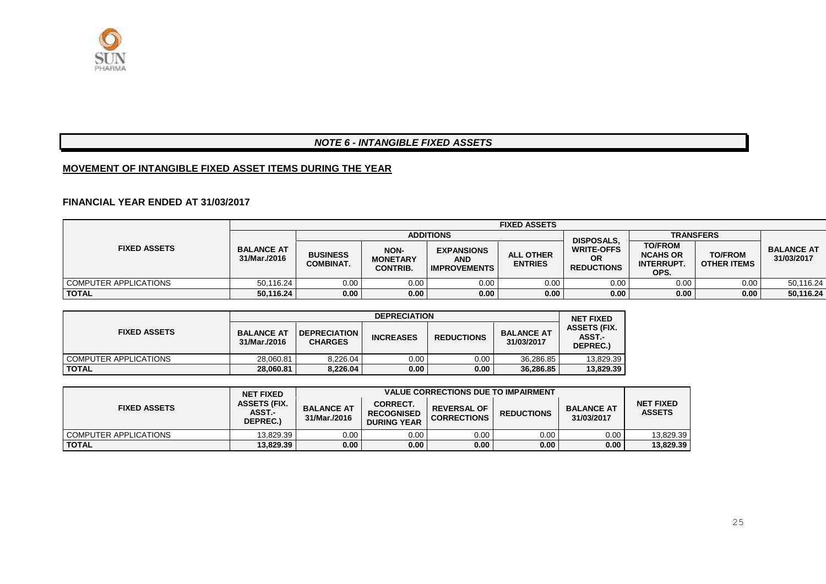

#### *NOTE 6 - INTANGIBLE FIXED ASSETS*

#### **MOVEMENT OF INTANGIBLE FIXED ASSET ITEMS DURING THE YEAR**

#### **FINANCIAL YEAR ENDED AT 31/03/2017**

|                       |                                   | <b>FIXED ASSETS</b>                 |                                                   |                                                        |                                    |                                                     |                                                                |                                      |                                 |  |  |
|-----------------------|-----------------------------------|-------------------------------------|---------------------------------------------------|--------------------------------------------------------|------------------------------------|-----------------------------------------------------|----------------------------------------------------------------|--------------------------------------|---------------------------------|--|--|
|                       |                                   | <b>ADDITIONS</b>                    |                                                   |                                                        |                                    | <b>DISPOSALS.</b>                                   | <b>TRANSFERS</b>                                               |                                      |                                 |  |  |
| <b>FIXED ASSETS</b>   | <b>BALANCE AT</b><br>31/Mar./2016 | <b>BUSINESS</b><br><b>COMBINAT.</b> | <b>NON-</b><br><b>MONETARY</b><br><b>CONTRIB.</b> | <b>EXPANSIONS</b><br><b>AND</b><br><b>IMPROVEMENTS</b> | <b>ALL OTHER</b><br><b>ENTRIES</b> | <b>WRITE-OFFS</b><br><b>OR</b><br><b>REDUCTIONS</b> | <b>TO/FROM</b><br><b>NCAHS OR</b><br><b>INTERRUPT.</b><br>OPS. | <b>TO/FROM</b><br><b>OTHER ITEMS</b> | <b>BALANCE AT</b><br>31/03/2017 |  |  |
| COMPUTER APPLICATIONS | 50.116.24                         | 0.00                                | 0.00                                              | 0.00                                                   | 0.00                               | 0.00                                                | 0.00                                                           | 0.00                                 | 50,116.24                       |  |  |
| <b>TOTAL</b>          | 50.116.24                         | 0.00                                | 0.00 <sub>1</sub>                                 | 0.00                                                   | 0.00                               | 0.00                                                | 0.00                                                           | 0.00                                 | 50,116.24                       |  |  |

|                       |                                   |                                       | <b>DEPRECIATION</b> |                   |                                 | <b>NET FIXED</b>                          |
|-----------------------|-----------------------------------|---------------------------------------|---------------------|-------------------|---------------------------------|-------------------------------------------|
| <b>FIXED ASSETS</b>   | <b>BALANCE AT</b><br>31/Mar./2016 | <b>DEPRECIATION</b><br><b>CHARGES</b> | <b>INCREASES</b>    | <b>REDUCTIONS</b> | <b>BALANCE AT</b><br>31/03/2017 | <b>ASSETS (FIX.</b><br>ASST.-<br>DEPREC.) |
| COMPUTER APPLICATIONS | 28.060.81                         | 8.226.04                              | 0.00                | 0.00              | 36.286.85                       | 13,829.39                                 |
| <b>TOTAL</b>          | 28.060.81                         | 8.226.04                              | 0.00                | 0.00              | 36.286.85                       | 13,829.39                                 |

|                         | <b>NET FIXED</b>                          |                                   | <b>VALUE CORRECTIONS DUE TO IMPAIRMENT</b>                 |                                          |                   |                                 |                                   |  |  |  |
|-------------------------|-------------------------------------------|-----------------------------------|------------------------------------------------------------|------------------------------------------|-------------------|---------------------------------|-----------------------------------|--|--|--|
| <b>FIXED ASSETS</b>     | <b>ASSETS (FIX.</b><br>ASST.-<br>DEPREC.) | <b>BALANCE AT</b><br>31/Mar./2016 | <b>CORRECT.</b><br><b>RECOGNISED</b><br><b>DURING YEAR</b> | <b>REVERSAL OF</b><br><b>CORRECTIONS</b> | <b>REDUCTIONS</b> | <b>BALANCE AT</b><br>31/03/2017 | <b>NET FIXED</b><br><b>ASSETS</b> |  |  |  |
| I COMPUTER APPLICATIONS | 13.829.39                                 | 0.00                              | $0.00\,$                                                   | 0.00                                     | 0.00              | 0.00 <sub>1</sub>               | 13.829.39                         |  |  |  |
| <b>TOTAL</b>            | 13.829.39                                 | 0.00                              | 0.00                                                       | 0.00                                     | 0.00              | 0.00                            | 13,829.39                         |  |  |  |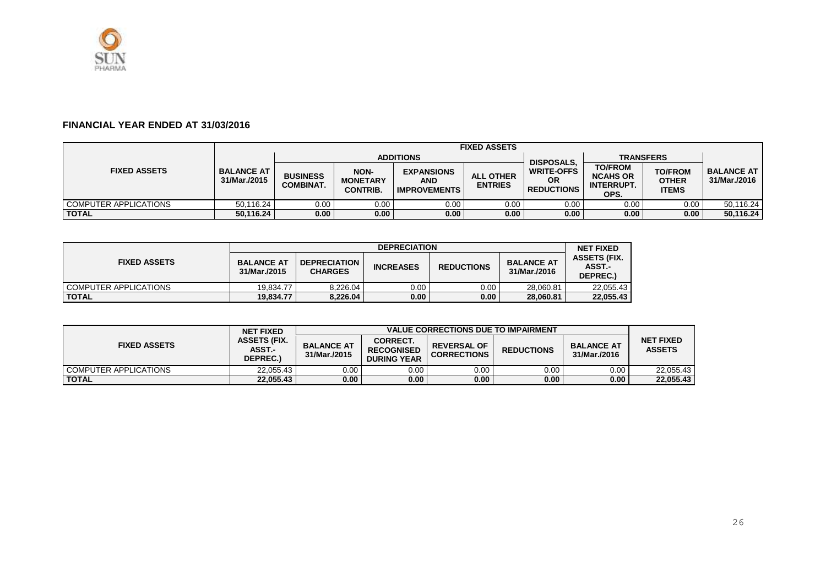

#### **FINANCIAL YEAR ENDED AT 31/03/2016**

|                       |                                   | <b>FIXED ASSETS</b>                |                                                   |                                                 |                                    |                                                     |                                                                |                                         |                                     |  |
|-----------------------|-----------------------------------|------------------------------------|---------------------------------------------------|-------------------------------------------------|------------------------------------|-----------------------------------------------------|----------------------------------------------------------------|-----------------------------------------|-------------------------------------|--|
|                       |                                   | <b>ADDITIONS</b>                   |                                                   |                                                 |                                    | <b>DISPOSALS.</b>                                   | <b>TRANSFERS</b>                                               |                                         |                                     |  |
| <b>FIXED ASSETS</b>   | <b>BALANCE AT</b><br>31/Mar./2015 | <b>BUSINESS</b><br><b>COMBINAT</b> | <b>NON-</b><br><b>MONETARY</b><br><b>CONTRIB.</b> | <b>EXPANSIONS</b><br>AND<br><b>IMPROVEMENTS</b> | <b>ALL OTHER</b><br><b>ENTRIES</b> | <b>WRITE-OFFS</b><br><b>OR</b><br><b>REDUCTIONS</b> | <b>TO/FROM</b><br><b>NCAHS OR</b><br><b>INTERRUPT.</b><br>OPS. | <b>TO/FROM</b><br>OTHER<br><b>ITEMS</b> | <b>BALANCE AT I</b><br>31/Mar./2016 |  |
| COMPUTER APPLICATIONS | 50.116.24                         | 0.00                               | 0.00                                              | 0.00                                            | 0.00                               | 0.00                                                | 0.00 <sub>1</sub>                                              | 0.00                                    | 50,116.24                           |  |
| <b>TOTAL</b>          | 50.116.24                         | 0.00                               | 0.00                                              | 0.00                                            | 0.00                               | 0.00                                                | 0.00                                                           | 0.00                                    | 50,116.24                           |  |

|                       |                                   |                                       | <b>DEPRECIATION</b> |                   |                                   | <b>NET FIXED</b>                          |
|-----------------------|-----------------------------------|---------------------------------------|---------------------|-------------------|-----------------------------------|-------------------------------------------|
| <b>FIXED ASSETS</b>   | <b>BALANCE AT</b><br>31/Mar./2015 | <b>DEPRECIATION</b><br><b>CHARGES</b> | <b>INCREASES</b>    | <b>REDUCTIONS</b> | <b>BALANCE AT</b><br>31/Mar./2016 | <b>ASSETS (FIX.</b><br>ASST.-<br>DEPREC.) |
| COMPUTER APPLICATIONS | 19.834.77                         | 8.226.04                              | 0.00 <sub>1</sub>   | $0.00\,$          | 28.060.81                         | 22.055.43                                 |
| <b>TOTAL</b>          | 19.834.77                         | 8,226.04                              | 0.00                | 0.00              | 28.060.81                         | 22,055.43                                 |

|                       | <b>NET FIXED</b>                                 |                                   | <b>VALUE CORRECTIONS DUE TO IMPAIRMENT</b>          |                                          |                   |                                   |                                   |  |  |  |
|-----------------------|--------------------------------------------------|-----------------------------------|-----------------------------------------------------|------------------------------------------|-------------------|-----------------------------------|-----------------------------------|--|--|--|
| <b>FIXED ASSETS</b>   | <b>ASSETS (FIX.</b><br><b>ASST.-</b><br>DEPREC.) | <b>BALANCE AT</b><br>31/Mar./2015 | CORRECT.<br><b>RECOGNISED</b><br><b>DURING YEAR</b> | <b>REVERSAL OF</b><br><b>CORRECTIONS</b> | <b>REDUCTIONS</b> | <b>BALANCE AT</b><br>31/Mar./2016 | <b>NET FIXED</b><br><b>ASSETS</b> |  |  |  |
| COMPUTER APPLICATIONS | 22.055.43                                        | 0.00                              | 0.00                                                | 0.00                                     | 0.00              | 0.00                              | 22.055.43                         |  |  |  |
| <b>TOTAL</b>          | 22.055.43                                        | 0.00                              | 0.00                                                | 0.00                                     | 0.00              | 0.00                              | 22,055.43                         |  |  |  |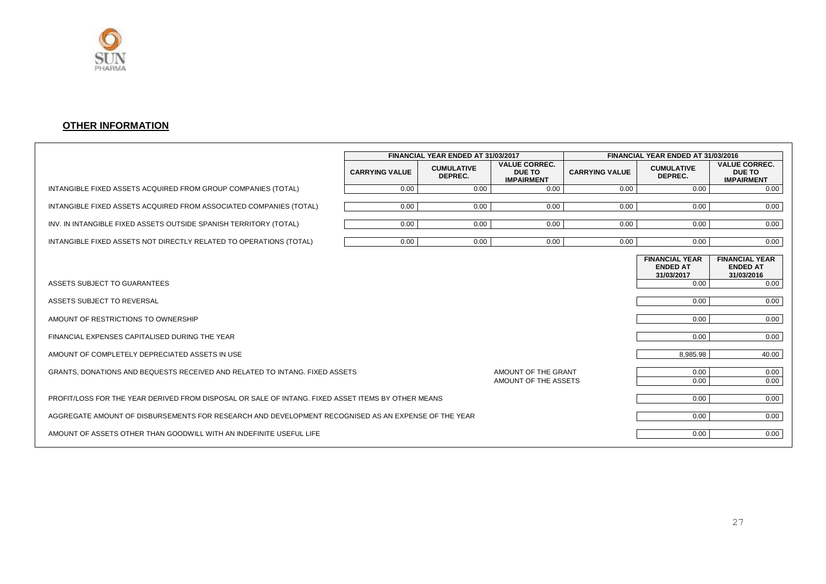

#### **OTHER INFORMATION**

|                                                                                                     |                       | FINANCIAL YEAR ENDED AT 31/03/2017 |                                                            |                       | FINANCIAL YEAR ENDED AT 31/03/2016                     |                                                            |
|-----------------------------------------------------------------------------------------------------|-----------------------|------------------------------------|------------------------------------------------------------|-----------------------|--------------------------------------------------------|------------------------------------------------------------|
|                                                                                                     | <b>CARRYING VALUE</b> | <b>CUMULATIVE</b><br>DEPREC.       | <b>VALUE CORREC.</b><br><b>DUE TO</b><br><b>IMPAIRMENT</b> | <b>CARRYING VALUE</b> | <b>CUMULATIVE</b><br>DEPREC.                           | <b>VALUE CORREC.</b><br><b>DUE TO</b><br><b>IMPAIRMENT</b> |
| INTANGIBLE FIXED ASSETS ACQUIRED FROM GROUP COMPANIES (TOTAL)                                       | 0.00                  | 0.00                               | 0.00                                                       | 0.00                  | 0.00                                                   | 0.00                                                       |
| INTANGIBLE FIXED ASSETS ACQUIRED FROM ASSOCIATED COMPANIES (TOTAL)                                  | 0.00                  | 0.00                               | 0.00                                                       | 0.00                  | 0.00                                                   | 0.00                                                       |
| INV. IN INTANGIBLE FIXED ASSETS OUTSIDE SPANISH TERRITORY (TOTAL)                                   | 0.00                  | 0.00                               | 0.00                                                       | 0.00                  | 0.00                                                   | 0.00                                                       |
| INTANGIBLE FIXED ASSETS NOT DIRECTLY RELATED TO OPERATIONS (TOTAL)                                  | 0.00                  | 0.00                               | 0.00                                                       | 0.00                  | 0.00                                                   | 0.00                                                       |
|                                                                                                     |                       |                                    |                                                            |                       | <b>FINANCIAL YEAR</b><br><b>ENDED AT</b><br>31/03/2017 | <b>FINANCIAL YEAR</b><br><b>ENDED AT</b><br>31/03/2016     |
| ASSETS SUBJECT TO GUARANTEES                                                                        |                       |                                    |                                                            |                       | 0.00                                                   | 0.00                                                       |
| ASSETS SUBJECT TO REVERSAL                                                                          |                       |                                    |                                                            |                       | 0.00                                                   | 0.00                                                       |
| AMOUNT OF RESTRICTIONS TO OWNERSHIP                                                                 |                       |                                    |                                                            |                       | 0.00                                                   | 0.00                                                       |
| FINANCIAL EXPENSES CAPITALISED DURING THE YEAR                                                      |                       |                                    |                                                            |                       | 0.00                                                   | 0.00                                                       |
| AMOUNT OF COMPLETELY DEPRECIATED ASSETS IN USE                                                      |                       |                                    |                                                            |                       | 8,985.98                                               | 40.00                                                      |
| GRANTS, DONATIONS AND BEQUESTS RECEIVED AND RELATED TO INTANG. FIXED ASSETS                         |                       |                                    | AMOUNT OF THE GRANT<br>AMOUNT OF THE ASSETS                |                       | 0.00<br>0.00                                           | 0.00<br>0.00                                               |
| PROFIT/LOSS FOR THE YEAR DERIVED FROM DISPOSAL OR SALE OF INTANG. FIXED ASSET ITEMS BY OTHER MEANS  |                       |                                    |                                                            |                       | 0.00                                                   | 0.00                                                       |
| AGGREGATE AMOUNT OF DISBURSEMENTS FOR RESEARCH AND DEVELOPMENT RECOGNISED AS AN EXPENSE OF THE YEAR |                       |                                    |                                                            |                       | 0.00                                                   | 0.00                                                       |
| AMOUNT OF ASSETS OTHER THAN GOODWILL WITH AN INDEFINITE USEFUL LIFE                                 |                       |                                    |                                                            |                       | 0.00                                                   | 0.00                                                       |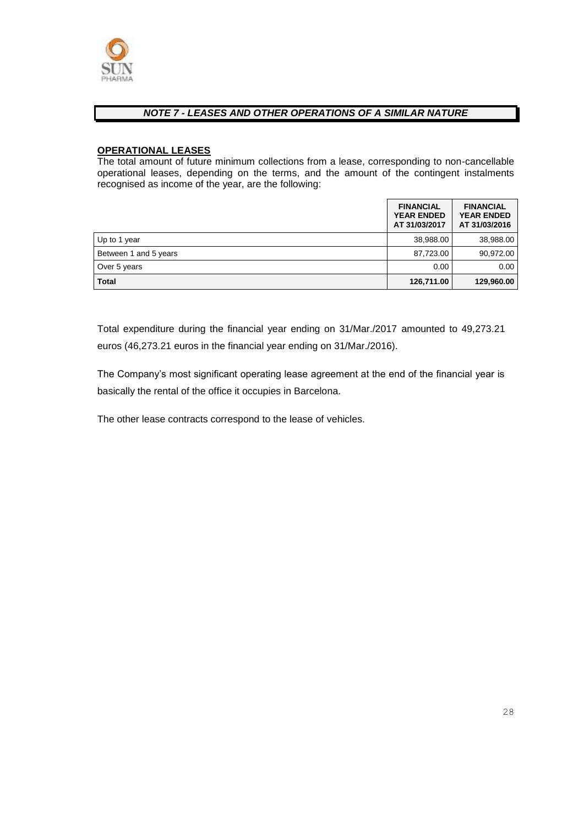

#### *NOTE 7 - LEASES AND OTHER OPERATIONS OF A SIMILAR NATURE*

#### **OPERATIONAL LEASES**

The total amount of future minimum collections from a lease, corresponding to non-cancellable operational leases, depending on the terms, and the amount of the contingent instalments recognised as income of the year, are the following:

|                       | <b>FINANCIAL</b><br><b>YEAR ENDED</b><br>AT 31/03/2017 | <b>FINANCIAL</b><br><b>YEAR ENDED</b><br>AT 31/03/2016 |
|-----------------------|--------------------------------------------------------|--------------------------------------------------------|
| Up to 1 year          | 38,988.00                                              | 38,988.00                                              |
| Between 1 and 5 years | 87,723.00                                              | 90.972.00                                              |
| Over 5 years          | 0.00                                                   | 0.00                                                   |
| <b>Total</b>          | 126,711.00                                             | 129,960.00                                             |

Total expenditure during the financial year ending on 31/Mar./2017 amounted to 49,273.21 euros (46,273.21 euros in the financial year ending on 31/Mar./2016).

The Company's most significant operating lease agreement at the end of the financial year is basically the rental of the office it occupies in Barcelona.

The other lease contracts correspond to the lease of vehicles.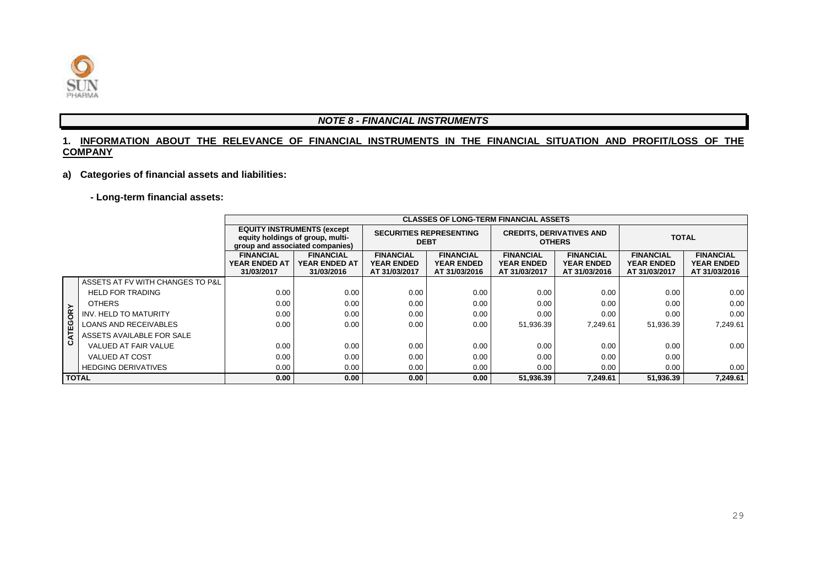

#### *NOTE 8 - FINANCIAL INSTRUMENTS*

#### **1. INFORMATION ABOUT THE RELEVANCE OF FINANCIAL INSTRUMENTS IN THE FINANCIAL SITUATION AND PROFIT/LOSS OF THE COMPANY**

#### **a) Categories of financial assets and liabilities:**

#### **- Long-term financial assets:**

|              |                                  |                                                                                                          |                                                        | <b>CLASSES OF LONG-TERM FINANCIAL ASSETS</b>           |                                                        |                                                        |                                                        |                                                        |                                                        |
|--------------|----------------------------------|----------------------------------------------------------------------------------------------------------|--------------------------------------------------------|--------------------------------------------------------|--------------------------------------------------------|--------------------------------------------------------|--------------------------------------------------------|--------------------------------------------------------|--------------------------------------------------------|
|              |                                  | <b>EQUITY INSTRUMENTS (except</b><br>equity holdings of group, multi-<br>group and associated companies) |                                                        |                                                        | <b>SECURITIES REPRESENTING</b><br><b>DEBT</b>          |                                                        | <b>CREDITS, DERIVATIVES AND</b><br><b>OTHERS</b>       | <b>TOTAL</b>                                           |                                                        |
|              |                                  | <b>FINANCIAL</b><br><b>YEAR ENDED AT</b><br>31/03/2017                                                   | <b>FINANCIAL</b><br><b>YEAR ENDED AT</b><br>31/03/2016 | <b>FINANCIAL</b><br><b>YEAR ENDED</b><br>AT 31/03/2017 | <b>FINANCIAL</b><br><b>YEAR ENDED</b><br>AT 31/03/2016 | <b>FINANCIAL</b><br><b>YEAR ENDED</b><br>AT 31/03/2017 | <b>FINANCIAL</b><br><b>YEAR ENDED</b><br>AT 31/03/2016 | <b>FINANCIAL</b><br><b>YEAR ENDED</b><br>AT 31/03/2017 | <b>FINANCIAL</b><br><b>YEAR ENDED</b><br>AT 31/03/2016 |
|              | ASSETS AT FV WITH CHANGES TO P&L |                                                                                                          |                                                        |                                                        |                                                        |                                                        |                                                        |                                                        |                                                        |
|              | <b>HELD FOR TRADING</b>          | 0.00                                                                                                     | 0.00                                                   | 0.00                                                   | 0.00                                                   | 0.00                                                   | 0.00                                                   | 0.00                                                   | 0.00                                                   |
|              | <b>OTHERS</b>                    | 0.00                                                                                                     | 0.00                                                   | 0.00                                                   | 0.00                                                   | 0.00                                                   | 0.00                                                   | 0.00                                                   | 0.00                                                   |
| CATEGORY     | INV. HELD TO MATURITY            | 0.00                                                                                                     | 0.00                                                   | 0.00                                                   | 0.00                                                   | 0.00                                                   | 0.00                                                   | 0.00                                                   | 0.00                                                   |
|              | <b>LOANS AND RECEIVABLES</b>     | 0.00                                                                                                     | 0.00                                                   | 0.00                                                   | 0.00                                                   | 51,936.39                                              | 7.249.61                                               | 51,936.39                                              | 7,249.61                                               |
|              | ASSETS AVAILABLE FOR SALE        |                                                                                                          |                                                        |                                                        |                                                        |                                                        |                                                        |                                                        |                                                        |
|              | VALUED AT FAIR VALUE             | 0.00                                                                                                     | 0.00                                                   | 0.00                                                   | 0.00                                                   | 0.00                                                   | 0.00                                                   | 0.00                                                   | 0.00                                                   |
|              | <b>VALUED AT COST</b>            | 0.00                                                                                                     | 0.00                                                   | 0.00                                                   | 0.00                                                   | 0.00                                                   | 0.00                                                   | 0.00                                                   |                                                        |
|              | <b>HEDGING DERIVATIVES</b>       | 0.00                                                                                                     | 0.00                                                   | 0.00                                                   | 0.00                                                   | 0.00                                                   | 0.00                                                   | 0.00                                                   | 0.00                                                   |
| <b>TOTAL</b> |                                  | 0.00                                                                                                     | 0.00                                                   | 0.00                                                   | 0.00                                                   | 51,936.39                                              | 7,249.61                                               | 51,936.39                                              | 7,249.61                                               |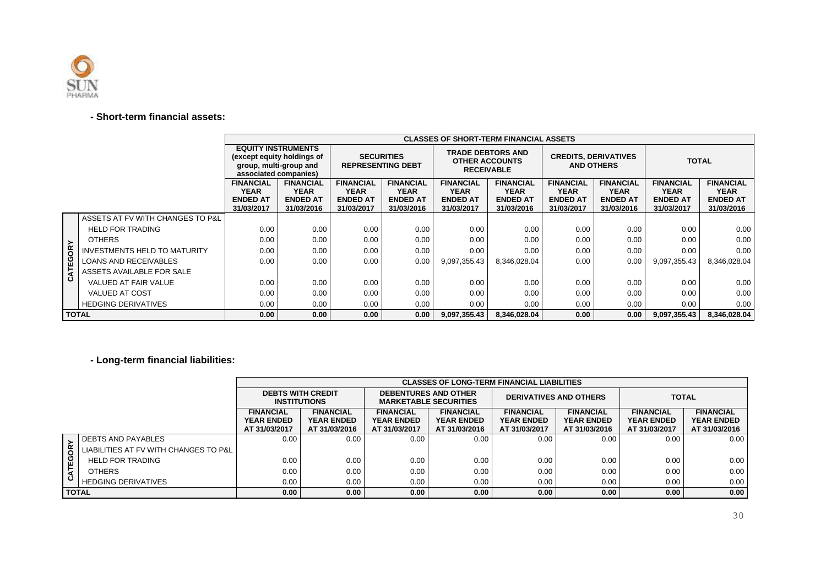

#### **- Short-term financial assets:**

|              |                                     | <b>EQUITY INSTRUMENTS</b><br>(except equity holdings of<br>group, multi-group and<br>associated companies) |                                                                  | <b>SECURITIES</b><br><b>REPRESENTING DEBT</b>                    |                                                           | <b>TRADE DEBTORS AND</b><br><b>OTHER ACCOUNTS</b><br><b>RECEIVABLE</b> |                                                                  | <b>CREDITS, DERIVATIVES</b><br><b>AND OTHERS</b>                 |                                                                  | <b>TOTAL</b>                                                     |                                                                  |
|--------------|-------------------------------------|------------------------------------------------------------------------------------------------------------|------------------------------------------------------------------|------------------------------------------------------------------|-----------------------------------------------------------|------------------------------------------------------------------------|------------------------------------------------------------------|------------------------------------------------------------------|------------------------------------------------------------------|------------------------------------------------------------------|------------------------------------------------------------------|
|              |                                     | <b>FINANCIAL</b><br><b>YEAR</b><br><b>ENDED AT</b><br>31/03/2017                                           | <b>FINANCIAL</b><br><b>YEAR</b><br><b>ENDED AT</b><br>31/03/2016 | <b>FINANCIAL</b><br><b>YEAR</b><br><b>ENDED AT</b><br>31/03/2017 | <b>FINANCIAL</b><br>YEAR<br><b>ENDED AT</b><br>31/03/2016 | <b>FINANCIAL</b><br><b>YEAR</b><br><b>ENDED AT</b><br>31/03/2017       | <b>FINANCIAL</b><br><b>YEAR</b><br><b>ENDED AT</b><br>31/03/2016 | <b>FINANCIAL</b><br><b>YEAR</b><br><b>ENDED AT</b><br>31/03/2017 | <b>FINANCIAL</b><br><b>YEAR</b><br><b>ENDED AT</b><br>31/03/2016 | <b>FINANCIAL</b><br><b>YEAR</b><br><b>ENDED AT</b><br>31/03/2017 | <b>FINANCIAL</b><br><b>YEAR</b><br><b>ENDED AT</b><br>31/03/2016 |
|              | ASSETS AT FV WITH CHANGES TO P&L    |                                                                                                            |                                                                  |                                                                  |                                                           |                                                                        |                                                                  |                                                                  |                                                                  |                                                                  |                                                                  |
|              | <b>HELD FOR TRADING</b>             | 0.00                                                                                                       | 0.00                                                             | 0.00                                                             | 0.00                                                      | 0.00                                                                   | 0.00                                                             | 0.00                                                             | 0.00                                                             | 0.00                                                             | 0.00                                                             |
|              | <b>OTHERS</b>                       | 0.00                                                                                                       | 0.00                                                             | 0.00                                                             | 0.00                                                      | 0.00                                                                   | 0.00                                                             | 0.00                                                             | 0.00                                                             | 0.00                                                             | 0.00                                                             |
| CATEGORY     | <b>INVESTMENTS HELD TO MATURITY</b> | 0.00                                                                                                       | 0.00                                                             | 0.00                                                             | 0.00                                                      | 0.00                                                                   | 0.00                                                             | 0.00                                                             | 0.00                                                             | 0.00                                                             | 0.00                                                             |
|              | <b>LOANS AND RECEIVABLES</b>        | 0.00                                                                                                       | 0.00                                                             | 0.00                                                             | 0.00                                                      | 9,097,355.43                                                           | 8,346,028.04                                                     | 0.00                                                             | 0.00                                                             | 9,097,355.43                                                     | 8,346,028.04                                                     |
|              | ASSETS AVAILABLE FOR SALE           |                                                                                                            |                                                                  |                                                                  |                                                           |                                                                        |                                                                  |                                                                  |                                                                  |                                                                  |                                                                  |
|              | VALUED AT FAIR VALUE                | 0.00                                                                                                       | 0.00                                                             | 0.00                                                             | 0.00                                                      | 0.00                                                                   | 0.00                                                             | 0.00                                                             | 0.00                                                             | 0.00                                                             | 0.00                                                             |
|              | <b>VALUED AT COST</b>               | 0.00                                                                                                       | 0.00                                                             | 0.00                                                             | 0.00                                                      | 0.00                                                                   | 0.00                                                             | 0.00                                                             | 0.00                                                             | 0.00                                                             | 0.00                                                             |
|              | <b>HEDGING DERIVATIVES</b>          | 0.00                                                                                                       | 0.00                                                             | 0.00                                                             | 0.00                                                      | 0.00                                                                   | 0.00                                                             | 0.00                                                             | 0.00                                                             | 0.00                                                             | 0.00                                                             |
| <b>TOTAL</b> |                                     | 0.00                                                                                                       | 0.00                                                             | 0.00                                                             | 0.00                                                      | 9,097,355.43                                                           | 8,346,028.04                                                     | 0.00                                                             | 0.00                                                             | 9,097,355.43                                                     | 8,346,028.04                                                     |

**- Long-term financial liabilities:**

|                |                                         |                                                        | <b>CLASSES OF LONG-TERM FINANCIAL LIABILITIES</b>      |                                                             |                                                        |                                                        |                                                        |                                                        |                                                        |  |  |
|----------------|-----------------------------------------|--------------------------------------------------------|--------------------------------------------------------|-------------------------------------------------------------|--------------------------------------------------------|--------------------------------------------------------|--------------------------------------------------------|--------------------------------------------------------|--------------------------------------------------------|--|--|
|                |                                         | <b>DEBTS WITH CREDIT</b><br><b>INSTITUTIONS</b>        |                                                        | <b>DEBENTURES AND OTHER</b><br><b>MARKETABLE SECURITIES</b> |                                                        | <b>DERIVATIVES AND OTHERS</b>                          |                                                        | <b>TOTAL</b>                                           |                                                        |  |  |
|                |                                         | <b>FINANCIAL</b><br><b>YEAR ENDED</b><br>AT 31/03/2017 | <b>FINANCIAL</b><br><b>YEAR ENDED</b><br>AT 31/03/2016 | <b>FINANCIAL</b><br><b>YEAR ENDED</b><br>AT 31/03/2017      | <b>FINANCIAL</b><br><b>YEAR ENDED</b><br>AT 31/03/2016 | <b>FINANCIAL</b><br><b>YEAR ENDED</b><br>AT 31/03/2017 | <b>FINANCIAL</b><br><b>YEAR ENDED</b><br>AT 31/03/2016 | <b>FINANCIAL</b><br><b>YEAR ENDED</b><br>AT 31/03/2017 | <b>FINANCIAL</b><br><b>YEAR ENDED</b><br>AT 31/03/2016 |  |  |
|                | <b>I DEBTS AND PAYABLES</b>             | 0.00                                                   | 0.00                                                   | 0.00                                                        | 0.00 <sub>1</sub>                                      | 0.00                                                   | 0.00                                                   | 0.00                                                   | 0.00                                                   |  |  |
| CATEGORY       | LIABILITIES AT FV WITH CHANGES TO P&L I |                                                        |                                                        |                                                             |                                                        |                                                        |                                                        |                                                        |                                                        |  |  |
|                | <b>HELD FOR TRADING</b>                 | 0.00                                                   | 0.00                                                   | 0.00                                                        | 0.00                                                   | 0.00                                                   | 0.00                                                   | 0.00                                                   | 0.00                                                   |  |  |
|                | <b>OTHERS</b>                           | 0.00                                                   | 0.00                                                   | 0.00                                                        | 0.00                                                   | 0.00                                                   | 0.00                                                   | 0.00                                                   | 0.00                                                   |  |  |
|                | <b>HEDGING DERIVATIVES</b>              | 0.00                                                   | 0.00                                                   | 0.00                                                        | 0.00                                                   | 0.00                                                   | 0.00                                                   | 0.00                                                   | 0.00                                                   |  |  |
| <b>I TOTAL</b> |                                         | 0.00                                                   | 0.00                                                   | 0.00                                                        | 0.00                                                   | 0.00                                                   | 0.00                                                   | 0.00                                                   | 0.00                                                   |  |  |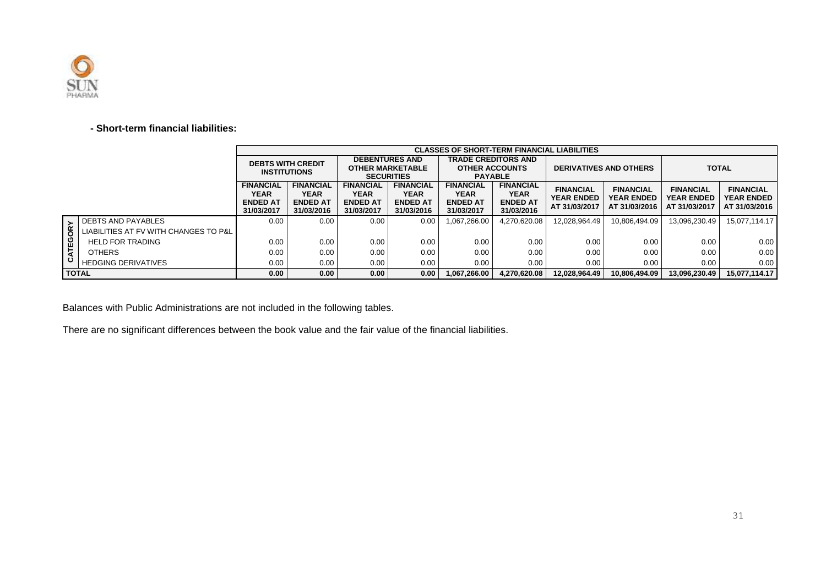

#### **- Short-term financial liabilities:**

|              |                                       |                                                                  |                                                           |                                                           |                                                           | <b>CLASSES OF SHORT-TERM FINANCIAL LIABILITIES</b>               |                                                           |                                                        |                                                        |                                                        |                                                        |
|--------------|---------------------------------------|------------------------------------------------------------------|-----------------------------------------------------------|-----------------------------------------------------------|-----------------------------------------------------------|------------------------------------------------------------------|-----------------------------------------------------------|--------------------------------------------------------|--------------------------------------------------------|--------------------------------------------------------|--------------------------------------------------------|
|              |                                       | <b>DEBTS WITH CREDIT</b><br><b>INSTITUTIONS</b>                  |                                                           | <b>DEBENTURES AND</b>                                     | <b>OTHER MARKETABLE</b>                                   | <b>TRADE CREDITORS AND</b><br><b>OTHER ACCOUNTS</b>              |                                                           | <b>DERIVATIVES AND OTHERS</b>                          |                                                        | <b>TOTAL</b>                                           |                                                        |
|              |                                       |                                                                  |                                                           | <b>SECURITIES</b>                                         |                                                           | <b>PAYABLE</b>                                                   |                                                           |                                                        |                                                        |                                                        |                                                        |
|              |                                       | <b>FINANCIAL</b><br><b>YEAR</b><br><b>ENDED AT</b><br>31/03/2017 | <b>FINANCIAL</b><br>YEAR<br><b>ENDED AT</b><br>31/03/2016 | <b>FINANCIAL</b><br>YEAR<br><b>ENDED AT</b><br>31/03/2017 | <b>FINANCIAL</b><br>YEAR<br><b>ENDED AT</b><br>31/03/2016 | <b>FINANCIAL</b><br><b>YEAR</b><br><b>ENDED AT</b><br>31/03/2017 | <b>FINANCIAL</b><br>YEAR<br><b>ENDED AT</b><br>31/03/2016 | <b>FINANCIAL</b><br><b>YEAR ENDED</b><br>AT 31/03/2017 | <b>FINANCIAL</b><br><b>YEAR ENDED</b><br>AT 31/03/2016 | <b>FINANCIAL</b><br><b>YEAR ENDED</b><br>AT 31/03/2017 | <b>FINANCIAL</b><br><b>YEAR ENDED</b><br>AT 31/03/2016 |
|              | <b>DEBTS AND PAYABLES</b>             | 0.00                                                             | 0.00                                                      | 0.00                                                      | 0.00                                                      | 1,067,266.00                                                     | 4,270,620.08                                              | 12,028,964.49                                          | 10.806.494.09                                          | 13,096,230.49                                          | 15,077,114.17                                          |
| CATEGORY     | LIABILITIES AT FV WITH CHANGES TO P&L |                                                                  |                                                           |                                                           |                                                           |                                                                  |                                                           |                                                        |                                                        |                                                        |                                                        |
|              | <b>HELD FOR TRADING</b>               | 0.00                                                             | 0.00                                                      | 0.00                                                      | 0.00                                                      | 0.00                                                             | 0.00                                                      | 0.00                                                   | 0.00                                                   | 0.00                                                   | 0.00                                                   |
|              | <b>OTHERS</b>                         | 0.00                                                             | 0.00                                                      | 0.00                                                      | 0.00                                                      | 0.00                                                             | 0.00                                                      | 0.00                                                   | 0.00                                                   | 0.00                                                   | 0.00                                                   |
|              | <b>HEDGING DERIVATIVES</b>            | 0.00                                                             | 0.00                                                      | 0.00                                                      | 0.00                                                      | 0.00                                                             | 0.00                                                      | 0.00                                                   | 0.00                                                   | 0.00                                                   | 0.00                                                   |
| <b>TOTAL</b> |                                       | 0.00                                                             | 0.00                                                      | 0.00                                                      | 0.00                                                      | 1.067.266.00                                                     | 4.270.620.08                                              | 12.028.964.49                                          | 10.806.494.09                                          | 13.096.230.49                                          | 15.077.114.17                                          |

Balances with Public Administrations are not included in the following tables.

There are no significant differences between the book value and the fair value of the financial liabilities.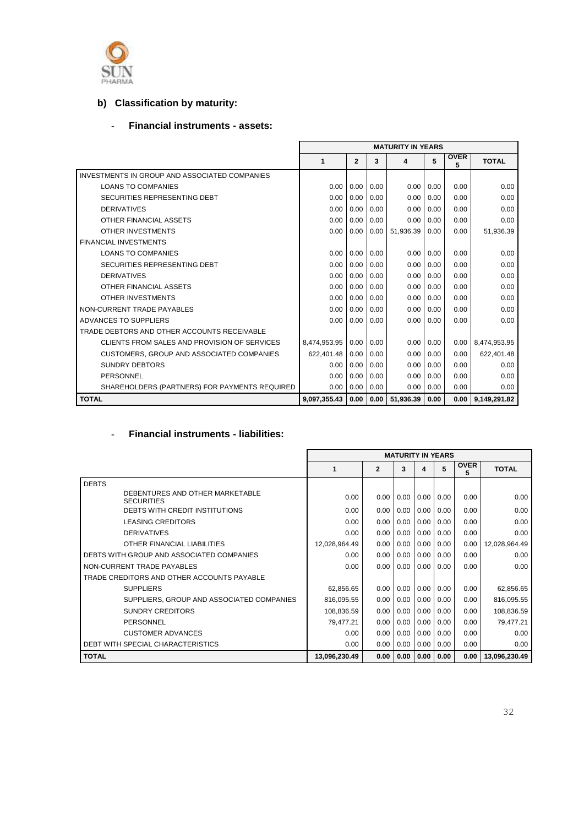

## **b) Classification by maturity:**

### - **Financial instruments - assets:**

|                                                      | <b>MATURITY IN YEARS</b> |              |      |           |      |                  |              |
|------------------------------------------------------|--------------------------|--------------|------|-----------|------|------------------|--------------|
|                                                      | 1                        | $\mathbf{2}$ | 3    | 4         | 5    | <b>OVER</b><br>5 | <b>TOTAL</b> |
| <b>INVESTMENTS IN GROUP AND ASSOCIATED COMPANIES</b> |                          |              |      |           |      |                  |              |
| <b>LOANS TO COMPANIES</b>                            | 0.00                     | 0.00         | 0.00 | 0.00      | 0.00 | 0.00             | 0.00         |
| SECURITIES REPRESENTING DEBT                         | 0.00                     | 0.00         | 0.00 | 0.00      | 0.00 | 0.00             | 0.00         |
| <b>DERIVATIVES</b>                                   | 0.00                     | 0.00         | 0.00 | 0.00      | 0.00 | 0.00             | 0.00         |
| OTHER FINANCIAL ASSETS                               | 0.00                     | 0.00         | 0.00 | 0.00      | 0.00 | 0.00             | 0.00         |
| OTHER INVESTMENTS                                    | 0.00                     | 0.00         | 0.00 | 51.936.39 | 0.00 | 0.00             | 51,936.39    |
| <b>FINANCIAL INVESTMENTS</b>                         |                          |              |      |           |      |                  |              |
| <b>LOANS TO COMPANIES</b>                            | 0.00                     | 0.00         | 0.00 | 0.00      | 0.00 | 0.00             | 0.00         |
| SECURITIES REPRESENTING DEBT                         | 0.00                     | 0.00         | 0.00 | 0.00      | 0.00 | 0.00             | 0.00         |
| <b>DERIVATIVES</b>                                   | 0.00                     | 0.00         | 0.00 | 0.00      | 0.00 | 0.00             | 0.00         |
| OTHER FINANCIAL ASSETS                               | 0.00                     | 0.00         | 0.00 | 0.00      | 0.00 | 0.00             | 0.00         |
| <b>OTHER INVESTMENTS</b>                             | 0.00                     | 0.00         | 0.00 | 0.00      | 0.00 | 0.00             | 0.00         |
| NON-CURRENT TRADE PAYABLES                           | 0.00                     | 0.00         | 0.00 | 0.00      | 0.00 | 0.00             | 0.00         |
| ADVANCES TO SUPPLIERS                                | 0.00                     | 0.00         | 0.00 | 0.00      | 0.00 | 0.00             | 0.00         |
| TRADE DEBTORS AND OTHER ACCOUNTS RECEIVABLE          |                          |              |      |           |      |                  |              |
| CLIENTS FROM SALES AND PROVISION OF SERVICES         | 8,474,953.95             | 0.00         | 0.00 | 0.00      | 0.00 | 0.00             | 8,474,953.95 |
| CUSTOMERS, GROUP AND ASSOCIATED COMPANIES            | 622,401.48               | 0.00         | 0.00 | 0.00      | 0.00 | 0.00             | 622,401.48   |
| <b>SUNDRY DEBTORS</b>                                | 0.00                     | 0.00         | 0.00 | 0.00      | 0.00 | 0.00             | 0.00         |
| PERSONNEL                                            | 0.00                     | 0.00         | 0.00 | 0.00      | 0.00 | 0.00             | 0.00         |
| SHAREHOLDERS (PARTNERS) FOR PAYMENTS REQUIRED        | 0.00                     | 0.00         | 0.00 | 0.00      | 0.00 | 0.00             | 0.00         |
| <b>TOTAL</b>                                         | 9,097,355.43             | 0.00         | 0.00 | 51,936.39 | 0.00 | 0.00             | 9.149.291.82 |

#### - **Financial instruments - liabilities:**

|                                                      |               |                |      | <b>MATURITY IN YEARS</b> |      |                  |               |
|------------------------------------------------------|---------------|----------------|------|--------------------------|------|------------------|---------------|
|                                                      | 1             | $\overline{2}$ | 3    | 4                        | 5    | <b>OVER</b><br>5 | <b>TOTAL</b>  |
| <b>DEBTS</b>                                         |               |                |      |                          |      |                  |               |
| DEBENTURES AND OTHER MARKETABLE<br><b>SECURITIES</b> | 0.00          | 0.00           | 0.00 | 0.00                     | 0.00 | 0.00             | 0.00          |
| <b>DEBTS WITH CREDIT INSTITUTIONS</b>                | 0.00          | 0.00           | 0.00 | 0.00                     | 0.00 | 0.00             | 0.00          |
| <b>LEASING CREDITORS</b>                             | 0.00          | 0.00           | 0.00 | 0.00                     | 0.00 | 0.00             | 0.00          |
| <b>DERIVATIVES</b>                                   | 0.00          | 0.00           | 0.00 | 0.00                     | 0.00 | 0.00             | 0.00          |
| OTHER FINANCIAL LIABILITIES                          | 12,028,964.49 | 0.00           | 0.00 | 0.00                     | 0.00 | 0.00             | 12,028,964.49 |
| DEBTS WITH GROUP AND ASSOCIATED COMPANIES            | 0.00          | 0.00           | 0.00 | 0.00                     | 0.00 | 0.00             | 0.00          |
| NON-CURRENT TRADE PAYABLES                           | 0.00          | 0.00           | 0.00 | 0.00                     | 0.00 | 0.00             | 0.00          |
| TRADE CREDITORS AND OTHER ACCOUNTS PAYABLE           |               |                |      |                          |      |                  |               |
| <b>SUPPLIERS</b>                                     | 62,856.65     | 0.00           | 0.00 | 0.00                     | 0.00 | 0.00             | 62,856.65     |
| SUPPLIERS, GROUP AND ASSOCIATED COMPANIES            | 816,095.55    | 0.00           | 0.00 | 0.00                     | 0.00 | 0.00             | 816,095.55    |
| <b>SUNDRY CREDITORS</b>                              | 108,836.59    | 0.00           | 0.00 | 0.00                     | 0.00 | 0.00             | 108,836.59    |
| <b>PERSONNEL</b>                                     | 79.477.21     | 0.00           | 0.00 | 0.00                     | 0.00 | 0.00             | 79,477.21     |
| <b>CUSTOMER ADVANCES</b>                             | 0.00          | 0.00           | 0.00 | 0.00                     | 0.00 | 0.00             | 0.00          |
| DEBT WITH SPECIAL CHARACTERISTICS                    | 0.00          | 0.00           | 0.00 | 0.00                     | 0.00 | 0.00             | 0.00          |
| <b>TOTAL</b>                                         | 13,096,230.49 | 0.00           | 0.00 | 0.00                     | 0.00 | 0.00             | 13,096,230.49 |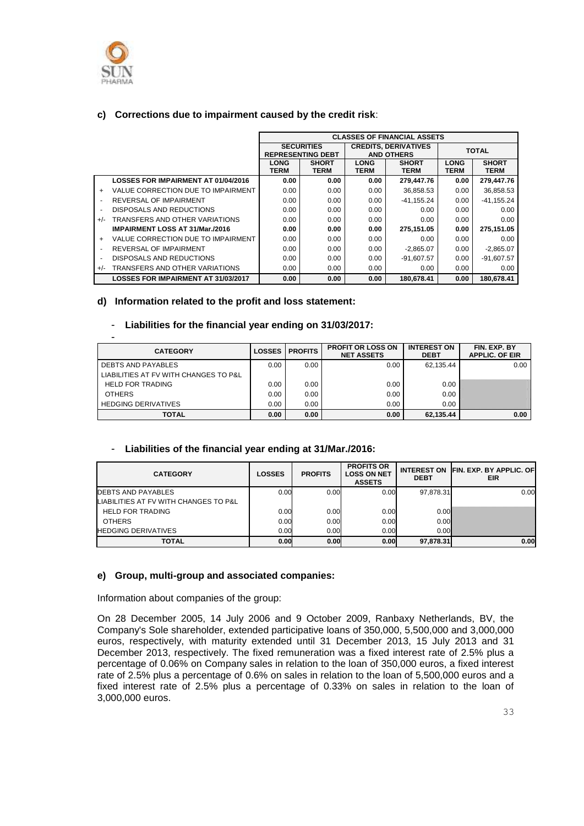

#### **c) Corrections due to impairment caused by the credit risk**:

|                          |                                            |                            |                                               |                            | <b>CLASSES OF FINANCIAL ASSETS</b>               |                            |                             |
|--------------------------|--------------------------------------------|----------------------------|-----------------------------------------------|----------------------------|--------------------------------------------------|----------------------------|-----------------------------|
|                          |                                            |                            | <b>SECURITIES</b><br><b>REPRESENTING DEBT</b> |                            | <b>CREDITS, DERIVATIVES</b><br><b>AND OTHERS</b> |                            | <b>TOTAL</b>                |
|                          |                                            | <b>LONG</b><br><b>TERM</b> | <b>SHORT</b><br><b>TERM</b>                   | <b>LONG</b><br><b>TERM</b> | <b>SHORT</b><br><b>TERM</b>                      | <b>LONG</b><br><b>TERM</b> | <b>SHORT</b><br><b>TERM</b> |
|                          | <b>LOSSES FOR IMPAIRMENT AT 01/04/2016</b> | 0.00                       | 0.00                                          | 0.00                       | 279,447.76                                       | 0.00                       | 279,447.76                  |
| $\ddot{}$                | VALUE CORRECTION DUE TO IMPAIRMENT         | 0.00                       | 0.00                                          | 0.00                       | 36,858.53                                        | 0.00                       | 36,858.53                   |
| $\overline{\phantom{a}}$ | REVERSAL OF IMPAIRMENT                     | 0.00                       | 0.00                                          | 0.00                       | -41.155.24                                       | 0.00                       | $-41.155.24$                |
| $\overline{\phantom{a}}$ | DISPOSALS AND REDUCTIONS                   | 0.00                       | 0.00                                          | 0.00                       | 0.00                                             | 0.00                       | 0.00                        |
| $+/-$                    | TRANSFERS AND OTHER VARIATIONS             | 0.00                       | 0.00                                          | 0.00                       | 0.00                                             | 0.00                       | 0.00                        |
|                          | <b>IMPAIRMENT LOSS AT 31/Mar./2016</b>     | 0.00                       | 0.00                                          | 0.00                       | 275.151.05                                       | 0.00                       | 275.151.05                  |
| $\ddot{}$                | VALUE CORRECTION DUE TO IMPAIRMENT         | 0.00                       | 0.00                                          | 0.00                       | 0.00                                             | 0.00                       | 0.00                        |
| $\blacksquare$           | REVERSAL OF IMPAIRMENT                     | 0.00                       | 0.00                                          | 0.00                       | $-2,865.07$                                      | 0.00                       | $-2,865.07$                 |
| $\blacksquare$           | DISPOSALS AND REDUCTIONS                   | 0.00                       | 0.00                                          | 0.00                       | $-91.607.57$                                     | 0.00                       | $-91.607.57$                |
| $+/-$                    | TRANSFERS AND OTHER VARIATIONS             | 0.00                       | 0.00                                          | 0.00                       | 0.00                                             | 0.00                       | 0.00                        |
|                          | <b>LOSSES FOR IMPAIRMENT AT 31/03/2017</b> | 0.00                       | 0.00                                          | 0.00                       | 180.678.41                                       | 0.00                       | 180.678.41                  |

#### **d) Information related to the profit and loss statement:**

#### - **Liabilities for the financial year ending on 31/03/2017:**

| -                                     |               |                |                                               |                                   |                                       |
|---------------------------------------|---------------|----------------|-----------------------------------------------|-----------------------------------|---------------------------------------|
| <b>CATEGORY</b>                       | <b>LOSSES</b> | <b>PROFITS</b> | <b>PROFIT OR LOSS ON</b><br><b>NET ASSETS</b> | <b>INTEREST ON</b><br><b>DEBT</b> | FIN. EXP. BY<br><b>APPLIC, OF EIR</b> |
| <b>DEBTS AND PAYABLES</b>             | 0.00          | 0.00           | 0.00                                          | 62.135.44                         | 0.00                                  |
| LIABILITIES AT FV WITH CHANGES TO P&L |               |                |                                               |                                   |                                       |
| <b>HELD FOR TRADING</b>               | 0.00          | 0.00           | 0.00                                          | 0.00                              |                                       |
| <b>OTHERS</b>                         | 0.00          | 0.00           | 0.00                                          | 0.00                              |                                       |
| <b>HEDGING DERIVATIVES</b>            | 0.00          | 0.00           | 0.00                                          | 0.00                              |                                       |
| <b>TOTAL</b>                          | 0.00          | 0.00           | 0.00                                          | 62,135.44                         | 0.00                                  |

#### - **Liabilities of the financial year ending at 31/Mar./2016:**

| <b>CATEGORY</b>                       | <b>LOSSES</b> | <b>PROFITS</b> | <b>PROFITS OR</b><br><b>LOSS ON NET</b><br><b>ASSETS</b> | <b>DEBT</b> | INTEREST ON FIN. EXP. BY APPLIC. OF<br>EIR |
|---------------------------------------|---------------|----------------|----------------------------------------------------------|-------------|--------------------------------------------|
| DEBTS AND PAYABLES                    | 0.00          | 0.00           | 0.00                                                     | 97.878.31   | 0.00                                       |
| LIABILITIES AT FV WITH CHANGES TO P&L |               |                |                                                          |             |                                            |
| <b>HELD FOR TRADING</b>               | 0.00          | 0.00           | 0.00                                                     | 0.00        |                                            |
| <b>OTHERS</b>                         | 0.00          | 0.00           | 0.00                                                     | 0.00        |                                            |
| <b>HEDGING DERIVATIVES</b>            | 0.00          | 0.00           | 0.00                                                     | 0.00%       |                                            |
| TOTAL                                 | 0.00          | 0.00           | 0.00                                                     | 97.878.31   | 0.00                                       |

#### **e) Group, multi-group and associated companies:**

Information about companies of the group:

On 28 December 2005, 14 July 2006 and 9 October 2009, Ranbaxy Netherlands, BV, the Company's Sole shareholder, extended participative loans of 350,000, 5,500,000 and 3,000,000 euros, respectively, with maturity extended until 31 December 2013, 15 July 2013 and 31 December 2013, respectively. The fixed remuneration was a fixed interest rate of 2.5% plus a percentage of 0.06% on Company sales in relation to the loan of 350,000 euros, a fixed interest rate of 2.5% plus a percentage of 0.6% on sales in relation to the loan of 5,500,000 euros and a fixed interest rate of 2.5% plus a percentage of 0.33% on sales in relation to the loan of 3,000,000 euros.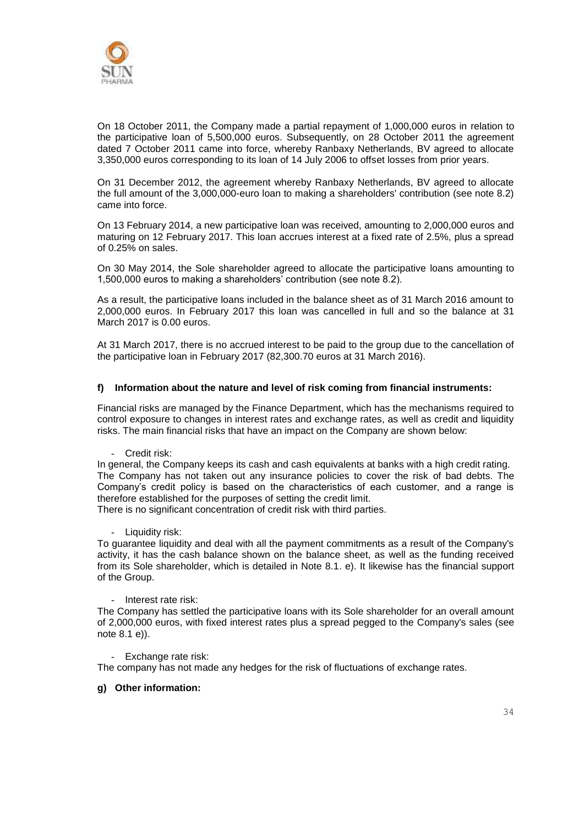

On 18 October 2011, the Company made a partial repayment of 1,000,000 euros in relation to the participative loan of 5,500,000 euros. Subsequently, on 28 October 2011 the agreement dated 7 October 2011 came into force, whereby Ranbaxy Netherlands, BV agreed to allocate 3,350,000 euros corresponding to its loan of 14 July 2006 to offset losses from prior years.

On 31 December 2012, the agreement whereby Ranbaxy Netherlands, BV agreed to allocate the full amount of the 3,000,000-euro loan to making a shareholders' contribution (see note 8.2) came into force.

On 13 February 2014, a new participative loan was received, amounting to 2,000,000 euros and maturing on 12 February 2017. This loan accrues interest at a fixed rate of 2.5%, plus a spread of 0.25% on sales.

On 30 May 2014, the Sole shareholder agreed to allocate the participative loans amounting to 1,500,000 euros to making a shareholders' contribution (see note 8.2).

As a result, the participative loans included in the balance sheet as of 31 March 2016 amount to 2,000,000 euros. In February 2017 this loan was cancelled in full and so the balance at 31 March 2017 is 0.00 euros.

At 31 March 2017, there is no accrued interest to be paid to the group due to the cancellation of the participative loan in February 2017 (82,300.70 euros at 31 March 2016).

#### **f) Information about the nature and level of risk coming from financial instruments:**

Financial risks are managed by the Finance Department, which has the mechanisms required to control exposure to changes in interest rates and exchange rates, as well as credit and liquidity risks. The main financial risks that have an impact on the Company are shown below:

- Credit risk:

In general, the Company keeps its cash and cash equivalents at banks with a high credit rating. The Company has not taken out any insurance policies to cover the risk of bad debts. The Company's credit policy is based on the characteristics of each customer, and a range is therefore established for the purposes of setting the credit limit.

There is no significant concentration of credit risk with third parties.

- Liquidity risk:

To guarantee liquidity and deal with all the payment commitments as a result of the Company's activity, it has the cash balance shown on the balance sheet, as well as the funding received from its Sole shareholder, which is detailed in Note 8.1. e). It likewise has the financial support of the Group.

- Interest rate risk:

The Company has settled the participative loans with its Sole shareholder for an overall amount of 2,000,000 euros, with fixed interest rates plus a spread pegged to the Company's sales (see note 8.1 e)).

- Exchange rate risk:

The company has not made any hedges for the risk of fluctuations of exchange rates.

#### **g) Other information:**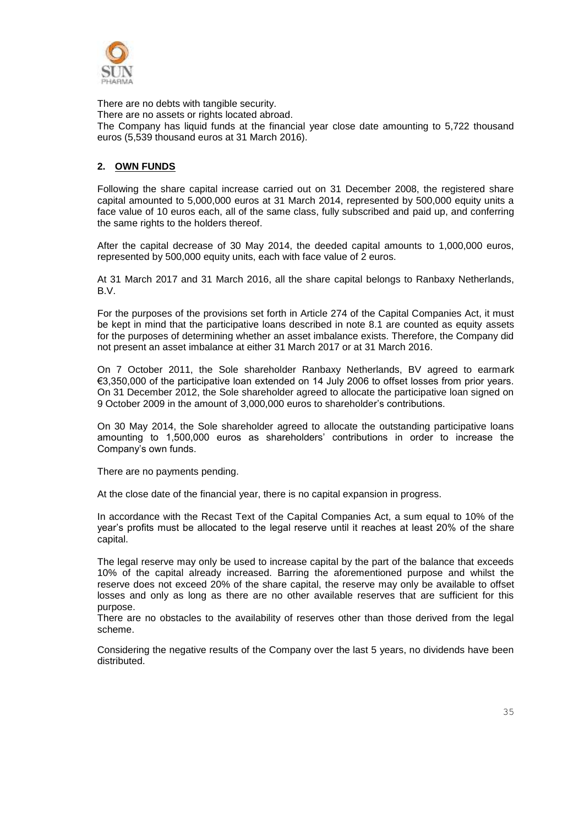

There are no debts with tangible security. There are no assets or rights located abroad. The Company has liquid funds at the financial year close date amounting to 5,722 thousand euros (5,539 thousand euros at 31 March 2016).

#### **2. OWN FUNDS**

Following the share capital increase carried out on 31 December 2008, the registered share capital amounted to 5,000,000 euros at 31 March 2014, represented by 500,000 equity units a face value of 10 euros each, all of the same class, fully subscribed and paid up, and conferring the same rights to the holders thereof.

After the capital decrease of 30 May 2014, the deeded capital amounts to 1,000,000 euros, represented by 500,000 equity units, each with face value of 2 euros.

At 31 March 2017 and 31 March 2016, all the share capital belongs to Ranbaxy Netherlands, B.V.

For the purposes of the provisions set forth in Article 274 of the Capital Companies Act, it must be kept in mind that the participative loans described in note 8.1 are counted as equity assets for the purposes of determining whether an asset imbalance exists. Therefore, the Company did not present an asset imbalance at either 31 March 2017 or at 31 March 2016.

On 7 October 2011, the Sole shareholder Ranbaxy Netherlands, BV agreed to earmark €3,350,000 of the participative loan extended on 14 July 2006 to offset losses from prior years. On 31 December 2012, the Sole shareholder agreed to allocate the participative loan signed on 9 October 2009 in the amount of 3,000,000 euros to shareholder's contributions.

On 30 May 2014, the Sole shareholder agreed to allocate the outstanding participative loans amounting to 1,500,000 euros as shareholders' contributions in order to increase the Company's own funds.

There are no payments pending.

At the close date of the financial year, there is no capital expansion in progress.

In accordance with the Recast Text of the Capital Companies Act, a sum equal to 10% of the year's profits must be allocated to the legal reserve until it reaches at least 20% of the share capital.

The legal reserve may only be used to increase capital by the part of the balance that exceeds 10% of the capital already increased. Barring the aforementioned purpose and whilst the reserve does not exceed 20% of the share capital, the reserve may only be available to offset losses and only as long as there are no other available reserves that are sufficient for this purpose.

There are no obstacles to the availability of reserves other than those derived from the legal scheme.

Considering the negative results of the Company over the last 5 years, no dividends have been distributed.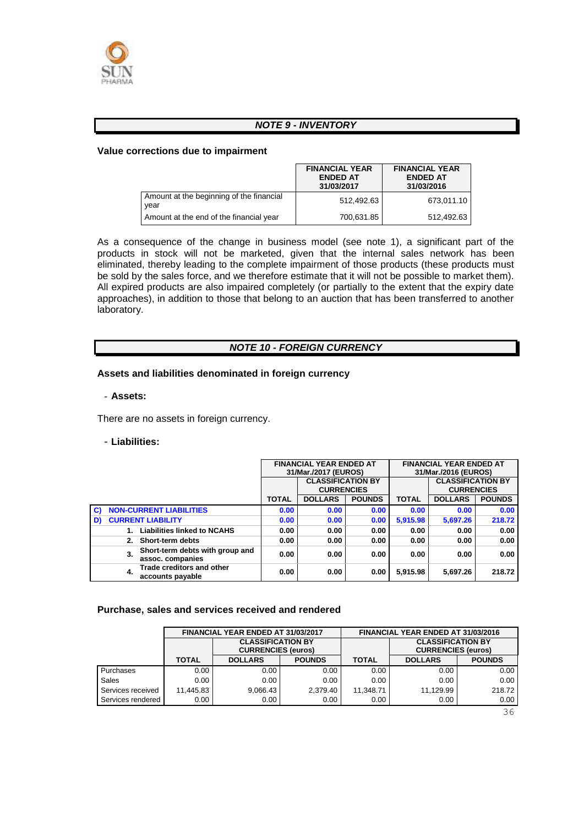

#### *NOTE 9 - INVENTORY*

#### **Value corrections due to impairment**

|                                                  | <b>FINANCIAL YEAR</b><br><b>ENDED AT</b><br>31/03/2017 | <b>FINANCIAL YEAR</b><br><b>ENDED AT</b><br>31/03/2016 |
|--------------------------------------------------|--------------------------------------------------------|--------------------------------------------------------|
| Amount at the beginning of the financial<br>year | 512.492.63                                             | 673,011.10                                             |
| Amount at the end of the financial year          | 700,631.85                                             | 512,492.63                                             |

As a consequence of the change in business model (see note 1), a significant part of the products in stock will not be marketed, given that the internal sales network has been eliminated, thereby leading to the complete impairment of those products (these products must be sold by the sales force, and we therefore estimate that it will not be possible to market them). All expired products are also impaired completely (or partially to the extent that the expiry date approaches), in addition to those that belong to an auction that has been transferred to another laboratory.

#### *NOTE 10 - FOREIGN CURRENCY*

#### **Assets and liabilities denominated in foreign currency**

- **Assets:**

There are no assets in foreign currency.

#### - **Liabilities:**

|    |    |                                                      | <b>FINANCIAL YEAR ENDED AT</b><br>31/Mar./2017 (EUROS) |                                               | <b>FINANCIAL YEAR ENDED AT</b><br>31/Mar./2016 (EUROS) |              |                                               |               |
|----|----|------------------------------------------------------|--------------------------------------------------------|-----------------------------------------------|--------------------------------------------------------|--------------|-----------------------------------------------|---------------|
|    |    |                                                      |                                                        | <b>CLASSIFICATION BY</b><br><b>CURRENCIES</b> |                                                        |              | <b>CLASSIFICATION BY</b><br><b>CURRENCIES</b> |               |
|    |    |                                                      | <b>TOTAL</b>                                           | <b>DOLLARS</b><br><b>POUNDS</b>               |                                                        | <b>TOTAL</b> | <b>DOLLARS</b>                                | <b>POUNDS</b> |
| C) |    | <b>NON-CURRENT LIABILITIES</b>                       | 0.00                                                   | 0.00                                          | 0.00                                                   | 0.00         | 0.00                                          | 0.00          |
| D) |    | <b>CURRENT LIABILITY</b>                             | 0.00                                                   | 0.00                                          | 0.00                                                   | 5,915.98     | 5,697.26                                      | 218.72        |
|    |    | <b>Liabilities linked to NCAHS</b>                   | 0.00                                                   | 0.00                                          | 0.00                                                   | 0.00         | 0.00                                          | 0.00          |
|    |    | Short-term debts                                     | 0.00                                                   | 0.00                                          | 0.00                                                   | 0.00         | 0.00                                          | 0.00          |
|    | 3. | Short-term debts with group and<br>assoc. companies  | 0.00                                                   | 0.00                                          | 0.00                                                   | 0.00         | 0.00                                          | 0.00          |
|    | 4. | <b>Trade creditors and other</b><br>accounts payable | 0.00                                                   | 0.00                                          | 0.00                                                   | 5,915.98     | 5,697.26                                      | 218.72        |

#### **Purchase, sales and services received and rendered**

|                   |              | FINANCIAL YEAR ENDED AT 31/03/2017                    |                   |              | FINANCIAL YEAR ENDED AT 31/03/2016                    |               |
|-------------------|--------------|-------------------------------------------------------|-------------------|--------------|-------------------------------------------------------|---------------|
|                   |              | <b>CLASSIFICATION BY</b><br><b>CURRENCIES (euros)</b> |                   |              | <b>CLASSIFICATION BY</b><br><b>CURRENCIES (euros)</b> |               |
|                   | <b>TOTAL</b> | <b>DOLLARS</b>                                        | <b>POUNDS</b>     | <b>TOTAL</b> | <b>DOLLARS</b>                                        | <b>POUNDS</b> |
| Purchases         | 0.00         | 0.00                                                  | 0.00              | 0.00         | 0.00                                                  | 0.00          |
| Sales             | 0.00         | 0.00                                                  | 0.00 <sub>1</sub> | 0.00         | 0.00                                                  | 0.00          |
| Services received | 11.445.83    | 9,066.43                                              | 2.379.40          | 11.348.71    | 11.129.99                                             | 218.72        |
| Services rendered | 0.00         | 0.00                                                  | 0.00 <sub>1</sub> | 0.00         | 0.00                                                  | 0.00          |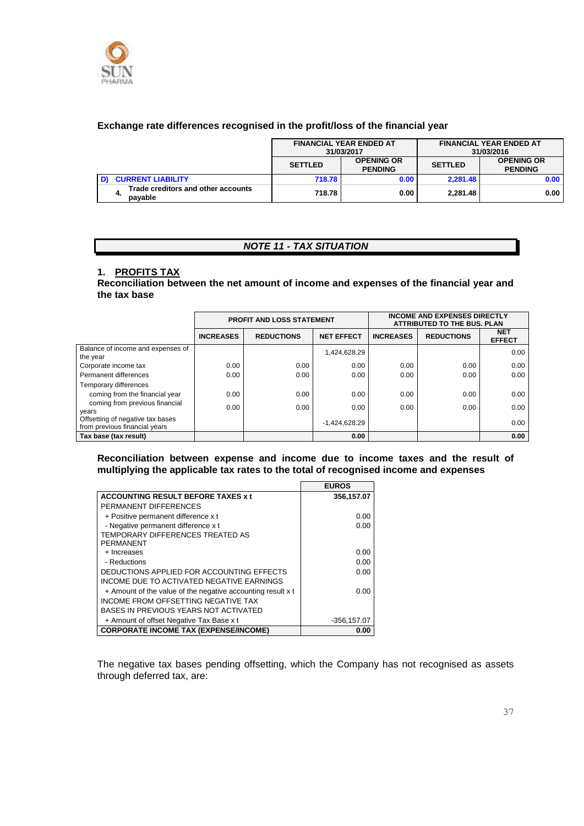

#### **Exchange rate differences recognised in the profit/loss of the financial year**

|                                               | <b>FINANCIAL YEAR ENDED AT</b><br>31/03/2017 |                                     |                |                                     | <b>FINANCIAL YEAR ENDED AT</b><br>31/03/2016 |
|-----------------------------------------------|----------------------------------------------|-------------------------------------|----------------|-------------------------------------|----------------------------------------------|
|                                               | <b>SETTLED</b>                               | <b>OPENING OR</b><br><b>PENDING</b> | <b>SETTLED</b> | <b>OPENING OR</b><br><b>PENDING</b> |                                              |
| <b>CURRENT LIABILITY</b>                      | 718.78                                       | 0.00                                | 2.281.48       | 0.00                                |                                              |
| Trade creditors and other accounts<br>payable | 718.78                                       | 0.00                                | 2.281.48       | 0.00                                |                                              |

#### *NOTE 11 - TAX SITUATION*

#### **1. PROFITS TAX**

**Reconciliation between the net amount of income and expenses of the financial year and the tax base** 

|                                                                   | <b>PROFIT AND LOSS STATEMENT</b> |                   |                   | <b>INCOME AND EXPENSES DIRECTLY</b><br><b>ATTRIBUTED TO THE BUS, PLAN</b> |                   |                             |
|-------------------------------------------------------------------|----------------------------------|-------------------|-------------------|---------------------------------------------------------------------------|-------------------|-----------------------------|
|                                                                   | <b>INCREASES</b>                 | <b>REDUCTIONS</b> | <b>NET EFFECT</b> | <b>INCREASES</b>                                                          | <b>REDUCTIONS</b> | <b>NET</b><br><b>EFFECT</b> |
| Balance of income and expenses of<br>the year                     |                                  |                   | 1.424.628.29      |                                                                           |                   | 0.00                        |
| Corporate income tax                                              | 0.00                             | 0.00              | 0.00              | 0.00                                                                      | 0.00              | 0.00                        |
| Permanent differences                                             | 0.00                             | 0.00              | 0.00              | 0.00                                                                      | 0.00              | 0.00                        |
| Temporary differences                                             |                                  |                   |                   |                                                                           |                   |                             |
| coming from the financial year                                    | 0.00                             | 0.00              | 0.00              | 0.00                                                                      | 0.00              | 0.00                        |
| coming from previous financial<br>years                           | 0.00                             | 0.00              | 0.00              | 0.00                                                                      | 0.00              | 0.00                        |
| Offsetting of negative tax bases<br>from previous financial years |                                  |                   | $-1,424,628.29$   |                                                                           |                   | 0.00                        |
| Tax base (tax result)                                             |                                  |                   | 0.00              |                                                                           |                   | 0.00                        |

#### **Reconciliation between expense and income due to income taxes and the result of multiplying the applicable tax rates to the total of recognised income and expenses**

|                                                             | <b>EUROS</b>   |
|-------------------------------------------------------------|----------------|
| <b>ACCOUNTING RESULT BEFORE TAXES x t</b>                   | 356,157.07     |
| PERMANENT DIFFERENCES                                       |                |
| + Positive permanent difference x t                         | 0.00           |
| - Negative permanent difference x t                         | 0.00           |
| TEMPORARY DIFFERENCES TREATED AS                            |                |
| PERMANENT                                                   |                |
| + Increases                                                 | 0.00           |
| - Reductions                                                | 0.00           |
| DEDUCTIONS APPLIED FOR ACCOUNTING EFFECTS                   | 0.00           |
| INCOME DUE TO ACTIVATED NEGATIVE EARNINGS                   |                |
| + Amount of the value of the negative accounting result x t | 0.00           |
| INCOME FROM OFFSETTING NEGATIVE TAX                         |                |
| BASES IN PREVIOUS YEARS NOT ACTIVATED                       |                |
| + Amount of offset Negative Tax Base x t                    | $-356, 157.07$ |
| <b>CORPORATE INCOME TAX (EXPENSE/INCOME)</b>                | 0.00           |

The negative tax bases pending offsetting, which the Company has not recognised as assets through deferred tax, are: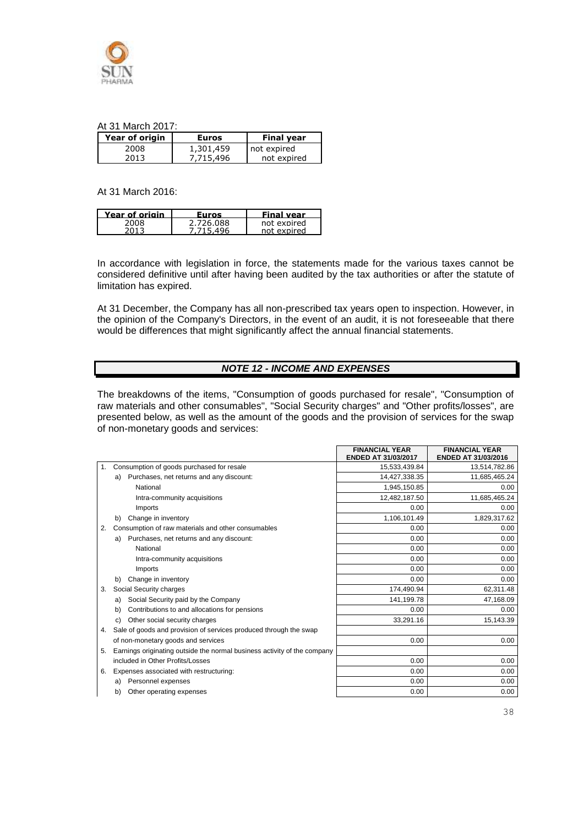

#### At 31 March 2017:

| Year of origin | <b>Euros</b> | <b>Final year</b> |
|----------------|--------------|-------------------|
| 2008           | 1,301,459    | not expired       |
| 2013           | 7,715,496    | not expired       |

At 31 March 2016:

| Furos                  | Final year             |
|------------------------|------------------------|
| 2 726 088<br>$A\Omega$ | not expired<br>exnired |
|                        |                        |

In accordance with legislation in force, the statements made for the various taxes cannot be considered definitive until after having been audited by the tax authorities or after the statute of limitation has expired.

At 31 December, the Company has all non-prescribed tax years open to inspection. However, in the opinion of the Company's Directors, in the event of an audit, it is not foreseeable that there would be differences that might significantly affect the annual financial statements.

#### *NOTE 12 - INCOME AND EXPENSES*

The breakdowns of the items, "Consumption of goods purchased for resale", "Consumption of raw materials and other consumables", "Social Security charges" and "Other profits/losses", are presented below, as well as the amount of the goods and the provision of services for the swap of non-monetary goods and services:

|    |                                                                          | <b>FINANCIAL YEAR</b><br><b>ENDED AT 31/03/2017</b> | <b>FINANCIAL YEAR</b><br>ENDED AT 31/03/2016 |
|----|--------------------------------------------------------------------------|-----------------------------------------------------|----------------------------------------------|
| 1. | Consumption of goods purchased for resale                                | 15,533,439.84                                       | 13,514,782.86                                |
|    | Purchases, net returns and any discount:<br>a)                           | 14,427,338.35                                       | 11,685,465.24                                |
|    | National                                                                 | 1,945,150.85                                        | 0.00                                         |
|    | Intra-community acquisitions                                             | 12,482,187.50                                       | 11,685,465.24                                |
|    | Imports                                                                  | 0.00                                                | 0.00                                         |
|    | Change in inventory<br>b)                                                | 1,106,101.49                                        | 1,829,317.62                                 |
| 2. | Consumption of raw materials and other consumables                       | 0.00                                                | 0.00                                         |
|    | Purchases, net returns and any discount:<br>a)                           | 0.00                                                | 0.00                                         |
|    | National                                                                 | 0.00                                                | 0.00                                         |
|    | Intra-community acquisitions                                             | 0.00                                                | 0.00                                         |
|    | Imports                                                                  | 0.00                                                | 0.00                                         |
|    | Change in inventory<br>b)                                                | 0.00                                                | 0.00                                         |
| 3. | Social Security charges                                                  | 174,490.94                                          | 62,311.48                                    |
|    | Social Security paid by the Company<br>a)                                | 141,199.78                                          | 47,168.09                                    |
|    | Contributions to and allocations for pensions<br>b)                      | 0.00                                                | 0.00                                         |
|    | Other social security charges<br>C)                                      | 33,291.16                                           | 15,143.39                                    |
| 4. | Sale of goods and provision of services produced through the swap        |                                                     |                                              |
|    | of non-monetary goods and services                                       | 0.00                                                | 0.00                                         |
| 5. | Earnings originating outside the normal business activity of the company |                                                     |                                              |
|    | included in Other Profits/Losses                                         | 0.00                                                | 0.00                                         |
| 6. | Expenses associated with restructuring:                                  | 0.00                                                | 0.00                                         |
|    | Personnel expenses<br>a)                                                 | 0.00                                                | 0.00                                         |
|    | Other operating expenses<br>b)                                           | 0.00                                                | 0.00                                         |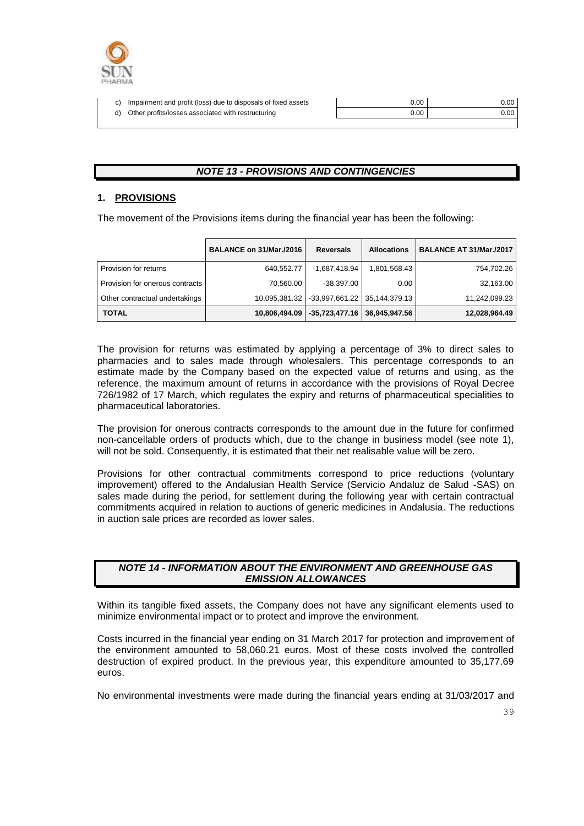

| c) Impairment and profit (loss) due to disposals of fixed assets | 0.00 | 0.00 <sub>1</sub> |
|------------------------------------------------------------------|------|-------------------|
| d) Other profits/losses associated with restructuring            | 0.00 | 0.00 <sub>1</sub> |
|                                                                  |      |                   |

#### *NOTE 13 - PROVISIONS AND CONTINGENCIES*

#### **1. PROVISIONS**

The movement of the Provisions items during the financial year has been the following:

|                                 | BALANCE on 31/Mar./2016 | <b>Reversals</b>               | <b>Allocations</b> | BALANCE AT 31/Mar./2017 |
|---------------------------------|-------------------------|--------------------------------|--------------------|-------------------------|
| Provision for returns           | 640,552.77              | -1,687,418.94                  | 1,801,568.43       | 754,702.26              |
| Provision for onerous contracts | 70,560.00               | $-38,397.00$                   | 0.00               | 32,163.00               |
| Other contractual undertakings  | 10.095.381.32           | $-33,997,661.22$ 35,144,379.13 |                    | 11,242,099.23           |
| <b>TOTAL</b>                    | 10.806.494.09           | $-35,723,477.16$ 36,945,947.56 |                    | 12,028,964.49           |

The provision for returns was estimated by applying a percentage of 3% to direct sales to pharmacies and to sales made through wholesalers. This percentage corresponds to an estimate made by the Company based on the expected value of returns and using, as the reference, the maximum amount of returns in accordance with the provisions of Royal Decree 726/1982 of 17 March, which regulates the expiry and returns of pharmaceutical specialities to pharmaceutical laboratories.

The provision for onerous contracts corresponds to the amount due in the future for confirmed non-cancellable orders of products which, due to the change in business model (see note 1), will not be sold. Consequently, it is estimated that their net realisable value will be zero.

Provisions for other contractual commitments correspond to price reductions (voluntary improvement) offered to the Andalusian Health Service (Servicio Andaluz de Salud -SAS) on sales made during the period, for settlement during the following year with certain contractual commitments acquired in relation to auctions of generic medicines in Andalusia. The reductions in auction sale prices are recorded as lower sales.

#### *NOTE 14 - INFORMATION ABOUT THE ENVIRONMENT AND GREENHOUSE GAS EMISSION ALLOWANCES*

Within its tangible fixed assets, the Company does not have any significant elements used to minimize environmental impact or to protect and improve the environment.

Costs incurred in the financial year ending on 31 March 2017 for protection and improvement of the environment amounted to 58,060.21 euros. Most of these costs involved the controlled destruction of expired product. In the previous year, this expenditure amounted to 35,177.69 euros.

No environmental investments were made during the financial years ending at 31/03/2017 and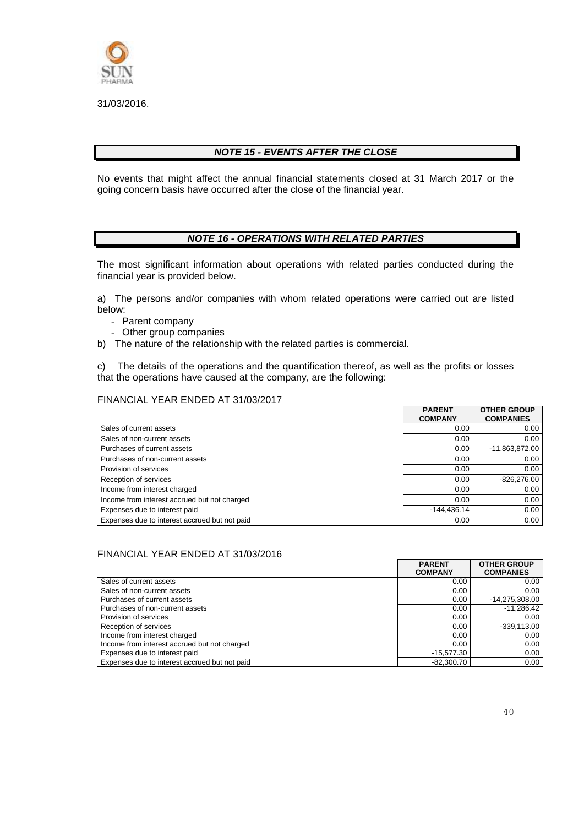

31/03/2016.

#### *NOTE 15 - EVENTS AFTER THE CLOSE*

No events that might affect the annual financial statements closed at 31 March 2017 or the going concern basis have occurred after the close of the financial year.

#### *NOTE 16 - OPERATIONS WITH RELATED PARTIES*

The most significant information about operations with related parties conducted during the financial year is provided below.

a) The persons and/or companies with whom related operations were carried out are listed below:

- Parent company
- Other group companies
- b) The nature of the relationship with the related parties is commercial.

c) The details of the operations and the quantification thereof, as well as the profits or losses that the operations have caused at the company, are the following:

#### FINANCIAL YEAR ENDED AT 31/03/2017

|                                               | <b>PARENT</b><br><b>COMPANY</b> | <b>OTHER GROUP</b><br><b>COMPANIES</b> |
|-----------------------------------------------|---------------------------------|----------------------------------------|
| Sales of current assets                       | 0.00                            | 0.00                                   |
| Sales of non-current assets                   | 0.00                            | 0.00                                   |
| Purchases of current assets                   | 0.00                            | $-11,863,872.00$                       |
| Purchases of non-current assets               | 0.00                            | 0.00                                   |
| Provision of services                         | 0.00                            | 0.00                                   |
| Reception of services                         | 0.00                            | $-826,276.00$                          |
| Income from interest charged                  | 0.00                            | 0.00                                   |
| Income from interest accrued but not charged  | 0.00                            | 0.00                                   |
| Expenses due to interest paid                 | $-144.436.14$                   | 0.00                                   |
| Expenses due to interest accrued but not paid | 0.00                            | 0.00                                   |

#### FINANCIAL YEAR ENDED AT 31/03/2016

|                                               | <b>PARENT</b><br><b>COMPANY</b> | <b>OTHER GROUP</b><br><b>COMPANIES</b> |
|-----------------------------------------------|---------------------------------|----------------------------------------|
| Sales of current assets                       | 0.00                            | 0.00                                   |
| Sales of non-current assets                   | 0.00                            | 0.00                                   |
| Purchases of current assets                   | 0.00                            | -14,275,308.00                         |
| Purchases of non-current assets               | 0.00                            | $-11,286.42$                           |
| Provision of services                         | 0.00                            | 0.00                                   |
| Reception of services                         | 0.00                            | $-339,113.00$                          |
| Income from interest charged                  | 0.00                            | 0.00                                   |
| Income from interest accrued but not charged  | 0.00                            | 0.00                                   |
| Expenses due to interest paid                 | $-15,577.30$                    | 0.00                                   |
| Expenses due to interest accrued but not paid | $-82.300.70$                    | 0.00                                   |

 $\mathsf{r}$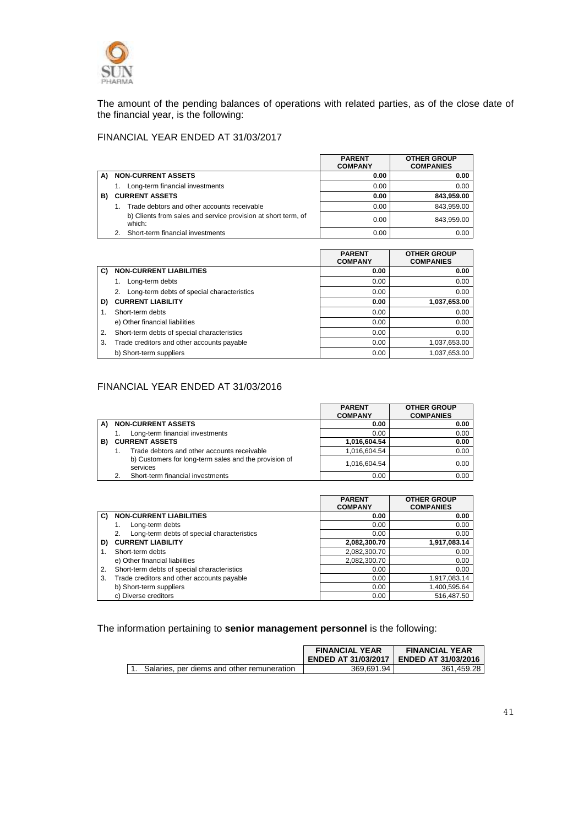

The amount of the pending balances of operations with related parties, as of the close date of the financial year, is the following:

## FINANCIAL YEAR ENDED AT 31/03/2017

|    |                                                                         | <b>PARENT</b><br><b>COMPANY</b> | <b>OTHER GROUP</b><br><b>COMPANIES</b> |
|----|-------------------------------------------------------------------------|---------------------------------|----------------------------------------|
| A) | <b>NON-CURRENT ASSETS</b>                                               | 0.00                            | 0.00                                   |
|    | Long-term financial investments                                         | 0.00                            | 0.00                                   |
| B) | <b>CURRENT ASSETS</b>                                                   | 0.00                            | 843,959.00                             |
|    | Trade debtors and other accounts receivable                             | 0.00                            | 843,959.00                             |
|    | b) Clients from sales and service provision at short term, of<br>which: | 0.00                            | 843.959.00                             |
|    | Short-term financial investments                                        | 0.00                            | 0.00                                   |

|    |                                             | <b>PARENT</b><br><b>COMPANY</b> | <b>OTHER GROUP</b><br><b>COMPANIES</b> |
|----|---------------------------------------------|---------------------------------|----------------------------------------|
| C) | <b>NON-CURRENT LIABILITIES</b>              | 0.00                            | 0.00                                   |
|    | Long-term debts                             | 0.00                            | 0.00                                   |
|    | Long-term debts of special characteristics  | 0.00                            | 0.00                                   |
| D) | <b>CURRENT LIABILITY</b>                    | 0.00                            | 1,037,653.00                           |
| 1. | Short-term debts                            | 0.00                            | 0.00                                   |
|    | e) Other financial liabilities              | 0.00                            | 0.00                                   |
| 2. | Short-term debts of special characteristics | 0.00                            | 0.00                                   |
| 3. | Trade creditors and other accounts payable  | 0.00                            | 1,037,653.00                           |
|    | b) Short-term suppliers                     | 0.00                            | 1.037.653.00                           |

#### FINANCIAL YEAR ENDED AT 31/03/2016

|    |                                                                   | <b>PARENT</b><br><b>COMPANY</b> | <b>OTHER GROUP</b><br><b>COMPANIES</b> |
|----|-------------------------------------------------------------------|---------------------------------|----------------------------------------|
| A) | <b>NON-CURRENT ASSETS</b>                                         | 0.00                            | 0.00                                   |
|    | Long-term financial investments                                   | 0.00                            | 0.00                                   |
| B) | <b>CURRENT ASSETS</b>                                             | 1,016,604.54                    | 0.00                                   |
|    | Trade debtors and other accounts receivable                       | 1.016.604.54                    | 0.00                                   |
|    | b) Customers for long-term sales and the provision of<br>services | 1.016.604.54                    | 0.00                                   |
|    | Short-term financial investments                                  | 0.00                            | 0.00                                   |

|    |                                                  | <b>PARENT</b><br><b>COMPANY</b> | <b>OTHER GROUP</b><br><b>COMPANIES</b> |
|----|--------------------------------------------------|---------------------------------|----------------------------------------|
| C) | <b>NON-CURRENT LIABILITIES</b>                   | 0.00                            | 0.00                                   |
|    | Long-term debts                                  | 0.00                            | 0.00                                   |
|    | Long-term debts of special characteristics<br>2. | 0.00                            | 0.00                                   |
| D) | <b>CURRENT LIABILITY</b>                         | 2,082,300.70                    | 1,917,083.14                           |
|    | Short-term debts                                 | 2,082,300.70                    | 0.00                                   |
|    | e) Other financial liabilities                   | 2,082,300.70                    | 0.00                                   |
| 2. | Short-term debts of special characteristics      | 0.00                            | 0.00                                   |
| 3. | Trade creditors and other accounts payable       | 0.00                            | 1,917,083.14                           |
|    | b) Short-term suppliers                          | 0.00                            | 1,400,595.64                           |
|    | c) Diverse creditors                             | 0.00                            | 516.487.50                             |

The information pertaining to **senior management personnel** is the following:

|                                            | <b>FINANCIAL YEAR</b><br><b>ENDED AT 31/03/2017</b> | <b>FINANCIAL YEAR</b><br><b>LENDED AT 31/03/2016</b> |
|--------------------------------------------|-----------------------------------------------------|------------------------------------------------------|
| Salaries, per diems and other remuneration | 369.691.94                                          | 361.459.28                                           |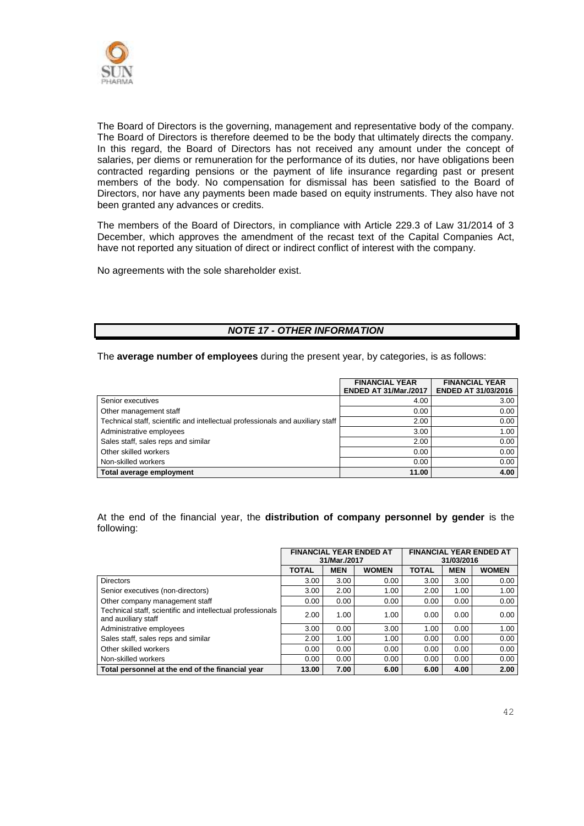

The Board of Directors is the governing, management and representative body of the company. The Board of Directors is therefore deemed to be the body that ultimately directs the company. In this regard, the Board of Directors has not received any amount under the concept of salaries, per diems or remuneration for the performance of its duties, nor have obligations been contracted regarding pensions or the payment of life insurance regarding past or present members of the body. No compensation for dismissal has been satisfied to the Board of Directors, nor have any payments been made based on equity instruments. They also have not been granted any advances or credits.

The members of the Board of Directors, in compliance with Article 229.3 of Law 31/2014 of 3 December, which approves the amendment of the recast text of the Capital Companies Act, have not reported any situation of direct or indirect conflict of interest with the company.

No agreements with the sole shareholder exist.

#### *NOTE 17 - OTHER INFORMATION*

The **average number of employees** during the present year, by categories, is as follows:

|                                                                                | <b>FINANCIAL YEAR</b><br><b>ENDED AT 31/Mar./2017</b> | <b>FINANCIAL YEAR</b><br><b>ENDED AT 31/03/2016</b> |
|--------------------------------------------------------------------------------|-------------------------------------------------------|-----------------------------------------------------|
| Senior executives                                                              | 4.00                                                  | 3.00                                                |
| Other management staff                                                         | 0.00                                                  | 0.00                                                |
| Technical staff, scientific and intellectual professionals and auxiliary staff | 2.00                                                  | 0.00                                                |
| Administrative employees                                                       | 3.00                                                  | 1.00                                                |
| Sales staff, sales reps and similar                                            | 2.00                                                  | 0.00                                                |
| Other skilled workers                                                          | 0.00                                                  | 0.00                                                |
| Non-skilled workers                                                            | 0.00                                                  | 0.00                                                |
| Total average employment                                                       | 11.00                                                 | 4.00                                                |

At the end of the financial year, the **distribution of company personnel by gender** is the following:

|                                                                                   | <b>FINANCIAL YEAR ENDED AT</b><br>31/Mar./2017 |            | <b>FINANCIAL YEAR ENDED AT</b><br>31/03/2016 |              |            |              |
|-----------------------------------------------------------------------------------|------------------------------------------------|------------|----------------------------------------------|--------------|------------|--------------|
|                                                                                   | <b>TOTAL</b>                                   | <b>MEN</b> | <b>WOMEN</b>                                 | <b>TOTAL</b> | <b>MEN</b> | <b>WOMEN</b> |
| <b>Directors</b>                                                                  | 3.00                                           | 3.00       | 0.00                                         | 3.00         | 3.00       | 0.00         |
| Senior executives (non-directors)                                                 | 3.00                                           | 2.00       | 1.00                                         | 2.00         | 1.00       | 1.00         |
| Other company management staff                                                    | 0.00                                           | 0.00       | 0.00                                         | 0.00         | 0.00       | 0.00         |
| Technical staff, scientific and intellectual professionals<br>and auxiliary staff | 2.00                                           | 1.00       | 1.00                                         | 0.00         | 0.00       | 0.00         |
| Administrative employees                                                          | 3.00                                           | 0.00       | 3.00                                         | 1.00         | 0.00       | 1.00         |
| Sales staff, sales reps and similar                                               | 2.00                                           | 1.00       | 1.00                                         | 0.00         | 0.00       | 0.00         |
| Other skilled workers                                                             | 0.00                                           | 0.00       | 0.00                                         | 0.00         | 0.00       | 0.00         |
| Non-skilled workers                                                               | 0.00                                           | 0.00       | 0.00                                         | 0.00         | 0.00       | 0.00         |
| Total personnel at the end of the financial year                                  | 13.00                                          | 7.00       | 6.00                                         | 6.00         | 4.00       | 2.00         |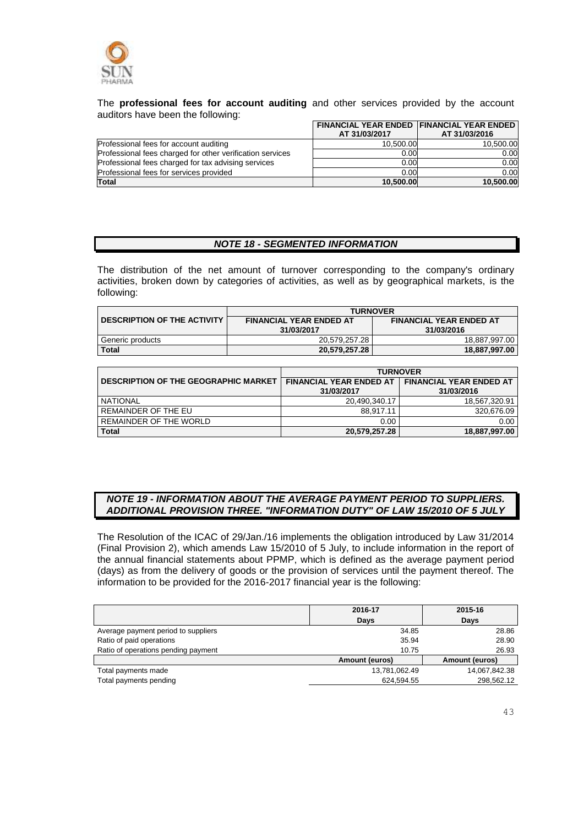

The **professional fees for account auditing** and other services provided by the account auditors have been the following:

|                                                           | <b>FINANCIAL YEAR ENDED FINANCIAL YEAR ENDED</b><br>AT 31/03/2017 | AT 31/03/2016 |
|-----------------------------------------------------------|-------------------------------------------------------------------|---------------|
| Professional fees for account auditing                    | 10.500.00                                                         | 10.500.00     |
| Professional fees charged for other verification services | 0.00                                                              | 0.00          |
| Professional fees charged for tax advising services       | 0.00                                                              | 0.00          |
| Professional fees for services provided                   | 0.00                                                              | 0.00          |
| Total                                                     | 10.500.00                                                         | 10.500.00     |

#### *NOTE 18 - SEGMENTED INFORMATION*

The distribution of the net amount of turnover corresponding to the company's ordinary activities, broken down by categories of activities, as well as by geographical markets, is the following:

|                                    | <b>TURNOVER</b>                |                                |  |
|------------------------------------|--------------------------------|--------------------------------|--|
| <b>DESCRIPTION OF THE ACTIVITY</b> | <b>FINANCIAL YEAR ENDED AT</b> | <b>FINANCIAL YEAR ENDED AT</b> |  |
|                                    | 31/03/2017                     | 31/03/2016                     |  |
| Generic products                   | 20.579.257.28                  | 18,887,997.00                  |  |
| <b>Total</b>                       | 20,579,257.28                  | 18,887,997.00                  |  |

|                                             | <b>TURNOVER</b>                              |                                              |  |  |
|---------------------------------------------|----------------------------------------------|----------------------------------------------|--|--|
| <b>DESCRIPTION OF THE GEOGRAPHIC MARKET</b> | <b>FINANCIAL YEAR ENDED AT</b><br>31/03/2017 | <b>FINANCIAL YEAR ENDED AT</b><br>31/03/2016 |  |  |
| NATIONAL                                    | 20.490.340.17                                | 18.567.320.91                                |  |  |
| REMAINDER OF THE EU                         | 88.917.11                                    | 320,676.09                                   |  |  |
| REMAINDER OF THE WORLD                      | 0.00                                         | 0.00                                         |  |  |
| <b>Total</b>                                | 20,579,257.28                                | 18,887,997.00                                |  |  |

#### *NOTE 19 - INFORMATION ABOUT THE AVERAGE PAYMENT PERIOD TO SUPPLIERS. ADDITIONAL PROVISION THREE. "INFORMATION DUTY" OF LAW 15/2010 OF 5 JULY*

The Resolution of the ICAC of 29/Jan./16 implements the obligation introduced by Law 31/2014 (Final Provision 2), which amends Law 15/2010 of 5 July, to include information in the report of the annual financial statements about PPMP, which is defined as the average payment period (days) as from the delivery of goods or the provision of services until the payment thereof. The information to be provided for the 2016-2017 financial year is the following:

|                                     | 2016-17               | 2015-16        |
|-------------------------------------|-----------------------|----------------|
|                                     | Days                  | <b>Days</b>    |
| Average payment period to suppliers | 34.85                 | 28.86          |
| Ratio of paid operations            | 35.94                 | 28.90          |
| Ratio of operations pending payment | 10.75                 | 26.93          |
|                                     | <b>Amount (euros)</b> | Amount (euros) |
| Total payments made                 | 13,781,062.49         | 14,067,842.38  |
| Total payments pending              | 624.594.55            | 298,562.12     |